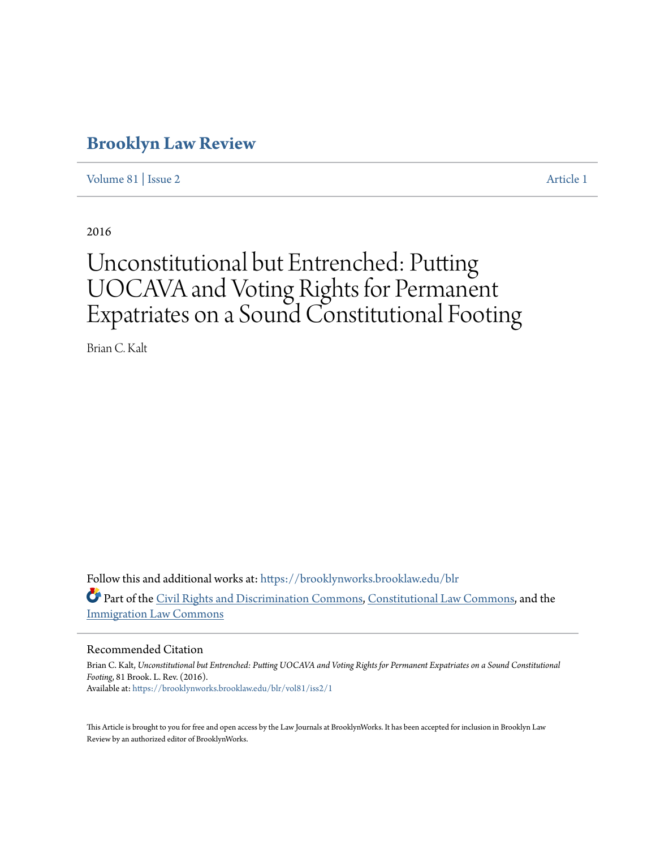# **[Brooklyn Law Review](https://brooklynworks.brooklaw.edu/blr?utm_source=brooklynworks.brooklaw.edu%2Fblr%2Fvol81%2Fiss2%2F1&utm_medium=PDF&utm_campaign=PDFCoverPages)**

[Volume 81](https://brooklynworks.brooklaw.edu/blr/vol81?utm_source=brooklynworks.brooklaw.edu%2Fblr%2Fvol81%2Fiss2%2F1&utm_medium=PDF&utm_campaign=PDFCoverPages) | [Issue 2](https://brooklynworks.brooklaw.edu/blr/vol81/iss2?utm_source=brooklynworks.brooklaw.edu%2Fblr%2Fvol81%2Fiss2%2F1&utm_medium=PDF&utm_campaign=PDFCoverPages) [Article 1](https://brooklynworks.brooklaw.edu/blr/vol81/iss2/1?utm_source=brooklynworks.brooklaw.edu%2Fblr%2Fvol81%2Fiss2%2F1&utm_medium=PDF&utm_campaign=PDFCoverPages)

2016

# Unconstitutional but Entrenched: Putting UOCAVA and Voting Rights for Permanent Expatriates on a Sound Constitutional Footing

Brian C. Kalt

Follow this and additional works at: [https://brooklynworks.brooklaw.edu/blr](https://brooklynworks.brooklaw.edu/blr?utm_source=brooklynworks.brooklaw.edu%2Fblr%2Fvol81%2Fiss2%2F1&utm_medium=PDF&utm_campaign=PDFCoverPages) Part of the [Civil Rights and Discrimination Commons,](http://network.bepress.com/hgg/discipline/585?utm_source=brooklynworks.brooklaw.edu%2Fblr%2Fvol81%2Fiss2%2F1&utm_medium=PDF&utm_campaign=PDFCoverPages) [Constitutional Law Commons](http://network.bepress.com/hgg/discipline/589?utm_source=brooklynworks.brooklaw.edu%2Fblr%2Fvol81%2Fiss2%2F1&utm_medium=PDF&utm_campaign=PDFCoverPages), and the [Immigration Law Commons](http://network.bepress.com/hgg/discipline/604?utm_source=brooklynworks.brooklaw.edu%2Fblr%2Fvol81%2Fiss2%2F1&utm_medium=PDF&utm_campaign=PDFCoverPages)

# Recommended Citation

Brian C. Kalt, *Unconstitutional but Entrenched: Putting UOCAVA and Voting Rights for Permanent Expatriates on a Sound Constitutional Footing*, 81 Brook. L. Rev. (2016). Available at: [https://brooklynworks.brooklaw.edu/blr/vol81/iss2/1](https://brooklynworks.brooklaw.edu/blr/vol81/iss2/1?utm_source=brooklynworks.brooklaw.edu%2Fblr%2Fvol81%2Fiss2%2F1&utm_medium=PDF&utm_campaign=PDFCoverPages)

This Article is brought to you for free and open access by the Law Journals at BrooklynWorks. It has been accepted for inclusion in Brooklyn Law Review by an authorized editor of BrooklynWorks.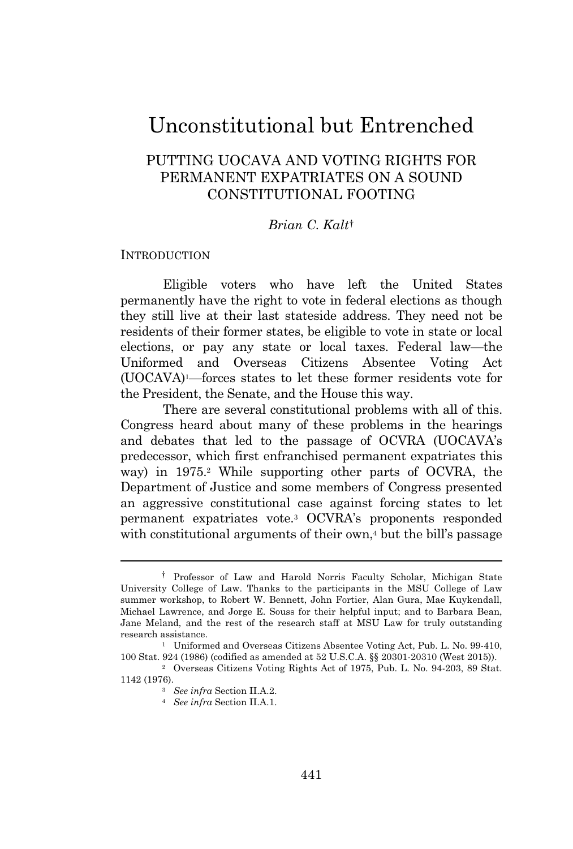# Unconstitutional but Entrenched

# PUTTING UOCAVA AND VOTING RIGHTS FOR PERMANENT EXPATRIATES ON A SOUND CONSTITUTIONAL FOOTING

# *Brian C. Kalt*†

# **INTRODUCTION**

Eligible voters who have left the United States permanently have the right to vote in federal elections as though they still live at their last stateside address. They need not be residents of their former states, be eligible to vote in state or local elections, or pay any state or local taxes. Federal law—the Uniformed and Overseas Citizens Absentee Voting Act (UOCAVA)1—forces states to let these former residents vote for the President, the Senate, and the House this way.

There are several constitutional problems with all of this. Congress heard about many of these problems in the hearings and debates that led to the passage of OCVRA (UOCAVA's predecessor, which first enfranchised permanent expatriates this way) in 1975.<sup>2</sup> While supporting other parts of OCVRA, the Department of Justice and some members of Congress presented an aggressive constitutional case against forcing states to let permanent expatriates vote.<sup>3</sup> OCVRA's proponents responded with constitutional arguments of their own,<sup> $4$ </sup> but the bill's passage

<sup>†</sup> Professor of Law and Harold Norris Faculty Scholar, Michigan State University College of Law. Thanks to the participants in the MSU College of Law summer workshop, to Robert W. Bennett, John Fortier, Alan Gura, Mae Kuykendall, Michael Lawrence, and Jorge E. Souss for their helpful input; and to Barbara Bean, Jane Meland, and the rest of the research staff at MSU Law for truly outstanding research assistance.

<sup>1</sup> Uniformed and Overseas Citizens Absentee Voting Act, Pub. L. No. 99-410, 100 Stat. 924 (1986) (codified as amended at 52 U.S.C.A. §§ 20301-20310 (West 2015)).

<sup>2</sup> Overseas Citizens Voting Rights Act of 1975, Pub. L. No. 94-203, 89 Stat. 1142 (1976).

<sup>3</sup> *See infra* Section II.A.2.

<sup>4</sup> *See infra* Section II.A.1.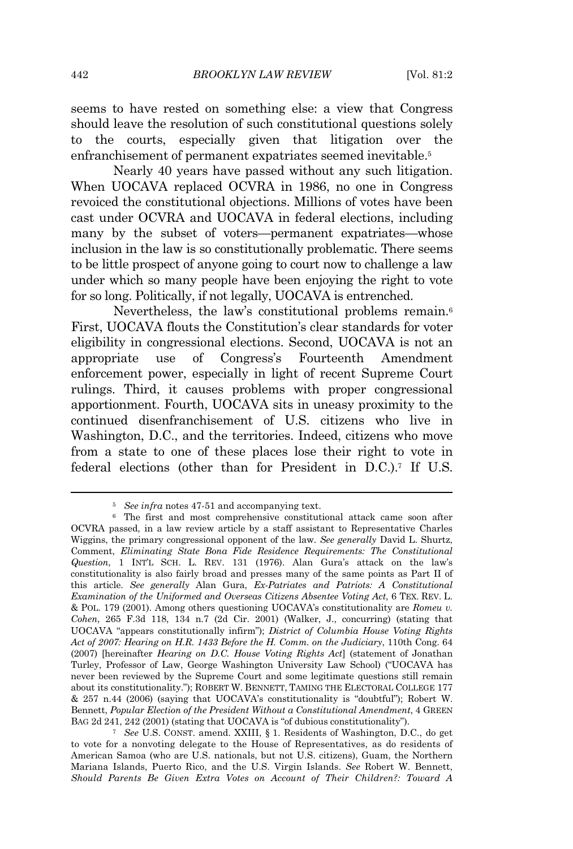seems to have rested on something else: a view that Congress should leave the resolution of such constitutional questions solely to the courts, especially given that litigation over the enfranchisement of permanent expatriates seemed inevitable.<sup>5</sup>

Nearly 40 years have passed without any such litigation. When UOCAVA replaced OCVRA in 1986, no one in Congress revoiced the constitutional objections. Millions of votes have been cast under OCVRA and UOCAVA in federal elections, including many by the subset of voters—permanent expatriates—whose inclusion in the law is so constitutionally problematic. There seems to be little prospect of anyone going to court now to challenge a law under which so many people have been enjoying the right to vote for so long. Politically, if not legally, UOCAVA is entrenched.

Nevertheless, the law's constitutional problems remain.<sup>6</sup> First, UOCAVA flouts the Constitution's clear standards for voter eligibility in congressional elections. Second, UOCAVA is not an appropriate use of Congress's Fourteenth Amendment enforcement power, especially in light of recent Supreme Court rulings. Third, it causes problems with proper congressional apportionment. Fourth, UOCAVA sits in uneasy proximity to the continued disenfranchisement of U.S. citizens who live in Washington, D.C., and the territories. Indeed, citizens who move from a state to one of these places lose their right to vote in federal elections (other than for President in D.C.).<sup>7</sup> If U.S.

<sup>5</sup> *See infra* notes 47-51 and accompanying text.

<sup>6</sup> The first and most comprehensive constitutional attack came soon after OCVRA passed, in a law review article by a staff assistant to Representative Charles Wiggins, the primary congressional opponent of the law. *See generally* David L. Shurtz, Comment, *Eliminating State Bona Fide Residence Requirements: The Constitutional Question*, 1 INT'<sup>L</sup> SCH. L. REV. 131 (1976). Alan Gura's attack on the law's constitutionality is also fairly broad and presses many of the same points as Part II of this article. *See generally* Alan Gura, *Ex-Patriates and Patriots: A Constitutional Examination of the Uniformed and Overseas Citizens Absentee Voting Act*, 6 TEX. REV. L. & POL. 179 (2001). Among others questioning UOCAVA's constitutionality are *Romeu v. Cohen*, 265 F.3d 118, 134 n.7 (2d Cir. 2001) (Walker, J., concurring) (stating that UOCAVA "appears constitutionally infirm"); *District of Columbia House Voting Rights Act of 2007: Hearing on H.R. 1433 Before the H. Comm. on the Judiciary*, 110th Cong. 64 (2007) [hereinafter *Hearing on D.C. House Voting Rights Act*] (statement of Jonathan Turley, Professor of Law, George Washington University Law School) ("UOCAVA has never been reviewed by the Supreme Court and some legitimate questions still remain about its constitutionality."); ROBERT W. BENNETT, TAMING THE ELECTORAL COLLEGE 177 & 257 n.44 (2006) (saying that UOCAVA's constitutionality is "doubtful"); Robert W. Bennett, *Popular Election of the President Without a Constitutional Amendment*, 4 GREEN BAG 2d 241, 242 (2001) (stating that UOCAVA is "of dubious constitutionality").

<sup>7</sup> *See* U.S. CONST. amend. XXIII, § 1. Residents of Washington, D.C., do get to vote for a nonvoting delegate to the House of Representatives, as do residents of American Samoa (who are U.S. nationals, but not U.S. citizens), Guam, the Northern Mariana Islands, Puerto Rico, and the U.S. Virgin Islands. *See* Robert W. Bennett, *Should Parents Be Given Extra Votes on Account of Their Children?: Toward A*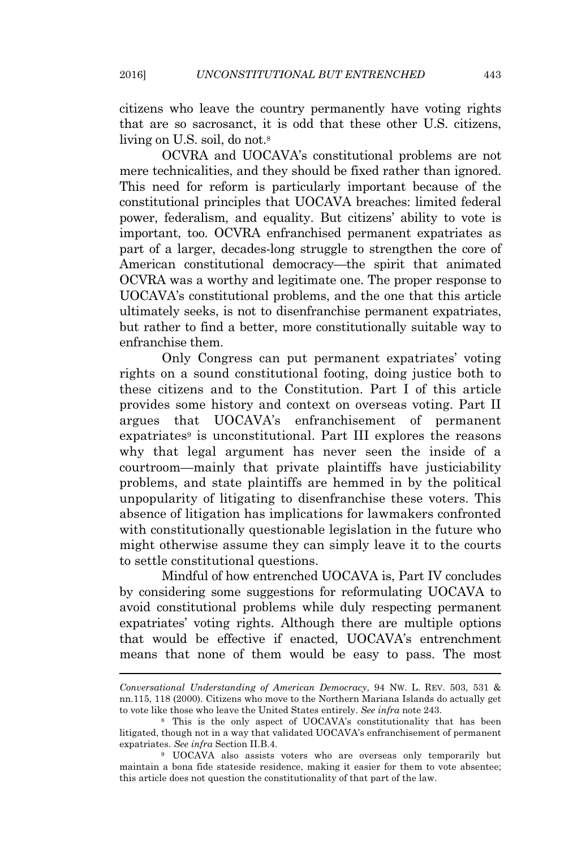citizens who leave the country permanently have voting rights that are so sacrosanct, it is odd that these other U.S. citizens, living on U.S. soil, do not.<sup>8</sup>

OCVRA and UOCAVA's constitutional problems are not mere technicalities, and they should be fixed rather than ignored. This need for reform is particularly important because of the constitutional principles that UOCAVA breaches: limited federal power, federalism, and equality. But citizens' ability to vote is important, too. OCVRA enfranchised permanent expatriates as part of a larger, decades-long struggle to strengthen the core of American constitutional democracy—the spirit that animated OCVRA was a worthy and legitimate one. The proper response to UOCAVA's constitutional problems, and the one that this article ultimately seeks, is not to disenfranchise permanent expatriates, but rather to find a better, more constitutionally suitable way to enfranchise them.

Only Congress can put permanent expatriates' voting rights on a sound constitutional footing, doing justice both to these citizens and to the Constitution. Part I of this article provides some history and context on overseas voting. Part II argues that UOCAVA's enfranchisement of permanent expatriates<sup>9</sup> is unconstitutional. Part III explores the reasons why that legal argument has never seen the inside of a courtroom—mainly that private plaintiffs have justiciability problems, and state plaintiffs are hemmed in by the political unpopularity of litigating to disenfranchise these voters. This absence of litigation has implications for lawmakers confronted with constitutionally questionable legislation in the future who might otherwise assume they can simply leave it to the courts to settle constitutional questions.

Mindful of how entrenched UOCAVA is, Part IV concludes by considering some suggestions for reformulating UOCAVA to avoid constitutional problems while duly respecting permanent expatriates' voting rights. Although there are multiple options that would be effective if enacted, UOCAVA's entrenchment means that none of them would be easy to pass. The most

*Conversational Understanding of American Democracy*, 94 NW. L. REV. 503, 531 & nn.115, 118 (2000). Citizens who move to the Northern Mariana Islands do actually get to vote like those who leave the United States entirely. *See infra* note 243.

<sup>8</sup> This is the only aspect of UOCAVA's constitutionality that has been litigated, though not in a way that validated UOCAVA's enfranchisement of permanent expatriates. *See infra* Section II.B.4.

<sup>9</sup> UOCAVA also assists voters who are overseas only temporarily but maintain a bona fide stateside residence, making it easier for them to vote absentee; this article does not question the constitutionality of that part of the law.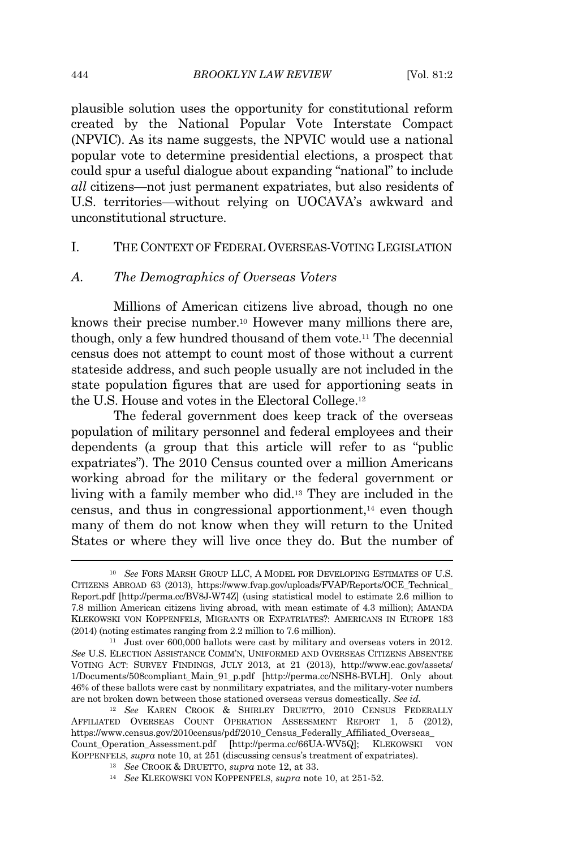plausible solution uses the opportunity for constitutional reform created by the National Popular Vote Interstate Compact (NPVIC). As its name suggests, the NPVIC would use a national popular vote to determine presidential elections, a prospect that could spur a useful dialogue about expanding "national" to include *all* citizens—not just permanent expatriates, but also residents of U.S. territories—without relying on UOCAVA's awkward and unconstitutional structure.

# I. THE CONTEXT OF FEDERAL OVERSEAS-VOTING LEGISLATION

#### *A. The Demographics of Overseas Voters*

Millions of American citizens live abroad, though no one knows their precise number.<sup>10</sup> However many millions there are, though, only a few hundred thousand of them vote.<sup>11</sup> The decennial census does not attempt to count most of those without a current stateside address, and such people usually are not included in the state population figures that are used for apportioning seats in the U.S. House and votes in the Electoral College.<sup>12</sup>

The federal government does keep track of the overseas population of military personnel and federal employees and their dependents (a group that this article will refer to as "public expatriates"). The 2010 Census counted over a million Americans working abroad for the military or the federal government or living with a family member who did.<sup>13</sup> They are included in the census, and thus in congressional apportionment, $^{14}$  even though many of them do not know when they will return to the United States or where they will live once they do. But the number of

<sup>10</sup> *See* FORS MARSH GROUP LLC, A MODEL FOR DEVELOPING ESTIMATES OF U.S. CITIZENS ABROAD 63 (2013), https://www.fvap.gov/uploads/FVAP/Reports/OCE\_Technical\_ Report.pdf [http://perma.cc/BV8J-W74Z] (using statistical model to estimate 2.6 million to 7.8 million American citizens living abroad, with mean estimate of 4.3 million); AMANDA KLEKOWSKI VON KOPPENFELS, MIGRANTS OR EXPATRIATES?: AMERICANS IN EUROPE 183 (2014) (noting estimates ranging from 2.2 million to 7.6 million).

<sup>11</sup> Just over 600,000 ballots were cast by military and overseas voters in 2012. *See* U.S. ELECTION ASSISTANCE COMM'N, UNIFORMED AND OVERSEAS CITIZENS ABSENTEE VOTING ACT: SURVEY FINDINGS, JULY 2013, at 21 (2013), http://www.eac.gov/assets/ 1/Documents/508compliant\_Main\_91\_p.pdf [http://perma.cc/NSH8-BVLH]. Only about 46% of these ballots were cast by nonmilitary expatriates, and the military-voter numbers are not broken down between those stationed overseas versus domestically. *See id.*

<sup>12</sup> *See* KAREN CROOK & SHIRLEY DRUETTO, 2010 CENSUS FEDERALLY AFFILIATED OVERSEAS COUNT OPERATION ASSESSMENT REPORT 1, 5 (2012), https://www.census.gov/2010census/pdf/2010\_Census\_Federally\_Affiliated\_Overseas\_ Count\_Operation\_Assessment.pdf [http://perma.cc/66UA-WV5Q]; KLEKOWSKI VON KOPPENFELS, *supra* note 10, at 251 (discussing census's treatment of expatriates).

<sup>13</sup> *See* CROOK & DRUETTO, *supra* note 12, at 33.

<sup>14</sup> *See* KLEKOWSKI VON KOPPENFELS, *supra* note 10, at 251-52.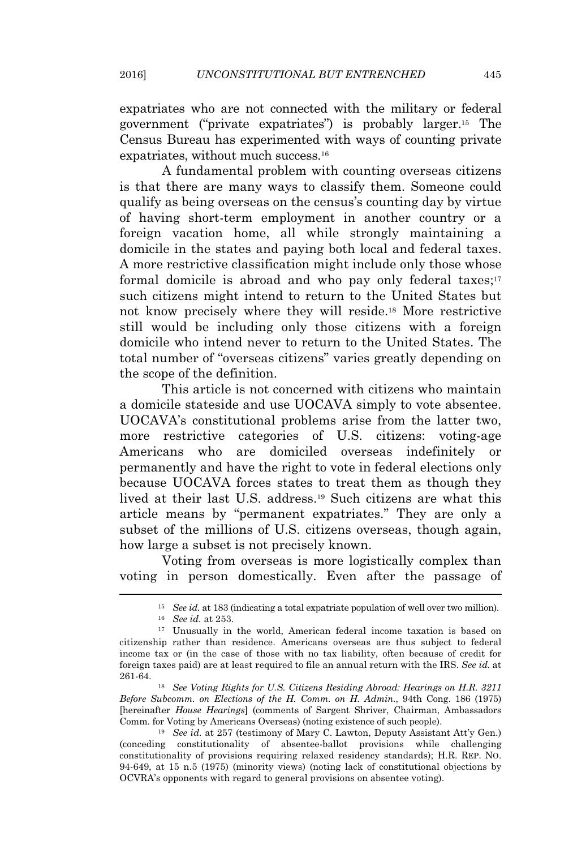expatriates who are not connected with the military or federal government ("private expatriates") is probably larger.<sup>15</sup> The Census Bureau has experimented with ways of counting private expatriates, without much success.<sup>16</sup>

A fundamental problem with counting overseas citizens is that there are many ways to classify them. Someone could qualify as being overseas on the census's counting day by virtue of having short-term employment in another country or a foreign vacation home, all while strongly maintaining a domicile in the states and paying both local and federal taxes. A more restrictive classification might include only those whose formal domicile is abroad and who pay only federal taxes; $17$ such citizens might intend to return to the United States but not know precisely where they will reside.<sup>18</sup> More restrictive still would be including only those citizens with a foreign domicile who intend never to return to the United States. The total number of "overseas citizens" varies greatly depending on the scope of the definition.

This article is not concerned with citizens who maintain a domicile stateside and use UOCAVA simply to vote absentee. UOCAVA's constitutional problems arise from the latter two, more restrictive categories of U.S. citizens: voting-age Americans who are domiciled overseas indefinitely or permanently and have the right to vote in federal elections only because UOCAVA forces states to treat them as though they lived at their last U.S. address.<sup>19</sup> Such citizens are what this article means by "permanent expatriates." They are only a subset of the millions of U.S. citizens overseas, though again, how large a subset is not precisely known.

Voting from overseas is more logistically complex than voting in person domestically. Even after the passage of

<sup>18</sup> *See Voting Rights for U.S. Citizens Residing Abroad: Hearings on H.R. 3211 Before Subcomm. on Elections of the H. Comm. on H. Admin.*, 94th Cong. 186 (1975) [hereinafter *House Hearings*] (comments of Sargent Shriver, Chairman, Ambassadors Comm. for Voting by Americans Overseas) (noting existence of such people).

<sup>19</sup> *See id.* at 257 (testimony of Mary C. Lawton, Deputy Assistant Att'y Gen.) (conceding constitutionality of absentee-ballot provisions while challenging constitutionality of provisions requiring relaxed residency standards); H.R. REP. NO. 94-649, at 15 n.5 (1975) (minority views) (noting lack of constitutional objections by OCVRA's opponents with regard to general provisions on absentee voting).

<sup>15</sup> *See id.* at 183 (indicating a total expatriate population of well over two million).

<sup>16</sup> *See id.* at 253.

<sup>17</sup> Unusually in the world, American federal income taxation is based on citizenship rather than residence. Americans overseas are thus subject to federal income tax or (in the case of those with no tax liability, often because of credit for foreign taxes paid) are at least required to file an annual return with the IRS. *See id.* at 261-64.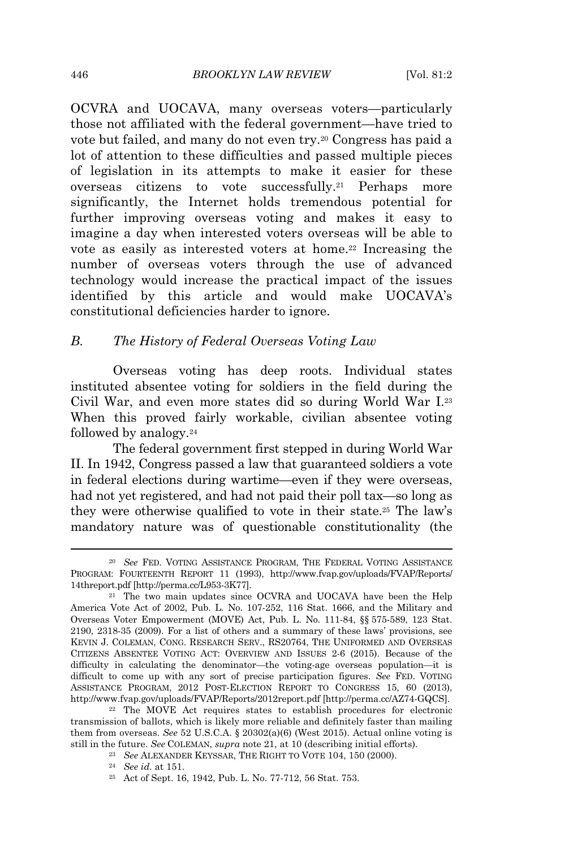OCVRA and UOCAVA, many overseas voters—particularly those not affiliated with the federal government—have tried to vote but failed, and many do not even try.<sup>20</sup> Congress has paid a lot of attention to these difficulties and passed multiple pieces of legislation in its attempts to make it easier for these overseas citizens to vote successfully.<sup>21</sup> Perhaps more significantly, the Internet holds tremendous potential for further improving overseas voting and makes it easy to imagine a day when interested voters overseas will be able to vote as easily as interested voters at home.<sup>22</sup> Increasing the number of overseas voters through the use of advanced technology would increase the practical impact of the issues identified by this article and would make UOCAVA's constitutional deficiencies harder to ignore.

# *B. The History of Federal Overseas Voting Law*

Overseas voting has deep roots. Individual states instituted absentee voting for soldiers in the field during the Civil War, and even more states did so during World War I.<sup>23</sup> When this proved fairly workable, civilian absentee voting followed by analogy.<sup>24</sup>

The federal government first stepped in during World War II. In 1942, Congress passed a law that guaranteed soldiers a vote in federal elections during wartime—even if they were overseas, had not yet registered, and had not paid their poll tax—so long as they were otherwise qualified to vote in their state.<sup>25</sup> The law's mandatory nature was of questionable constitutionality (the

<sup>20</sup> *See* FED. VOTING ASSISTANCE PROGRAM, THE FEDERAL VOTING ASSISTANCE PROGRAM: FOURTEENTH REPORT 11 (1993), http://www.fvap.gov/uploads/FVAP/Reports/ 14threport.pdf [http://perma.cc/L953-3K77].

<sup>&</sup>lt;sup>21</sup> The two main updates since OCVRA and UOCAVA have been the Help America Vote Act of 2002, Pub. L. No. 107-252, 116 Stat. 1666, and the Military and Overseas Voter Empowerment (MOVE) Act, Pub. L. No. 111-84, §§ 575-589, 123 Stat. 2190, 2318-35 (2009). For a list of others and a summary of these laws' provisions, see KEVIN J. COLEMAN, CONG. RESEARCH SERV., RS20764, THE UNIFORMED AND OVERSEAS CITIZENS ABSENTEE VOTING ACT: OVERVIEW AND ISSUES 2-6 (2015). Because of the difficulty in calculating the denominator—the voting-age overseas population—it is difficult to come up with any sort of precise participation figures. *See* FED. VOTING ASSISTANCE PROGRAM, 2012 POST-ELECTION REPORT TO CONGRESS 15, 60 (2013), http://www.fvap.gov/uploads/FVAP/Reports/2012report.pdf [http://perma.cc/AZ74-GQCS].

<sup>22</sup> The MOVE Act requires states to establish procedures for electronic transmission of ballots, which is likely more reliable and definitely faster than mailing them from overseas. *See* 52 U.S.C.A. § 20302(a)(6) (West 2015). Actual online voting is still in the future. *See* COLEMAN, *supra* note 21, at 10 (describing initial efforts).

<sup>23</sup> *See* ALEXANDER KEYSSAR, THE RIGHT TO VOTE 104, 150 (2000).

<sup>24</sup> *See id.* at 151.

<sup>25</sup> Act of Sept. 16, 1942, Pub. L. No. 77-712, 56 Stat. 753.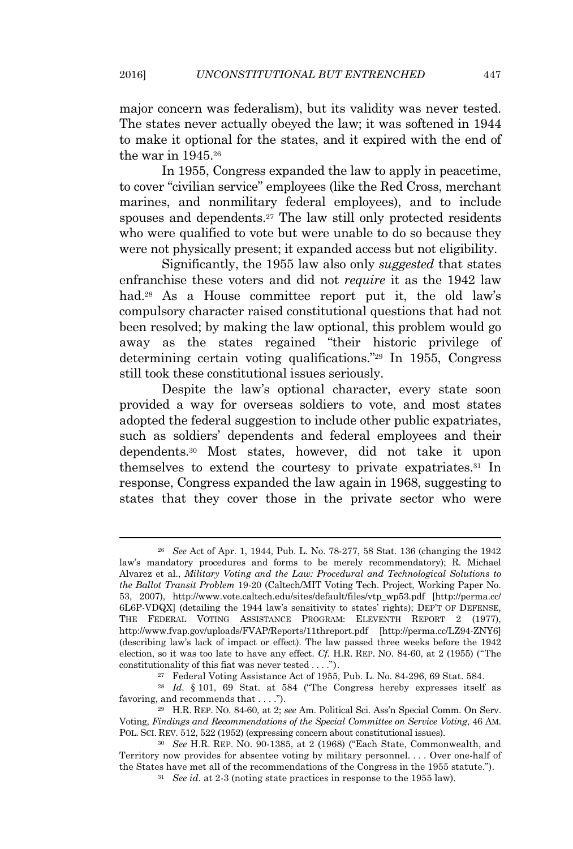major concern was federalism), but its validity was never tested. The states never actually obeyed the law; it was softened in 1944 to make it optional for the states, and it expired with the end of the war in 1945.<sup>26</sup>

In 1955, Congress expanded the law to apply in peacetime, to cover "civilian service" employees (like the Red Cross, merchant marines, and nonmilitary federal employees), and to include spouses and dependents.<sup>27</sup> The law still only protected residents who were qualified to vote but were unable to do so because they were not physically present; it expanded access but not eligibility.

Significantly, the 1955 law also only *suggested* that states enfranchise these voters and did not *require* it as the 1942 law had.<sup>28</sup> As a House committee report put it, the old law's compulsory character raised constitutional questions that had not been resolved; by making the law optional, this problem would go away as the states regained "their historic privilege of determining certain voting qualifications." <sup>29</sup> In 1955, Congress still took these constitutional issues seriously.

Despite the law's optional character, every state soon provided a way for overseas soldiers to vote, and most states adopted the federal suggestion to include other public expatriates, such as soldiers' dependents and federal employees and their dependents.<sup>30</sup> Most states, however, did not take it upon themselves to extend the courtesy to private expatriates.<sup>31</sup> In response, Congress expanded the law again in 1968, suggesting to states that they cover those in the private sector who were

<sup>26</sup> *See* Act of Apr. 1, 1944, Pub. L. No. 78-277, 58 Stat. 136 (changing the 1942 law's mandatory procedures and forms to be merely recommendatory); R. Michael Alvarez et al., *Military Voting and the Law: Procedural and Technological Solutions to the Ballot Transit Problem* 19-20 (Caltech/MIT Voting Tech. Project, Working Paper No. 53, 2007), http://www.vote.caltech.edu/sites/default/files/vtp\_wp53.pdf [http://perma.cc/ 6L6P-VDQX] (detailing the 1944 law's sensitivity to states' rights); DEP'<sup>T</sup> OF DEFENSE, THE FEDERAL VOTING ASSISTANCE PROGRAM: ELEVENTH REPORT 2 (1977), http://www.fvap.gov/uploads/FVAP/Reports/11threport.pdf [http://perma.cc/LZ94-ZNY6] (describing law's lack of impact or effect). The law passed three weeks before the 1942 election, so it was too late to have any effect. *Cf.* H.R. REP. NO. 84-60, at 2 (1955) ("The constitutionality of this fiat was never tested . . . .").

<sup>27</sup> Federal Voting Assistance Act of 1955, Pub. L. No. 84-296, 69 Stat. 584.

<sup>28</sup> *Id.* § 101, 69 Stat. at 584 ("The Congress hereby expresses itself as favoring, and recommends that . . . .").

<sup>29</sup> H.R. REP. NO. 84-60, at 2; *see* Am. Political Sci. Ass'n Special Comm. On Serv. Voting, *Findings and Recommendations of the Special Committee on Service Voting*, 46 AM. POL. SCI. REV. 512, 522 (1952) (expressing concern about constitutional issues).

<sup>30</sup> *See* H.R. REP. NO. 90-1385, at 2 (1968) ("Each State, Commonwealth, and Territory now provides for absentee voting by military personnel. . . . Over one-half of the States have met all of the recommendations of the Congress in the 1955 statute.").

<sup>31</sup> *See id.* at 2-3 (noting state practices in response to the 1955 law).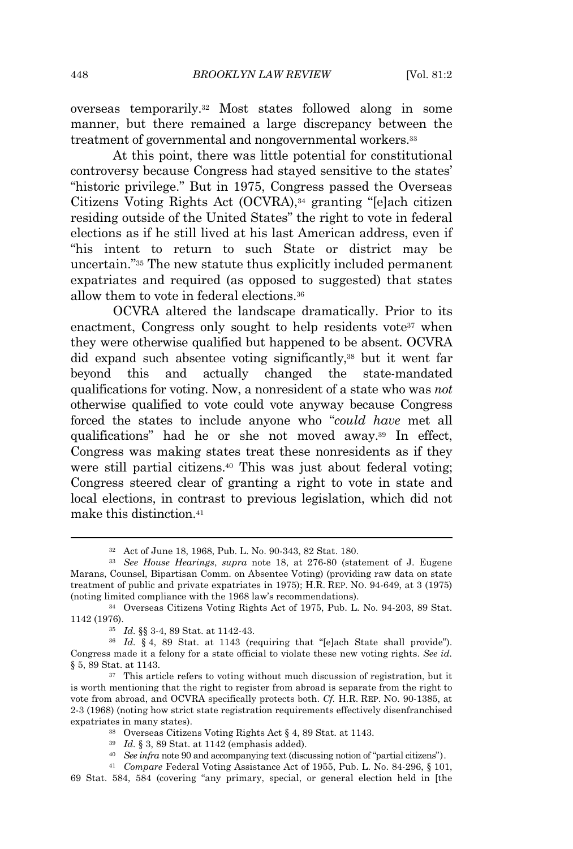overseas temporarily.<sup>32</sup> Most states followed along in some manner, but there remained a large discrepancy between the treatment of governmental and nongovernmental workers.<sup>33</sup>

At this point, there was little potential for constitutional controversy because Congress had stayed sensitive to the states' "historic privilege." But in 1975, Congress passed the Overseas Citizens Voting Rights Act (OCVRA),<sup>34</sup> granting "[e]ach citizen residing outside of the United States" the right to vote in federal elections as if he still lived at his last American address, even if "his intent to return to such State or district may be uncertain." <sup>35</sup> The new statute thus explicitly included permanent expatriates and required (as opposed to suggested) that states allow them to vote in federal elections.<sup>36</sup>

OCVRA altered the landscape dramatically. Prior to its enactment, Congress only sought to help residents vote<sup>37</sup> when they were otherwise qualified but happened to be absent. OCVRA did expand such absentee voting significantly,<sup>38</sup> but it went far beyond this and actually changed the state-mandated qualifications for voting. Now, a nonresident of a state who was *not* otherwise qualified to vote could vote anyway because Congress forced the states to include anyone who "*could have* met all qualifications" had he or she not moved away.<sup>39</sup> In effect, Congress was making states treat these nonresidents as if they were still partial citizens.<sup>40</sup> This was just about federal voting; Congress steered clear of granting a right to vote in state and local elections, in contrast to previous legislation, which did not make this distinction.<sup>41</sup>

<sup>40</sup> *See infra* note 90 and accompanying text (discussing notion of "partial citizens").

<sup>32</sup> Act of June 18, 1968, Pub. L. No. 90-343, 82 Stat. 180.

<sup>33</sup> *See House Hearings*, *supra* note 18, at 276-80 (statement of J. Eugene Marans, Counsel, Bipartisan Comm. on Absentee Voting) (providing raw data on state treatment of public and private expatriates in 1975); H.R. REP. NO. 94-649, at 3 (1975) (noting limited compliance with the 1968 law's recommendations).

<sup>34</sup> Overseas Citizens Voting Rights Act of 1975, Pub. L. No. 94-203, 89 Stat. 1142 (1976).

<sup>35</sup> *Id.* §§ 3-4, 89 Stat. at 1142-43.

<sup>36</sup> *Id.* § 4, 89 Stat. at 1143 (requiring that "[e]ach State shall provide"). Congress made it a felony for a state official to violate these new voting rights. *See id.* § 5, 89 Stat. at 1143.

<sup>&</sup>lt;sup>37</sup> This article refers to voting without much discussion of registration, but it is worth mentioning that the right to register from abroad is separate from the right to vote from abroad, and OCVRA specifically protects both. *Cf.* H.R. REP. NO. 90-1385, at 2-3 (1968) (noting how strict state registration requirements effectively disenfranchised expatriates in many states).

<sup>38</sup> Overseas Citizens Voting Rights Act § 4, 89 Stat. at 1143.

<sup>39</sup> *Id.* § 3, 89 Stat. at 1142 (emphasis added).

<sup>41</sup> *Compare* Federal Voting Assistance Act of 1955, Pub. L. No. 84-296, § 101,

<sup>69</sup> Stat. 584, 584 (covering "any primary, special, or general election held in [the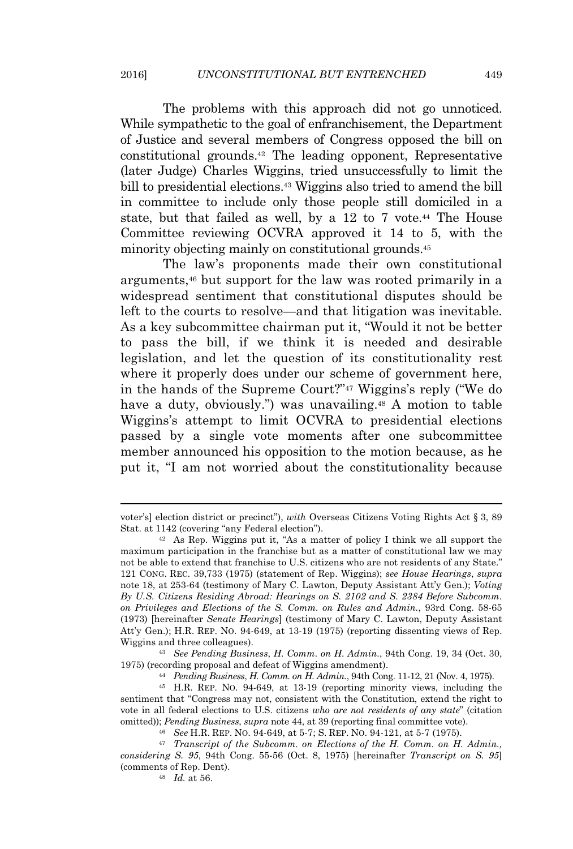The problems with this approach did not go unnoticed. While sympathetic to the goal of enfranchisement, the Department of Justice and several members of Congress opposed the bill on constitutional grounds.<sup>42</sup> The leading opponent, Representative (later Judge) Charles Wiggins, tried unsuccessfully to limit the bill to presidential elections.<sup>43</sup> Wiggins also tried to amend the bill in committee to include only those people still domiciled in a state, but that failed as well, by a 12 to 7 vote.<sup>44</sup> The House Committee reviewing OCVRA approved it 14 to 5, with the minority objecting mainly on constitutional grounds.<sup>45</sup>

The law's proponents made their own constitutional arguments,<sup>46</sup> but support for the law was rooted primarily in a widespread sentiment that constitutional disputes should be left to the courts to resolve—and that litigation was inevitable. As a key subcommittee chairman put it, "Would it not be better to pass the bill, if we think it is needed and desirable legislation, and let the question of its constitutionality rest where it properly does under our scheme of government here, in the hands of the Supreme Court?" <sup>47</sup> Wiggins's reply ("We do have a duty, obviously.") was unavailing.<sup>48</sup> A motion to table Wiggins's attempt to limit OCVRA to presidential elections passed by a single vote moments after one subcommittee member announced his opposition to the motion because, as he put it, "I am not worried about the constitutionality because

<sup>43</sup> *See Pending Business*, *H. Comm. on H. Admin.*, 94th Cong. 19, 34 (Oct. 30, 1975) (recording proposal and defeat of Wiggins amendment).

voter's] election district or precinct"), *with* Overseas Citizens Voting Rights Act § 3, 89 Stat. at 1142 (covering "any Federal election").

<sup>42</sup> As Rep. Wiggins put it, "As a matter of policy I think we all support the maximum participation in the franchise but as a matter of constitutional law we may not be able to extend that franchise to U.S. citizens who are not residents of any State." 121 CONG. REC. 39,733 (1975) (statement of Rep. Wiggins); *see House Hearings*, *supra* note 18, at 253-64 (testimony of Mary C. Lawton, Deputy Assistant Att'y Gen.); *Voting By U.S. Citizens Residing Abroad: Hearings on S. 2102 and S. 2384 Before Subcomm. on Privileges and Elections of the S. Comm. on Rules and Admin.*, 93rd Cong. 58-65 (1973) [hereinafter *Senate Hearings*] (testimony of Mary C. Lawton, Deputy Assistant Att'y Gen.); H.R. REP. NO. 94-649, at 13-19 (1975) (reporting dissenting views of Rep. Wiggins and three colleagues).

<sup>44</sup> *Pending Business*, *H. Comm. on H. Admin.*, 94th Cong. 11-12, 21 (Nov. 4, 1975).

<sup>45</sup> H.R. REP. NO. 94-649, at 13-19 (reporting minority views, including the sentiment that "Congress may not, consistent with the Constitution, extend the right to vote in all federal elections to U.S. citizens *who are not residents of any state*" (citation omitted)); *Pending Business*, *supra* note 44, at 39 (reporting final committee vote).

<sup>46</sup> *See* H.R. REP. NO. 94-649, at 5-7; S. REP. NO. 94-121, at 5-7 (1975).

<sup>47</sup> *Transcript of the Subcomm. on Elections of the H. Comm. on H. Admin., considering S. 95*, 94th Cong. 55-56 (Oct. 8, 1975) [hereinafter *Transcript on S. 95*] (comments of Rep. Dent).

<sup>48</sup> *Id.* at 56.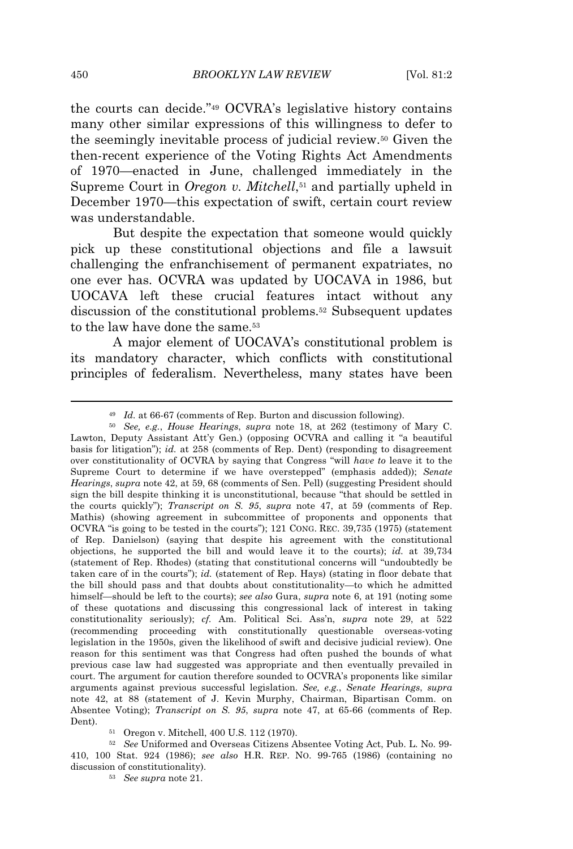the courts can decide." <sup>49</sup> OCVRA's legislative history contains many other similar expressions of this willingness to defer to the seemingly inevitable process of judicial review.<sup>50</sup> Given the then-recent experience of the Voting Rights Act Amendments of 1970—enacted in June, challenged immediately in the Supreme Court in *Oregon v. Mitchell*,<sup>51</sup> and partially upheld in December 1970—this expectation of swift, certain court review was understandable.

But despite the expectation that someone would quickly pick up these constitutional objections and file a lawsuit challenging the enfranchisement of permanent expatriates, no one ever has. OCVRA was updated by UOCAVA in 1986, but UOCAVA left these crucial features intact without any discussion of the constitutional problems.<sup>52</sup> Subsequent updates to the law have done the same.<sup>53</sup>

A major element of UOCAVA's constitutional problem is its mandatory character, which conflicts with constitutional principles of federalism. Nevertheless, many states have been

<sup>49</sup> *Id.* at 66-67 (comments of Rep. Burton and discussion following).

<sup>50</sup> *See, e.g.*, *House Hearings*, *supra* note 18, at 262 (testimony of Mary C. Lawton, Deputy Assistant Att'y Gen.) (opposing OCVRA and calling it "a beautiful basis for litigation"); *id.* at 258 (comments of Rep. Dent) (responding to disagreement over constitutionality of OCVRA by saying that Congress "will *have to* leave it to the Supreme Court to determine if we have overstepped" (emphasis added)); *Senate Hearings*, *supra* note 42, at 59, 68 (comments of Sen. Pell) (suggesting President should sign the bill despite thinking it is unconstitutional, because "that should be settled in the courts quickly"); *Transcript on S. 95*, *supra* note 47, at 59 (comments of Rep. Mathis) (showing agreement in subcommittee of proponents and opponents that OCVRA "is going to be tested in the courts"); 121 CONG. REC. 39,735 (1975) (statement of Rep. Danielson) (saying that despite his agreement with the constitutional objections, he supported the bill and would leave it to the courts); *id.* at 39,734 (statement of Rep. Rhodes) (stating that constitutional concerns will "undoubtedly be taken care of in the courts"); *id.* (statement of Rep. Hays) (stating in floor debate that the bill should pass and that doubts about constitutionality—to which he admitted himself—should be left to the courts); *see also* Gura, *supra* note 6, at 191 (noting some of these quotations and discussing this congressional lack of interest in taking constitutionality seriously); *cf.* Am. Political Sci. Ass'n, *supra* note 29, at 522 (recommending proceeding with constitutionally questionable overseas-voting legislation in the 1950s, given the likelihood of swift and decisive judicial review). One reason for this sentiment was that Congress had often pushed the bounds of what previous case law had suggested was appropriate and then eventually prevailed in court. The argument for caution therefore sounded to OCVRA's proponents like similar arguments against previous successful legislation. *See, e.g.*, *Senate Hearings*, *supra* note 42, at 88 (statement of J. Kevin Murphy, Chairman, Bipartisan Comm. on Absentee Voting); *Transcript on S. 95*, *supra* note 47, at 65-66 (comments of Rep. Dent).

<sup>51</sup> Oregon v. Mitchell, 400 U.S. 112 (1970).

<sup>52</sup> *See* Uniformed and Overseas Citizens Absentee Voting Act, Pub. L. No. 99- 410, 100 Stat. 924 (1986); *see also* H.R. REP. NO. 99-765 (1986) (containing no discussion of constitutionality).

<sup>53</sup> *See supra* note 21.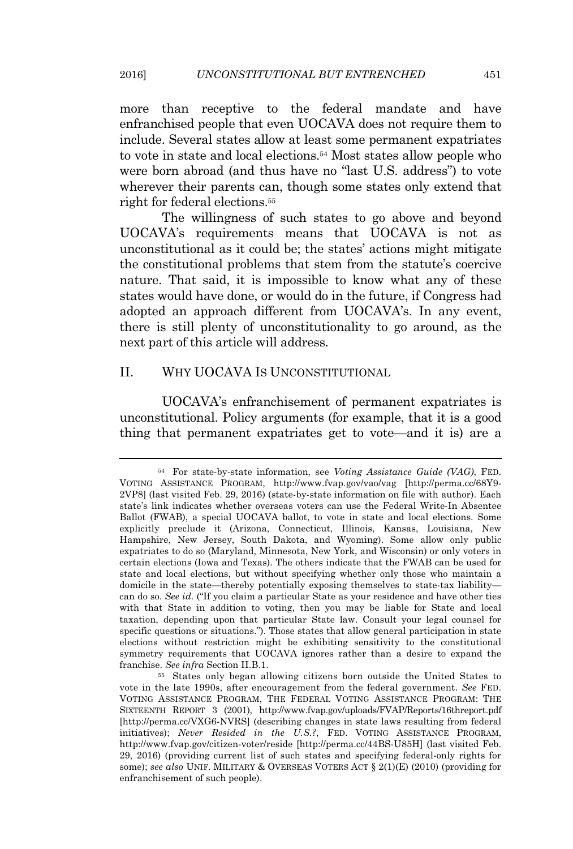more than receptive to the federal mandate and have enfranchised people that even UOCAVA does not require them to include. Several states allow at least some permanent expatriates to vote in state and local elections.<sup>54</sup> Most states allow people who were born abroad (and thus have no "last U.S. address") to vote wherever their parents can, though some states only extend that right for federal elections.<sup>55</sup>

The willingness of such states to go above and beyond UOCAVA's requirements means that UOCAVA is not as unconstitutional as it could be; the states' actions might mitigate the constitutional problems that stem from the statute's coercive nature. That said, it is impossible to know what any of these states would have done, or would do in the future, if Congress had adopted an approach different from UOCAVA's. In any event, there is still plenty of unconstitutionality to go around, as the next part of this article will address.

# II. WHY UOCAVA IS UNCONSTITUTIONAL

UOCAVA's enfranchisement of permanent expatriates is unconstitutional. Policy arguments (for example, that it is a good thing that permanent expatriates get to vote—and it is) are a

<sup>54</sup> For state-by-state information, see *Voting Assistance Guide (VAG)*, FED. VOTING ASSISTANCE PROGRAM, http://www.fvap.gov/vao/vag [http://perma.cc/68Y9- 2VP8] (last visited Feb. 29, 2016) (state-by-state information on file with author). Each state's link indicates whether overseas voters can use the Federal Write-In Absentee Ballot (FWAB), a special UOCAVA ballot, to vote in state and local elections. Some explicitly preclude it (Arizona, Connecticut, Illinois, Kansas, Louisiana, New Hampshire, New Jersey, South Dakota, and Wyoming). Some allow only public expatriates to do so (Maryland, Minnesota, New York, and Wisconsin) or only voters in certain elections (Iowa and Texas). The others indicate that the FWAB can be used for state and local elections, but without specifying whether only those who maintain a domicile in the state—thereby potentially exposing themselves to state-tax liability can do so. *See id.* ("If you claim a particular State as your residence and have other ties with that State in addition to voting, then you may be liable for State and local taxation, depending upon that particular State law. Consult your legal counsel for specific questions or situations."). Those states that allow general participation in state elections without restriction might be exhibiting sensitivity to the constitutional symmetry requirements that UOCAVA ignores rather than a desire to expand the franchise. *See infra* Section II.B.1.

<sup>55</sup> States only began allowing citizens born outside the United States to vote in the late 1990s, after encouragement from the federal government. *See* FED. VOTING ASSISTANCE PROGRAM, THE FEDERAL VOTING ASSISTANCE PROGRAM: THE SIXTEENTH REPORT 3 (2001), http://www.fvap.gov/uploads/FVAP/Reports/16threport.pdf [http://perma.cc/VXG6-NVRS] (describing changes in state laws resulting from federal initiatives); *Never Resided in the U.S.?*, FED. VOTING ASSISTANCE PROGRAM, http://www.fvap.gov/citizen-voter/reside [http://perma.cc/44BS-U85H] (last visited Feb. 29, 2016) (providing current list of such states and specifying federal-only rights for some); *see also* UNIF. MILITARY & OVERSEAS VOTERS ACT § 2(1)(E) (2010) (providing for enfranchisement of such people).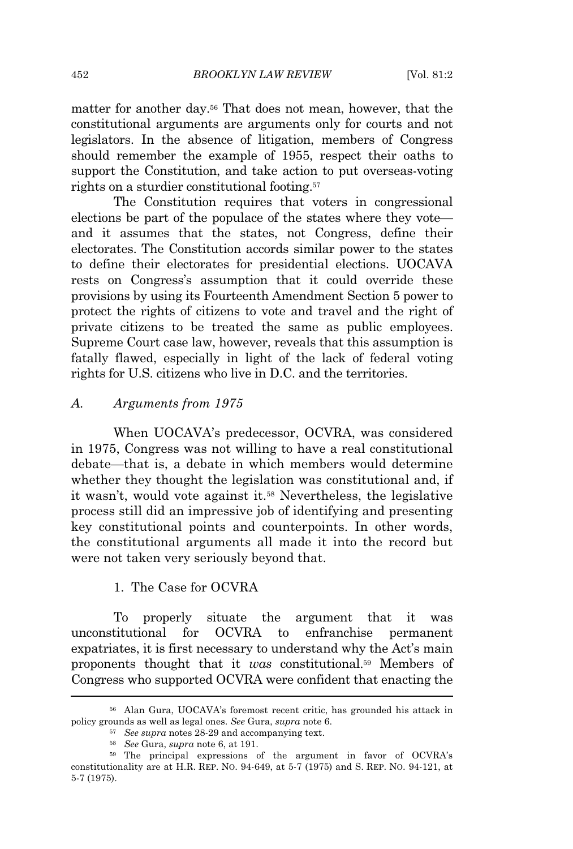matter for another day.<sup>56</sup> That does not mean, however, that the constitutional arguments are arguments only for courts and not legislators. In the absence of litigation, members of Congress should remember the example of 1955, respect their oaths to support the Constitution, and take action to put overseas-voting rights on a sturdier constitutional footing.<sup>57</sup>

The Constitution requires that voters in congressional elections be part of the populace of the states where they vote and it assumes that the states, not Congress, define their electorates. The Constitution accords similar power to the states to define their electorates for presidential elections. UOCAVA rests on Congress's assumption that it could override these provisions by using its Fourteenth Amendment Section 5 power to protect the rights of citizens to vote and travel and the right of private citizens to be treated the same as public employees. Supreme Court case law, however, reveals that this assumption is fatally flawed, especially in light of the lack of federal voting rights for U.S. citizens who live in D.C. and the territories.

#### *A. Arguments from 1975*

When UOCAVA's predecessor, OCVRA, was considered in 1975, Congress was not willing to have a real constitutional debate—that is, a debate in which members would determine whether they thought the legislation was constitutional and, if it wasn't, would vote against it.<sup>58</sup> Nevertheless, the legislative process still did an impressive job of identifying and presenting key constitutional points and counterpoints. In other words, the constitutional arguments all made it into the record but were not taken very seriously beyond that.

# 1. The Case for OCVRA

To properly situate the argument that it was unconstitutional for OCVRA to enfranchise permanent expatriates, it is first necessary to understand why the Act's main proponents thought that it *was* constitutional.<sup>59</sup> Members of Congress who supported OCVRA were confident that enacting the

<sup>56</sup> Alan Gura, UOCAVA's foremost recent critic, has grounded his attack in policy grounds as well as legal ones. *See* Gura, *supra* note 6.

<sup>57</sup> *See supra* notes 28-29 and accompanying text.

<sup>58</sup> *See* Gura, *supra* note 6, at 191.

<sup>59</sup> The principal expressions of the argument in favor of OCVRA's constitutionality are at H.R. REP. NO. 94-649, at 5-7 (1975) and S. REP. NO. 94-121, at 5-7 (1975).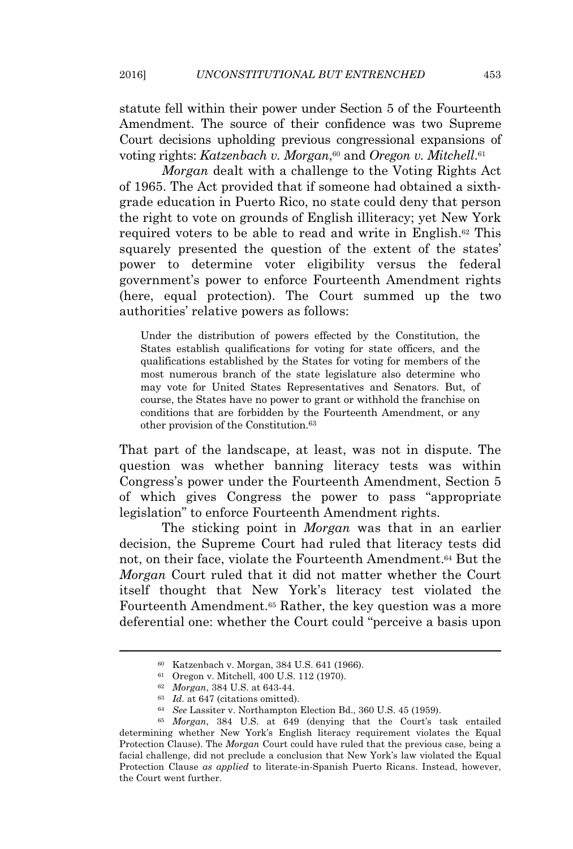statute fell within their power under Section 5 of the Fourteenth Amendment. The source of their confidence was two Supreme Court decisions upholding previous congressional expansions of voting rights: *Katzenbach v. Morgan*,<sup>60</sup> and *Oregon v. Mitchell*.<sup>61</sup>

*Morgan* dealt with a challenge to the Voting Rights Act of 1965. The Act provided that if someone had obtained a sixthgrade education in Puerto Rico, no state could deny that person the right to vote on grounds of English illiteracy; yet New York required voters to be able to read and write in English.<sup>62</sup> This squarely presented the question of the extent of the states' power to determine voter eligibility versus the federal government's power to enforce Fourteenth Amendment rights (here, equal protection). The Court summed up the two authorities' relative powers as follows:

Under the distribution of powers effected by the Constitution, the States establish qualifications for voting for state officers, and the qualifications established by the States for voting for members of the most numerous branch of the state legislature also determine who may vote for United States Representatives and Senators. But, of course, the States have no power to grant or withhold the franchise on conditions that are forbidden by the Fourteenth Amendment, or any other provision of the Constitution.<sup>63</sup>

That part of the landscape, at least, was not in dispute. The question was whether banning literacy tests was within Congress's power under the Fourteenth Amendment, Section 5 of which gives Congress the power to pass "appropriate legislation" to enforce Fourteenth Amendment rights.

The sticking point in *Morgan* was that in an earlier decision, the Supreme Court had ruled that literacy tests did not, on their face, violate the Fourteenth Amendment.<sup>64</sup> But the *Morgan* Court ruled that it did not matter whether the Court itself thought that New York's literacy test violated the Fourteenth Amendment.<sup>65</sup> Rather, the key question was a more deferential one: whether the Court could "perceive a basis upon

<sup>60</sup> Katzenbach v. Morgan, 384 U.S. 641 (1966).

<sup>61</sup> Oregon v. Mitchell, 400 U.S. 112 (1970).

<sup>62</sup> *Morgan*, 384 U.S. at 643-44.

<sup>63</sup> *Id.* at 647 (citations omitted).

<sup>64</sup> *See* Lassiter v. Northampton Election Bd., 360 U.S. 45 (1959).

<sup>65</sup> *Morgan*, 384 U.S. at 649 (denying that the Court's task entailed determining whether New York's English literacy requirement violates the Equal Protection Clause). The *Morgan* Court could have ruled that the previous case, being a facial challenge, did not preclude a conclusion that New York's law violated the Equal Protection Clause *as applied* to literate-in-Spanish Puerto Ricans. Instead, however, the Court went further.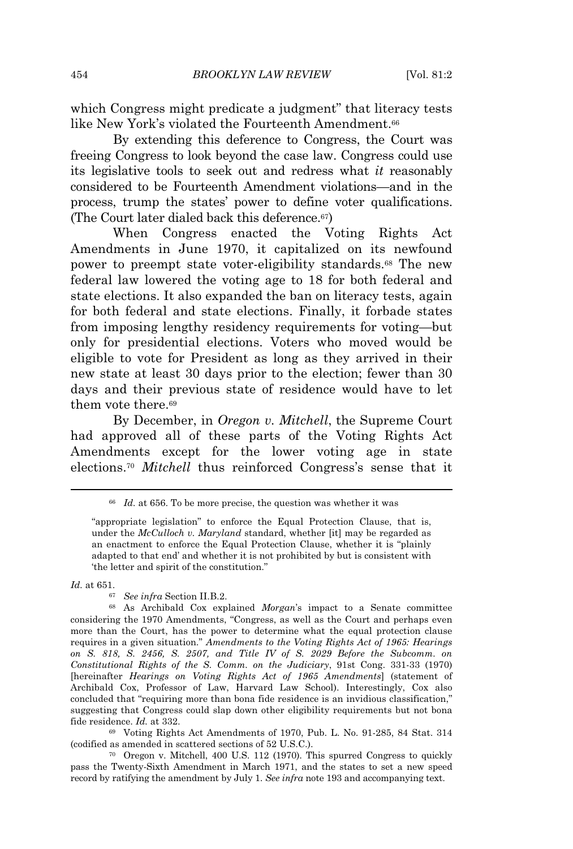which Congress might predicate a judgment" that literacy tests like New York's violated the Fourteenth Amendment.<sup>66</sup>

By extending this deference to Congress, the Court was freeing Congress to look beyond the case law. Congress could use its legislative tools to seek out and redress what *it* reasonably considered to be Fourteenth Amendment violations—and in the process, trump the states' power to define voter qualifications. (The Court later dialed back this deference.67)

When Congress enacted the Voting Rights Act Amendments in June 1970, it capitalized on its newfound power to preempt state voter-eligibility standards.<sup>68</sup> The new federal law lowered the voting age to 18 for both federal and state elections. It also expanded the ban on literacy tests, again for both federal and state elections. Finally, it forbade states from imposing lengthy residency requirements for voting—but only for presidential elections. Voters who moved would be eligible to vote for President as long as they arrived in their new state at least 30 days prior to the election; fewer than 30 days and their previous state of residence would have to let them vote there.<sup>69</sup>

By December, in *Oregon v. Mitchell*, the Supreme Court had approved all of these parts of the Voting Rights Act Amendments except for the lower voting age in state elections.<sup>70</sup> *Mitchell* thus reinforced Congress's sense that it

*Id.* at 651.

<sup>67</sup> *See infra* Section II.B.2.

<sup>69</sup> Voting Rights Act Amendments of 1970, Pub. L. No. 91-285, 84 Stat. 314 (codified as amended in scattered sections of 52 U.S.C.).

<sup>70</sup> Oregon v. Mitchell, 400 U.S. 112 (1970). This spurred Congress to quickly pass the Twenty-Sixth Amendment in March 1971, and the states to set a new speed record by ratifying the amendment by July 1. *See infra* note 193 and accompanying text.

<sup>66</sup> *Id.* at 656. To be more precise, the question was whether it was

<sup>&</sup>quot;appropriate legislation" to enforce the Equal Protection Clause, that is, under the *McCulloch v. Maryland* standard, whether [it] may be regarded as an enactment to enforce the Equal Protection Clause, whether it is "plainly adapted to that end' and whether it is not prohibited by but is consistent with 'the letter and spirit of the constitution."

<sup>68</sup> As Archibald Cox explained *Morgan*'s impact to a Senate committee considering the 1970 Amendments, "Congress, as well as the Court and perhaps even more than the Court, has the power to determine what the equal protection clause requires in a given situation." *Amendments to the Voting Rights Act of 1965: Hearings on S. 818, S. 2456, S. 2507, and Title IV of S. 2029 Before the Subcomm. on Constitutional Rights of the S. Comm. on the Judiciary*, 91st Cong. 331-33 (1970) [hereinafter *Hearings on Voting Rights Act of 1965 Amendments*] (statement of Archibald Cox, Professor of Law, Harvard Law School). Interestingly, Cox also concluded that "requiring more than bona fide residence is an invidious classification," suggesting that Congress could slap down other eligibility requirements but not bona fide residence. *Id.* at 332.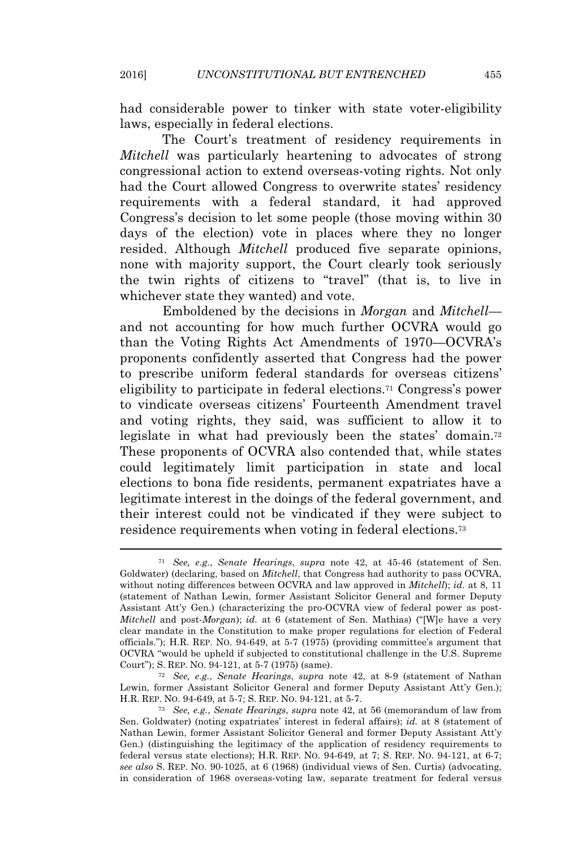had considerable power to tinker with state voter-eligibility laws, especially in federal elections.

The Court's treatment of residency requirements in *Mitchell* was particularly heartening to advocates of strong congressional action to extend overseas-voting rights. Not only had the Court allowed Congress to overwrite states' residency requirements with a federal standard, it had approved Congress's decision to let some people (those moving within 30 days of the election) vote in places where they no longer resided. Although *Mitchell* produced five separate opinions, none with majority support, the Court clearly took seriously the twin rights of citizens to "travel" (that is, to live in whichever state they wanted) and vote.

Emboldened by the decisions in *Morgan* and *Mitchell* and not accounting for how much further OCVRA would go than the Voting Rights Act Amendments of 1970—OCVRA's proponents confidently asserted that Congress had the power to prescribe uniform federal standards for overseas citizens' eligibility to participate in federal elections.<sup>71</sup> Congress's power to vindicate overseas citizens' Fourteenth Amendment travel and voting rights, they said, was sufficient to allow it to legislate in what had previously been the states' domain.<sup>72</sup> These proponents of OCVRA also contended that, while states could legitimately limit participation in state and local elections to bona fide residents, permanent expatriates have a legitimate interest in the doings of the federal government, and their interest could not be vindicated if they were subject to residence requirements when voting in federal elections.<sup>73</sup>

<sup>71</sup> *See, e.g.*, *Senate Hearings*, *supra* note 42, at 45-46 (statement of Sen. Goldwater) (declaring, based on *Mitchell*, that Congress had authority to pass OCVRA, without noting differences between OCVRA and law approved in *Mitchell*); *id.* at 8, 11 (statement of Nathan Lewin, former Assistant Solicitor General and former Deputy Assistant Att'y Gen.) (characterizing the pro-OCVRA view of federal power as post-*Mitchell* and post-*Morgan*); *id.* at 6 (statement of Sen. Mathias) ("[W]e have a very clear mandate in the Constitution to make proper regulations for election of Federal officials."); H.R. REP. NO. 94-649, at 5-7 (1975) (providing committee's argument that OCVRA "would be upheld if subjected to constitutional challenge in the U.S. Supreme Court"); S. REP. NO. 94-121, at 5-7 (1975) (same).

<sup>72</sup> *See, e.g.*, *Senate Hearings*, *supra* note 42, at 8-9 (statement of Nathan Lewin, former Assistant Solicitor General and former Deputy Assistant Att'y Gen.); H.R. REP. NO. 94-649, at 5-7; S. REP. NO. 94-121, at 5-7.

<sup>73</sup> *See, e.g.*, *Senate Hearings*, *supra* note 42, at 56 (memorandum of law from Sen. Goldwater) (noting expatriates' interest in federal affairs); *id.* at 8 (statement of Nathan Lewin, former Assistant Solicitor General and former Deputy Assistant Att'y Gen.) (distinguishing the legitimacy of the application of residency requirements to federal versus state elections); H.R. REP. NO. 94-649, at 7; S. REP. NO. 94-121, at 6-7; *see also* S. REP. NO. 90-1025, at 6 (1968) (individual views of Sen. Curtis) (advocating, in consideration of 1968 overseas-voting law, separate treatment for federal versus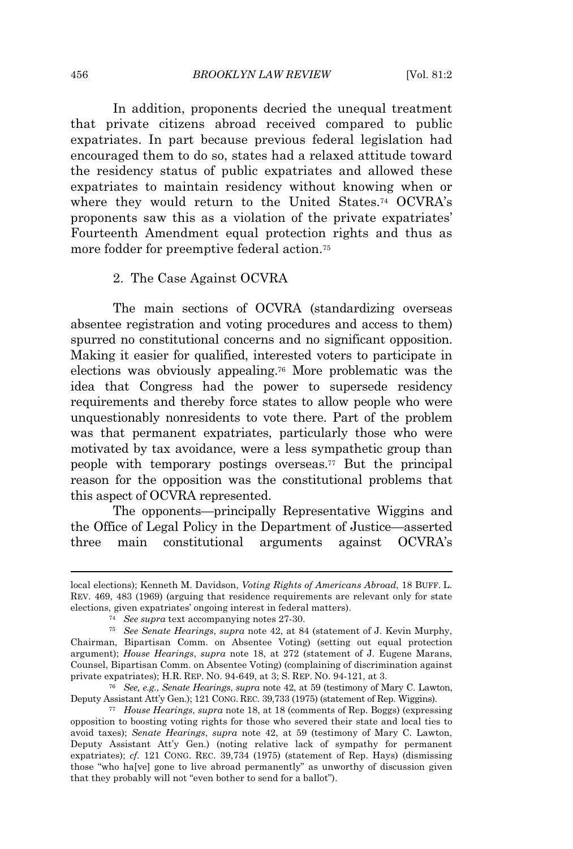In addition, proponents decried the unequal treatment that private citizens abroad received compared to public expatriates. In part because previous federal legislation had encouraged them to do so, states had a relaxed attitude toward the residency status of public expatriates and allowed these expatriates to maintain residency without knowing when or where they would return to the United States.<sup>74</sup> OCVRA's proponents saw this as a violation of the private expatriates' Fourteenth Amendment equal protection rights and thus as more fodder for preemptive federal action.<sup>75</sup>

# 2. The Case Against OCVRA

The main sections of OCVRA (standardizing overseas absentee registration and voting procedures and access to them) spurred no constitutional concerns and no significant opposition. Making it easier for qualified, interested voters to participate in elections was obviously appealing.<sup>76</sup> More problematic was the idea that Congress had the power to supersede residency requirements and thereby force states to allow people who were unquestionably nonresidents to vote there. Part of the problem was that permanent expatriates, particularly those who were motivated by tax avoidance, were a less sympathetic group than people with temporary postings overseas.<sup>77</sup> But the principal reason for the opposition was the constitutional problems that this aspect of OCVRA represented.

The opponents—principally Representative Wiggins and the Office of Legal Policy in the Department of Justice—asserted three main constitutional arguments against OCVRA's

local elections); Kenneth M. Davidson, *Voting Rights of Americans Abroad*, 18 BUFF. L. REV. 469, 483 (1969) (arguing that residence requirements are relevant only for state elections, given expatriates' ongoing interest in federal matters).

<sup>74</sup> *See supra* text accompanying notes 27-30.

<sup>75</sup> *See Senate Hearings*, *supra* note 42, at 84 (statement of J. Kevin Murphy, Chairman, Bipartisan Comm. on Absentee Voting) (setting out equal protection argument); *House Hearings*, *supra* note 18, at 272 (statement of J. Eugene Marans, Counsel, Bipartisan Comm. on Absentee Voting) (complaining of discrimination against private expatriates); H.R. REP. NO. 94-649, at 3; S. REP. NO. 94-121, at 3.

<sup>76</sup> *See, e.g.*, *Senate Hearings*, *supra* note 42, at 59 (testimony of Mary C. Lawton, Deputy Assistant Att'y Gen.); 121 CONG. REC. 39,733 (1975) (statement of Rep. Wiggins).

<sup>77</sup> *House Hearings*, *supra* note 18, at 18 (comments of Rep. Boggs) (expressing opposition to boosting voting rights for those who severed their state and local ties to avoid taxes); *Senate Hearings*, *supra* note 42, at 59 (testimony of Mary C. Lawton, Deputy Assistant Att'y Gen.) (noting relative lack of sympathy for permanent expatriates); *cf.* 121 CONG. REC. 39,734 (1975) (statement of Rep. Hays) (dismissing those "who ha[ve] gone to live abroad permanently" as unworthy of discussion given that they probably will not "even bother to send for a ballot").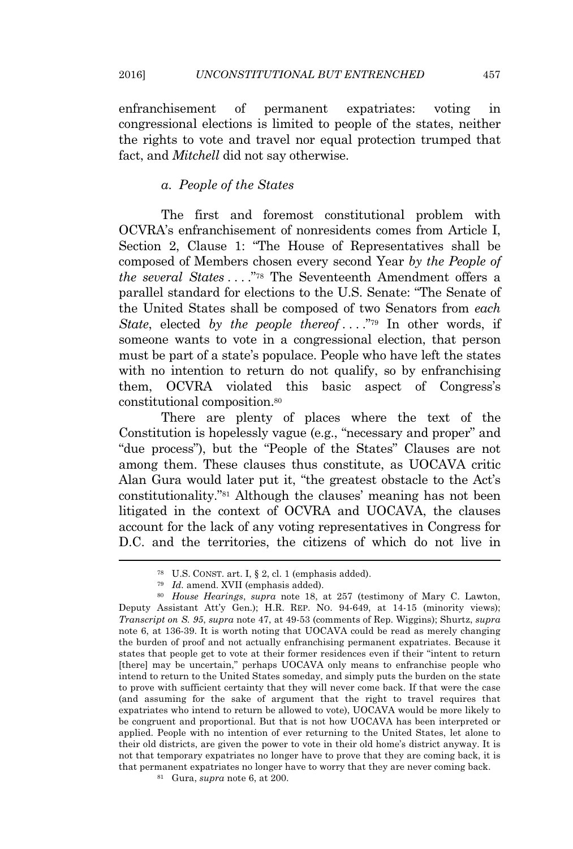enfranchisement of permanent expatriates: voting in congressional elections is limited to people of the states, neither the rights to vote and travel nor equal protection trumped that fact, and *Mitchell* did not say otherwise.

# *a. People of the States*

The first and foremost constitutional problem with OCVRA's enfranchisement of nonresidents comes from Article I, Section 2, Clause 1: "The House of Representatives shall be composed of Members chosen every second Year *by the People of the several States* . . . ." <sup>78</sup> The Seventeenth Amendment offers a parallel standard for elections to the U.S. Senate: "The Senate of the United States shall be composed of two Senators from *each* State, elected by the people thereof ....<sup>"79</sup> In other words, if someone wants to vote in a congressional election, that person must be part of a state's populace. People who have left the states with no intention to return do not qualify, so by enfranchising them, OCVRA violated this basic aspect of Congress's constitutional composition.<sup>80</sup>

There are plenty of places where the text of the Constitution is hopelessly vague (e.g., "necessary and proper" and "due process"), but the "People of the States" Clauses are not among them. These clauses thus constitute, as UOCAVA critic Alan Gura would later put it, "the greatest obstacle to the Act's constitutionality." <sup>81</sup> Although the clauses' meaning has not been litigated in the context of OCVRA and UOCAVA, the clauses account for the lack of any voting representatives in Congress for D.C. and the territories, the citizens of which do not live in

<sup>78</sup> U.S. CONST. art. I, § 2, cl. 1 (emphasis added).

<sup>79</sup> *Id.* amend. XVII (emphasis added).

<sup>80</sup> *House Hearings*, *supra* note 18, at 257 (testimony of Mary C. Lawton, Deputy Assistant Att'y Gen.); H.R. REP. NO. 94-649, at 14-15 (minority views); *Transcript on S. 95*, *supra* note 47, at 49-53 (comments of Rep. Wiggins); Shurtz, *supra* note 6, at 136-39. It is worth noting that UOCAVA could be read as merely changing the burden of proof and not actually enfranchising permanent expatriates. Because it states that people get to vote at their former residences even if their "intent to return [there] may be uncertain," perhaps UOCAVA only means to enfranchise people who intend to return to the United States someday, and simply puts the burden on the state to prove with sufficient certainty that they will never come back. If that were the case (and assuming for the sake of argument that the right to travel requires that expatriates who intend to return be allowed to vote), UOCAVA would be more likely to be congruent and proportional. But that is not how UOCAVA has been interpreted or applied. People with no intention of ever returning to the United States, let alone to their old districts, are given the power to vote in their old home's district anyway. It is not that temporary expatriates no longer have to prove that they are coming back, it is that permanent expatriates no longer have to worry that they are never coming back.

<sup>81</sup> Gura, *supra* note 6, at 200.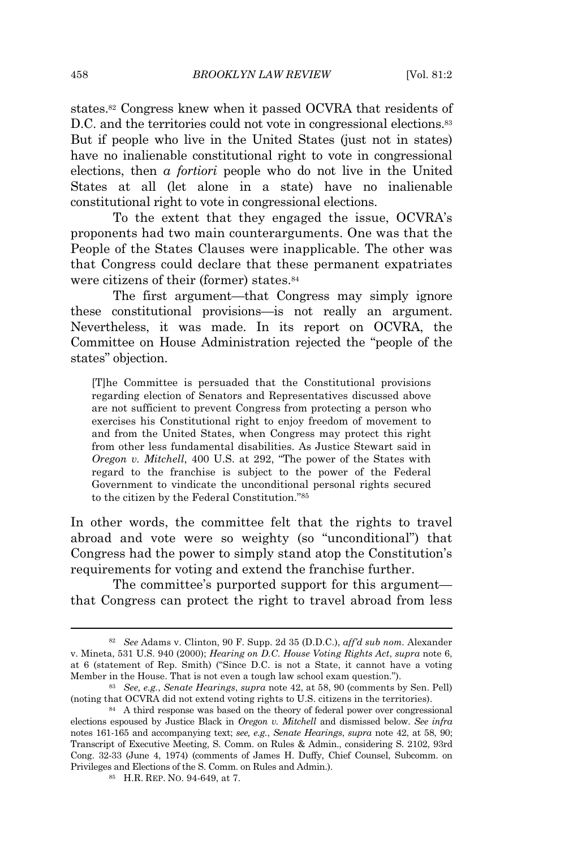states.<sup>82</sup> Congress knew when it passed OCVRA that residents of D.C. and the territories could not vote in congressional elections.<sup>83</sup> But if people who live in the United States (just not in states) have no inalienable constitutional right to vote in congressional elections, then *a fortiori* people who do not live in the United States at all (let alone in a state) have no inalienable constitutional right to vote in congressional elections.

To the extent that they engaged the issue, OCVRA's proponents had two main counterarguments. One was that the People of the States Clauses were inapplicable. The other was that Congress could declare that these permanent expatriates were citizens of their (former) states.<sup>84</sup>

The first argument—that Congress may simply ignore these constitutional provisions—is not really an argument. Nevertheless, it was made. In its report on OCVRA, the Committee on House Administration rejected the "people of the states" objection.

[T]he Committee is persuaded that the Constitutional provisions regarding election of Senators and Representatives discussed above are not sufficient to prevent Congress from protecting a person who exercises his Constitutional right to enjoy freedom of movement to and from the United States, when Congress may protect this right from other less fundamental disabilities. As Justice Stewart said in *Oregon v. Mitchell*, 400 U.S. at 292, "The power of the States with regard to the franchise is subject to the power of the Federal Government to vindicate the unconditional personal rights secured to the citizen by the Federal Constitution." 85

In other words, the committee felt that the rights to travel abroad and vote were so weighty (so "unconditional") that Congress had the power to simply stand atop the Constitution's requirements for voting and extend the franchise further.

The committee's purported support for this argument that Congress can protect the right to travel abroad from less

<sup>82</sup> *See* Adams v. Clinton, 90 F. Supp. 2d 35 (D.D.C.), *aff'd sub nom.* Alexander v. Mineta, 531 U.S. 940 (2000); *Hearing on D.C. House Voting Rights Act*, *supra* note 6, at 6 (statement of Rep. Smith) ("Since D.C. is not a State, it cannot have a voting Member in the House. That is not even a tough law school exam question.").

<sup>83</sup> *See, e.g.*, *Senate Hearings*, *supra* note 42, at 58, 90 (comments by Sen. Pell) (noting that OCVRA did not extend voting rights to U.S. citizens in the territories).

<sup>84</sup> A third response was based on the theory of federal power over congressional elections espoused by Justice Black in *Oregon v. Mitchell* and dismissed below. *See infra* notes 161-165 and accompanying text; *see, e.g.*, *Senate Hearings*, *supra* note 42, at 58, 90; Transcript of Executive Meeting, S. Comm. on Rules & Admin., considering S. 2102, 93rd Cong. 32-33 (June 4, 1974) (comments of James H. Duffy, Chief Counsel, Subcomm. on Privileges and Elections of the S. Comm. on Rules and Admin.).

<sup>85</sup> H.R. REP. NO. 94-649, at 7.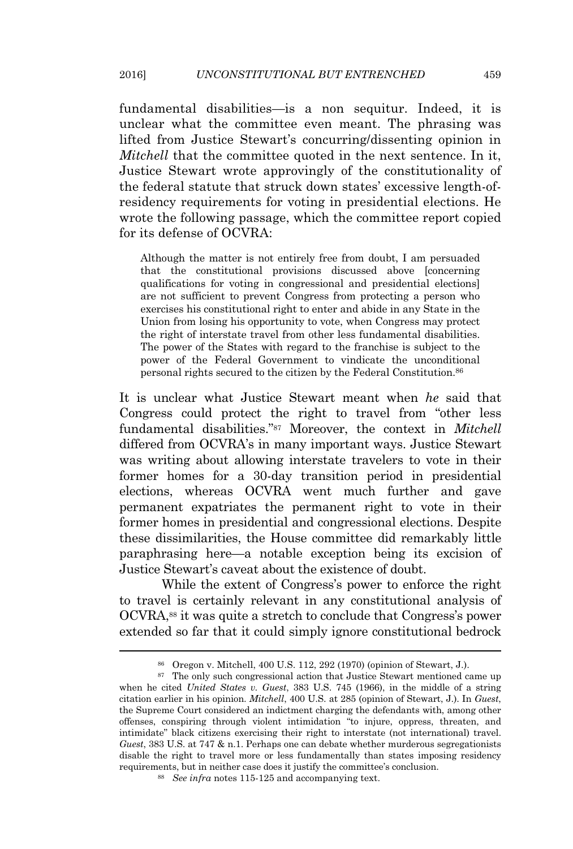fundamental disabilities—is a non sequitur. Indeed, it is unclear what the committee even meant. The phrasing was lifted from Justice Stewart's concurring/dissenting opinion in *Mitchell* that the committee quoted in the next sentence. In it, Justice Stewart wrote approvingly of the constitutionality of the federal statute that struck down states' excessive length-ofresidency requirements for voting in presidential elections. He wrote the following passage, which the committee report copied for its defense of OCVRA:

Although the matter is not entirely free from doubt, I am persuaded that the constitutional provisions discussed above [concerning qualifications for voting in congressional and presidential elections] are not sufficient to prevent Congress from protecting a person who exercises his constitutional right to enter and abide in any State in the Union from losing his opportunity to vote, when Congress may protect the right of interstate travel from other less fundamental disabilities. The power of the States with regard to the franchise is subject to the power of the Federal Government to vindicate the unconditional personal rights secured to the citizen by the Federal Constitution.<sup>86</sup>

It is unclear what Justice Stewart meant when *he* said that Congress could protect the right to travel from "other less fundamental disabilities." <sup>87</sup> Moreover, the context in *Mitchell* differed from OCVRA's in many important ways. Justice Stewart was writing about allowing interstate travelers to vote in their former homes for a 30-day transition period in presidential elections, whereas OCVRA went much further and gave permanent expatriates the permanent right to vote in their former homes in presidential and congressional elections. Despite these dissimilarities, the House committee did remarkably little paraphrasing here—a notable exception being its excision of Justice Stewart's caveat about the existence of doubt.

While the extent of Congress's power to enforce the right to travel is certainly relevant in any constitutional analysis of OCVRA,<sup>88</sup> it was quite a stretch to conclude that Congress's power extended so far that it could simply ignore constitutional bedrock

<sup>86</sup> Oregon v. Mitchell, 400 U.S. 112, 292 (1970) (opinion of Stewart, J.).

<sup>&</sup>lt;sup>87</sup> The only such congressional action that Justice Stewart mentioned came up when he cited *United States v. Guest*, 383 U.S. 745 (1966), in the middle of a string citation earlier in his opinion. *Mitchell*, 400 U.S. at 285 (opinion of Stewart, J.). In *Guest*, the Supreme Court considered an indictment charging the defendants with, among other offenses, conspiring through violent intimidation "to injure, oppress, threaten, and intimidate" black citizens exercising their right to interstate (not international) travel. *Guest*, 383 U.S. at 747 & n.1. Perhaps one can debate whether murderous segregationists disable the right to travel more or less fundamentally than states imposing residency requirements, but in neither case does it justify the committee's conclusion.

<sup>88</sup> *See infra* notes 115-125 and accompanying text.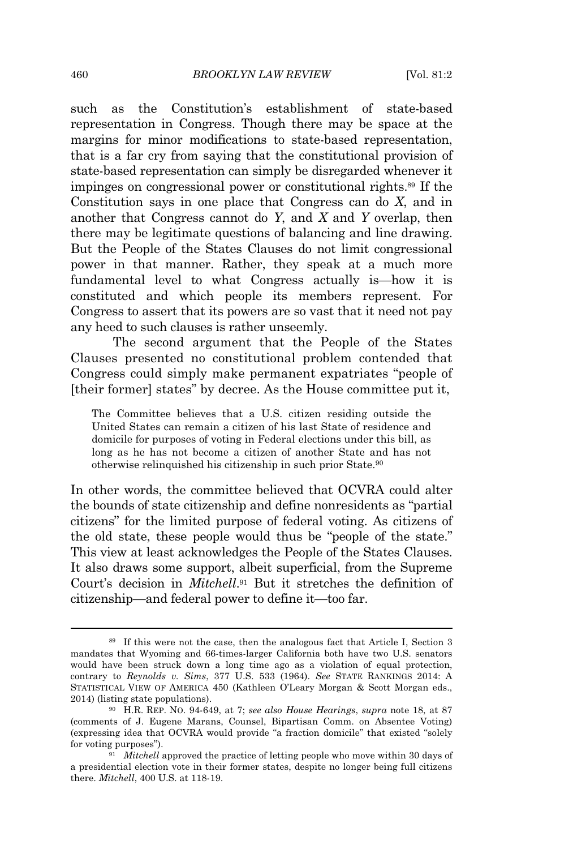such as the Constitution's establishment of state-based representation in Congress. Though there may be space at the margins for minor modifications to state-based representation, that is a far cry from saying that the constitutional provision of state-based representation can simply be disregarded whenever it impinges on congressional power or constitutional rights.<sup>89</sup> If the Constitution says in one place that Congress can do *X*, and in another that Congress cannot do *Y*, and *X* and *Y* overlap, then there may be legitimate questions of balancing and line drawing. But the People of the States Clauses do not limit congressional power in that manner. Rather, they speak at a much more fundamental level to what Congress actually is—how it is constituted and which people its members represent. For Congress to assert that its powers are so vast that it need not pay any heed to such clauses is rather unseemly.

The second argument that the People of the States Clauses presented no constitutional problem contended that Congress could simply make permanent expatriates "people of [their former] states" by decree. As the House committee put it,

The Committee believes that a U.S. citizen residing outside the United States can remain a citizen of his last State of residence and domicile for purposes of voting in Federal elections under this bill, as long as he has not become a citizen of another State and has not otherwise relinquished his citizenship in such prior State.<sup>90</sup>

In other words, the committee believed that OCVRA could alter the bounds of state citizenship and define nonresidents as "partial citizens" for the limited purpose of federal voting. As citizens of the old state, these people would thus be "people of the state." This view at least acknowledges the People of the States Clauses. It also draws some support, albeit superficial, from the Supreme Court's decision in *Mitchell*. <sup>91</sup> But it stretches the definition of citizenship—and federal power to define it—too far.

<sup>89</sup> If this were not the case, then the analogous fact that Article I, Section 3 mandates that Wyoming and 66-times-larger California both have two U.S. senators would have been struck down a long time ago as a violation of equal protection, contrary to *Reynolds v. Sims*, 377 U.S. 533 (1964). *See* STATE RANKINGS 2014: A STATISTICAL VIEW OF AMERICA 450 (Kathleen O'Leary Morgan & Scott Morgan eds., 2014) (listing state populations).

<sup>90</sup> H.R. REP. NO. 94-649, at 7; *see also House Hearings*, *supra* note 18, at 87 (comments of J. Eugene Marans, Counsel, Bipartisan Comm. on Absentee Voting) (expressing idea that OCVRA would provide "a fraction domicile" that existed "solely for voting purposes").

<sup>&</sup>lt;sup>91</sup> *Mitchell* approved the practice of letting people who move within 30 days of a presidential election vote in their former states, despite no longer being full citizens there. *Mitchell*, 400 U.S. at 118-19.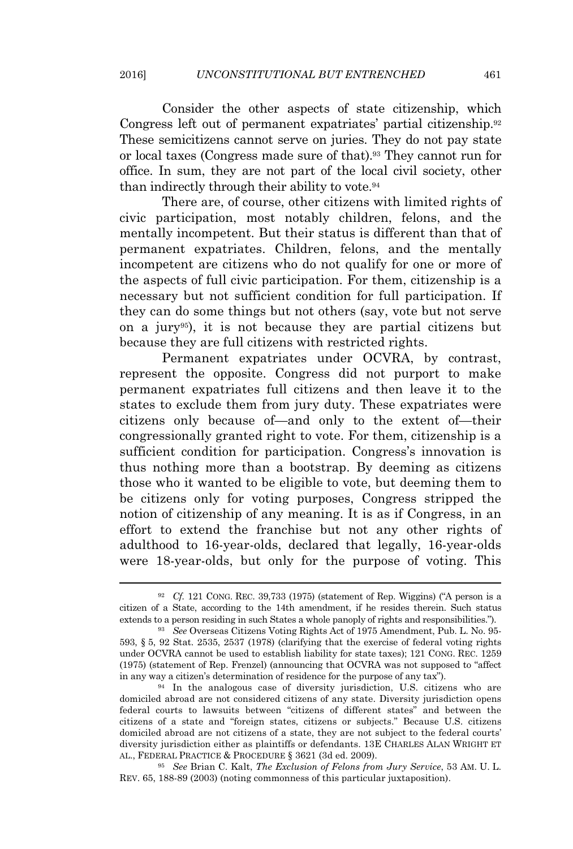Consider the other aspects of state citizenship, which Congress left out of permanent expatriates' partial citizenship.<sup>92</sup> These semicitizens cannot serve on juries. They do not pay state or local taxes (Congress made sure of that).<sup>93</sup> They cannot run for office. In sum, they are not part of the local civil society, other than indirectly through their ability to vote.<sup>94</sup>

There are, of course, other citizens with limited rights of civic participation, most notably children, felons, and the mentally incompetent. But their status is different than that of permanent expatriates. Children, felons, and the mentally incompetent are citizens who do not qualify for one or more of the aspects of full civic participation. For them, citizenship is a necessary but not sufficient condition for full participation. If they can do some things but not others (say, vote but not serve on a jury95), it is not because they are partial citizens but because they are full citizens with restricted rights.

Permanent expatriates under OCVRA, by contrast, represent the opposite. Congress did not purport to make permanent expatriates full citizens and then leave it to the states to exclude them from jury duty. These expatriates were citizens only because of—and only to the extent of—their congressionally granted right to vote. For them, citizenship is a sufficient condition for participation. Congress's innovation is thus nothing more than a bootstrap. By deeming as citizens those who it wanted to be eligible to vote, but deeming them to be citizens only for voting purposes, Congress stripped the notion of citizenship of any meaning. It is as if Congress, in an effort to extend the franchise but not any other rights of adulthood to 16-year-olds, declared that legally, 16-year-olds were 18-year-olds, but only for the purpose of voting. This

<sup>95</sup> *See* Brian C. Kalt, *The Exclusion of Felons from Jury Service*, 53 AM. U. L. REV. 65, 188-89 (2003) (noting commonness of this particular juxtaposition).

<sup>92</sup> *Cf.* 121 CONG. REC. 39,733 (1975) (statement of Rep. Wiggins) ("A person is a citizen of a State, according to the 14th amendment, if he resides therein. Such status extends to a person residing in such States a whole panoply of rights and responsibilities.").

<sup>93</sup> *See* Overseas Citizens Voting Rights Act of 1975 Amendment, Pub. L. No. 95- 593, § 5, 92 Stat. 2535, 2537 (1978) (clarifying that the exercise of federal voting rights under OCVRA cannot be used to establish liability for state taxes); 121 CONG. REC. 1259 (1975) (statement of Rep. Frenzel) (announcing that OCVRA was not supposed to "affect in any way a citizen's determination of residence for the purpose of any tax").

<sup>94</sup> In the analogous case of diversity jurisdiction, U.S. citizens who are domiciled abroad are not considered citizens of any state. Diversity jurisdiction opens federal courts to lawsuits between "citizens of different states" and between the citizens of a state and "foreign states, citizens or subjects." Because U.S. citizens domiciled abroad are not citizens of a state, they are not subject to the federal courts' diversity jurisdiction either as plaintiffs or defendants. 13E CHARLES ALAN WRIGHT ET AL., FEDERAL PRACTICE & PROCEDURE § 3621 (3d ed. 2009).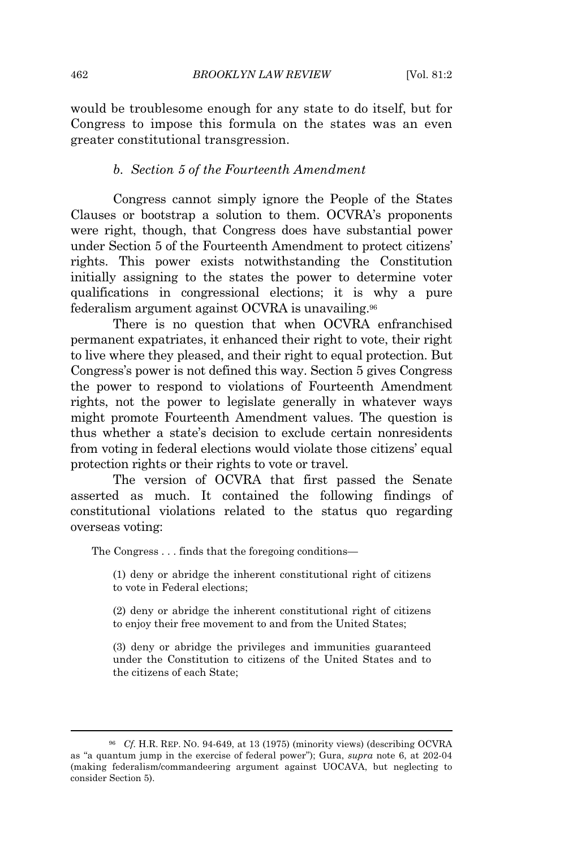would be troublesome enough for any state to do itself, but for Congress to impose this formula on the states was an even greater constitutional transgression.

# *b. Section 5 of the Fourteenth Amendment*

Congress cannot simply ignore the People of the States Clauses or bootstrap a solution to them. OCVRA's proponents were right, though, that Congress does have substantial power under Section 5 of the Fourteenth Amendment to protect citizens' rights. This power exists notwithstanding the Constitution initially assigning to the states the power to determine voter qualifications in congressional elections; it is why a pure federalism argument against OCVRA is unavailing.<sup>96</sup>

There is no question that when OCVRA enfranchised permanent expatriates, it enhanced their right to vote, their right to live where they pleased, and their right to equal protection. But Congress's power is not defined this way. Section 5 gives Congress the power to respond to violations of Fourteenth Amendment rights, not the power to legislate generally in whatever ways might promote Fourteenth Amendment values. The question is thus whether a state's decision to exclude certain nonresidents from voting in federal elections would violate those citizens' equal protection rights or their rights to vote or travel.

The version of OCVRA that first passed the Senate asserted as much. It contained the following findings of constitutional violations related to the status quo regarding overseas voting:

The Congress . . . finds that the foregoing conditions—

(1) deny or abridge the inherent constitutional right of citizens to vote in Federal elections;

(2) deny or abridge the inherent constitutional right of citizens to enjoy their free movement to and from the United States;

(3) deny or abridge the privileges and immunities guaranteed under the Constitution to citizens of the United States and to the citizens of each State;

<sup>96</sup> *Cf.* H.R. REP. NO. 94-649, at 13 (1975) (minority views) (describing OCVRA as "a quantum jump in the exercise of federal power"); Gura, *supra* note 6, at 202-04 (making federalism/commandeering argument against UOCAVA, but neglecting to consider Section 5).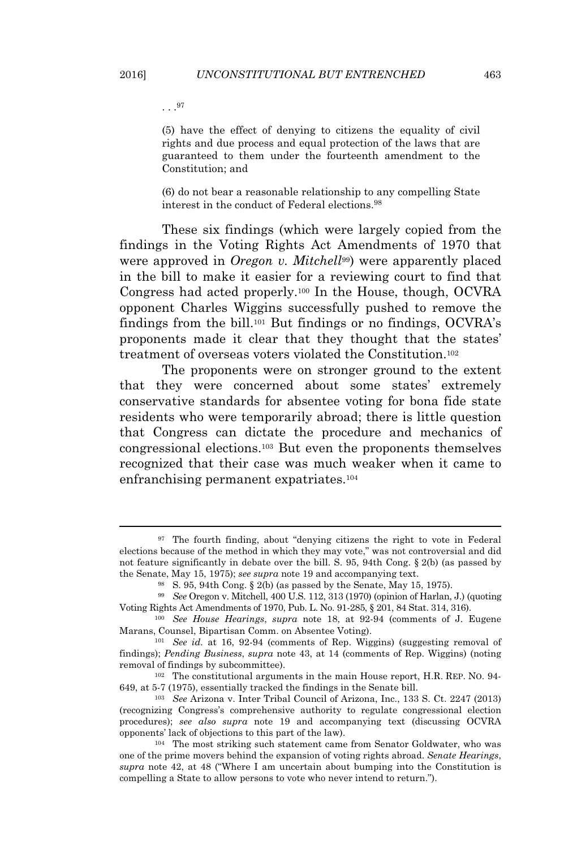. . . 97

(5) have the effect of denying to citizens the equality of civil rights and due process and equal protection of the laws that are guaranteed to them under the fourteenth amendment to the Constitution; and

(6) do not bear a reasonable relationship to any compelling State interest in the conduct of Federal elections.<sup>98</sup>

These six findings (which were largely copied from the findings in the Voting Rights Act Amendments of 1970 that were approved in *Oregon v. Mitchell*<sup>99</sup>) were apparently placed in the bill to make it easier for a reviewing court to find that Congress had acted properly.<sup>100</sup> In the House, though, OCVRA opponent Charles Wiggins successfully pushed to remove the findings from the bill.<sup>101</sup> But findings or no findings, OCVRA's proponents made it clear that they thought that the states' treatment of overseas voters violated the Constitution.<sup>102</sup>

The proponents were on stronger ground to the extent that they were concerned about some states' extremely conservative standards for absentee voting for bona fide state residents who were temporarily abroad; there is little question that Congress can dictate the procedure and mechanics of congressional elections.<sup>103</sup> But even the proponents themselves recognized that their case was much weaker when it came to enfranchising permanent expatriates.<sup>104</sup>

<sup>97</sup> The fourth finding, about "denying citizens the right to vote in Federal elections because of the method in which they may vote," was not controversial and did not feature significantly in debate over the bill. S. 95, 94th Cong. § 2(b) (as passed by the Senate, May 15, 1975); *see supra* note 19 and accompanying text.

<sup>98</sup> S. 95, 94th Cong. § 2(b) (as passed by the Senate, May 15, 1975).

<sup>99</sup> *See* Oregon v. Mitchell, 400 U.S. 112, 313 (1970) (opinion of Harlan, J.) (quoting Voting Rights Act Amendments of 1970, Pub. L. No. 91-285, § 201, 84 Stat. 314, 316).

<sup>100</sup> *See House Hearings*, *supra* note 18, at 92-94 (comments of J. Eugene Marans, Counsel, Bipartisan Comm. on Absentee Voting).

<sup>101</sup> *See id.* at 16, 92-94 (comments of Rep. Wiggins) (suggesting removal of findings); *Pending Business*, *supra* note 43, at 14 (comments of Rep. Wiggins) (noting removal of findings by subcommittee).

<sup>102</sup> The constitutional arguments in the main House report, H.R. REP. NO. 94- 649, at 5-7 (1975), essentially tracked the findings in the Senate bill.

<sup>103</sup> *See* Arizona v. Inter Tribal Council of Arizona, Inc., 133 S. Ct. 2247 (2013) (recognizing Congress's comprehensive authority to regulate congressional election procedures); *see also supra* note 19 and accompanying text (discussing OCVRA opponents' lack of objections to this part of the law).

<sup>104</sup> The most striking such statement came from Senator Goldwater, who was one of the prime movers behind the expansion of voting rights abroad. *Senate Hearings*, *supra* note 42, at 48 ("Where I am uncertain about bumping into the Constitution is compelling a State to allow persons to vote who never intend to return.").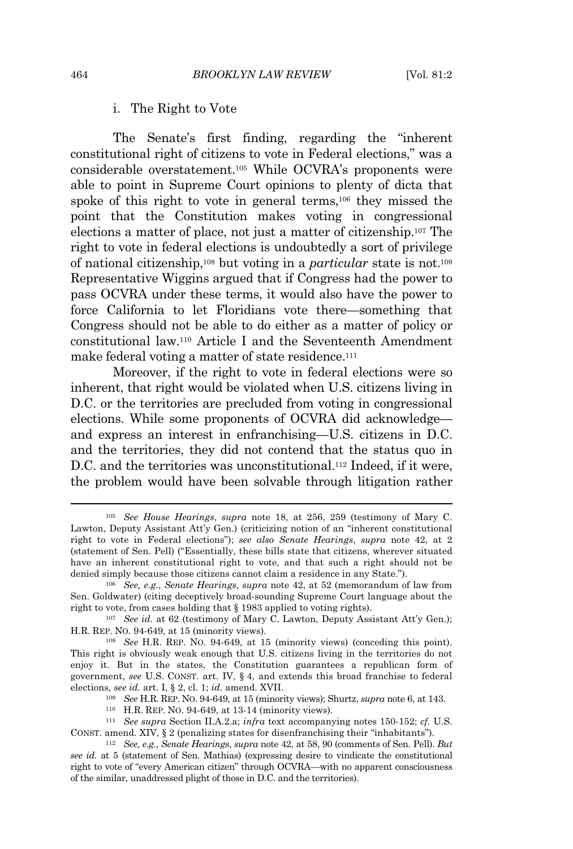# i. The Right to Vote

The Senate's first finding, regarding the "inherent constitutional right of citizens to vote in Federal elections," was a considerable overstatement.<sup>105</sup> While OCVRA's proponents were able to point in Supreme Court opinions to plenty of dicta that spoke of this right to vote in general terms,<sup>106</sup> they missed the point that the Constitution makes voting in congressional elections a matter of place, not just a matter of citizenship.<sup>107</sup> The right to vote in federal elections is undoubtedly a sort of privilege of national citizenship,<sup>108</sup> but voting in a *particular* state is not.<sup>109</sup> Representative Wiggins argued that if Congress had the power to pass OCVRA under these terms, it would also have the power to force California to let Floridians vote there—something that Congress should not be able to do either as a matter of policy or constitutional law.<sup>110</sup> Article I and the Seventeenth Amendment make federal voting a matter of state residence.<sup>111</sup>

Moreover, if the right to vote in federal elections were so inherent, that right would be violated when U.S. citizens living in D.C. or the territories are precluded from voting in congressional elections. While some proponents of OCVRA did acknowledge and express an interest in enfranchising—U.S. citizens in D.C. and the territories, they did not contend that the status quo in D.C. and the territories was unconstitutional.<sup>112</sup> Indeed, if it were, the problem would have been solvable through litigation rather

<sup>105</sup> *See House Hearings*, *supra* note 18, at 256, 259 (testimony of Mary C. Lawton, Deputy Assistant Att'y Gen.) (criticizing notion of an "inherent constitutional right to vote in Federal elections"); *see also Senate Hearings*, *supra* note 42, at 2 (statement of Sen. Pell) ("Essentially, these bills state that citizens, wherever situated have an inherent constitutional right to vote, and that such a right should not be denied simply because those citizens cannot claim a residence in any State.").

<sup>106</sup> *See, e.g.*, *Senate Hearings*, *supra* note 42, at 52 (memorandum of law from Sen. Goldwater) (citing deceptively broad-sounding Supreme Court language about the right to vote, from cases holding that § 1983 applied to voting rights).

<sup>&</sup>lt;sup>107</sup> *See id.* at 62 (testimony of Mary C. Lawton, Deputy Assistant Att'y Gen.); H.R. REP. NO. 94-649, at 15 (minority views).

<sup>108</sup> *See* H.R. REP. NO. 94-649, at 15 (minority views) (conceding this point). This right is obviously weak enough that U.S. citizens living in the territories do not enjoy it. But in the states, the Constitution guarantees a republican form of government, *see* U.S. CONST. art. IV, § 4, and extends this broad franchise to federal elections, *see id.* art. I, § 2, cl. 1; *id.* amend. XVII.

<sup>109</sup> *See* H.R. REP. NO. 94-649, at 15 (minority views); Shurtz, *supra* note 6, at 143.

<sup>110</sup> H.R. REP. NO. 94-649, at 13-14 (minority views).

<sup>111</sup> *See supra* Section II.A.2.a; *infra* text accompanying notes 150-152; *cf.* U.S. CONST. amend. XIV,  $\S 2$  (penalizing states for disenfranchising their "inhabitants").

<sup>112</sup> *See, e.g.*, *Senate Hearings*, *supra* note 42, at 58, 90 (comments of Sen. Pell). *But see id.* at 5 (statement of Sen. Mathias) (expressing desire to vindicate the constitutional right to vote of "every American citizen" through OCVRA—with no apparent consciousness of the similar, unaddressed plight of those in D.C. and the territories).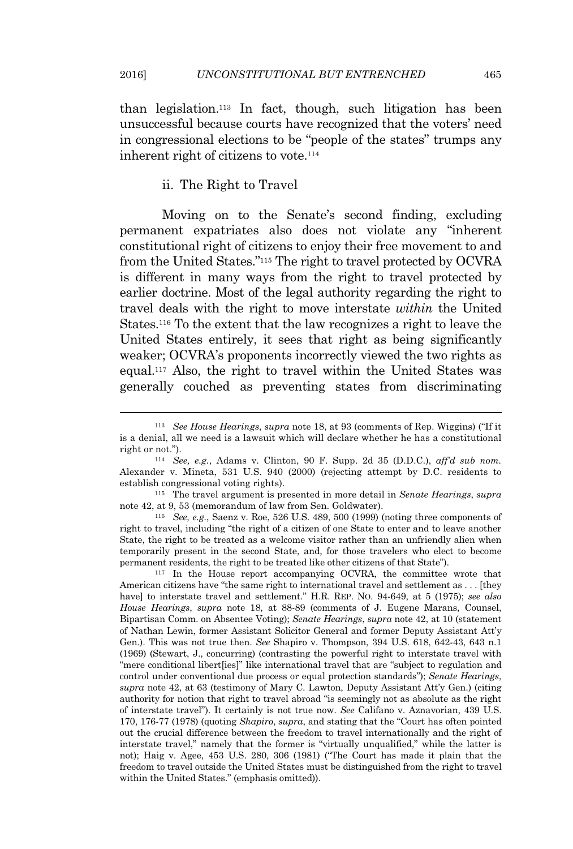than legislation.<sup>113</sup> In fact, though, such litigation has been unsuccessful because courts have recognized that the voters' need in congressional elections to be "people of the states" trumps any inherent right of citizens to vote.<sup>114</sup>

#### ii. The Right to Travel

Moving on to the Senate's second finding, excluding permanent expatriates also does not violate any "inherent constitutional right of citizens to enjoy their free movement to and from the United States."<sup>115</sup> The right to travel protected by OCVRA is different in many ways from the right to travel protected by earlier doctrine. Most of the legal authority regarding the right to travel deals with the right to move interstate *within* the United States.<sup>116</sup> To the extent that the law recognizes a right to leave the United States entirely, it sees that right as being significantly weaker; OCVRA's proponents incorrectly viewed the two rights as equal.<sup>117</sup> Also, the right to travel within the United States was generally couched as preventing states from discriminating

<sup>113</sup> *See House Hearings*, *supra* note 18, at 93 (comments of Rep. Wiggins) ("If it is a denial, all we need is a lawsuit which will declare whether he has a constitutional right or not.").

<sup>114</sup> *See, e.g.*, Adams v. Clinton, 90 F. Supp. 2d 35 (D.D.C.), *aff'd sub nom.* Alexander v. Mineta, 531 U.S. 940 (2000) (rejecting attempt by D.C. residents to establish congressional voting rights).

<sup>115</sup> The travel argument is presented in more detail in *Senate Hearings*, *supra* note 42, at 9, 53 (memorandum of law from Sen. Goldwater).

<sup>116</sup> *See, e.g.*, Saenz v. Roe, 526 U.S. 489, 500 (1999) (noting three components of right to travel, including "the right of a citizen of one State to enter and to leave another State, the right to be treated as a welcome visitor rather than an unfriendly alien when temporarily present in the second State, and, for those travelers who elect to become permanent residents, the right to be treated like other citizens of that State").

<sup>117</sup> In the House report accompanying OCVRA, the committee wrote that American citizens have "the same right to international travel and settlement as . . . [they have] to interstate travel and settlement." H.R. REP. NO. 94-649, at 5 (1975); *see also House Hearings*, *supra* note 18, at 88-89 (comments of J. Eugene Marans, Counsel, Bipartisan Comm. on Absentee Voting); *Senate Hearings*, *supra* note 42, at 10 (statement of Nathan Lewin, former Assistant Solicitor General and former Deputy Assistant Att'y Gen.). This was not true then. *See* Shapiro v. Thompson, 394 U.S. 618, 642-43, 643 n.1 (1969) (Stewart, J., concurring) (contrasting the powerful right to interstate travel with "mere conditional libert[ies]" like international travel that are "subject to regulation and control under conventional due process or equal protection standards"); *Senate Hearings*, *supra* note 42, at 63 (testimony of Mary C. Lawton, Deputy Assistant Att'y Gen.) (citing authority for notion that right to travel abroad "is seemingly not as absolute as the right of interstate travel"). It certainly is not true now. *See* Califano v. Aznavorian, 439 U.S. 170, 176-77 (1978) (quoting *Shapiro*, *supra*, and stating that the "Court has often pointed out the crucial difference between the freedom to travel internationally and the right of interstate travel," namely that the former is "virtually unqualified," while the latter is not); Haig v. Agee, 453 U.S. 280, 306 (1981) ("The Court has made it plain that the freedom to travel outside the United States must be distinguished from the right to travel within the United States." (emphasis omitted)).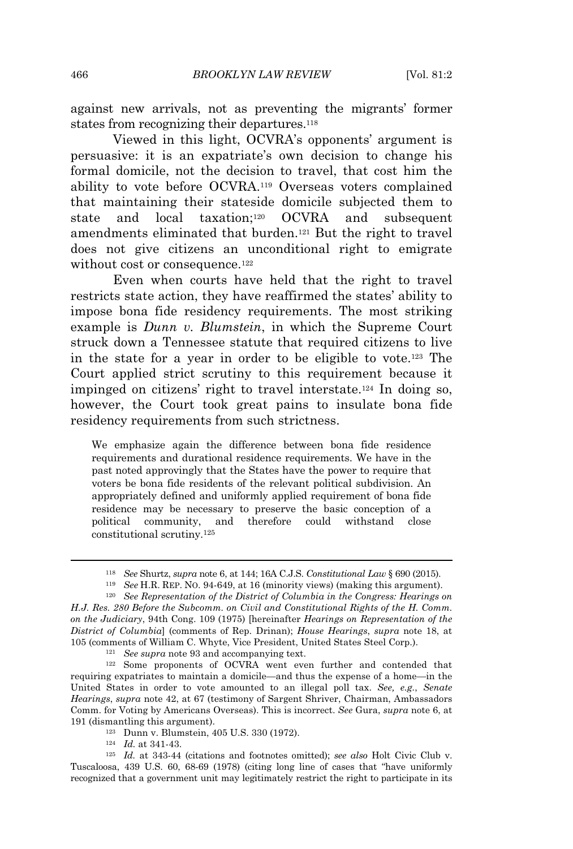against new arrivals, not as preventing the migrants' former states from recognizing their departures.<sup>118</sup>

Viewed in this light, OCVRA's opponents' argument is persuasive: it is an expatriate's own decision to change his formal domicile, not the decision to travel, that cost him the ability to vote before OCVRA.<sup>119</sup> Overseas voters complained that maintaining their stateside domicile subjected them to state and local taxation;<sup>120</sup> OCVRA and subsequent amendments eliminated that burden.<sup>121</sup> But the right to travel does not give citizens an unconditional right to emigrate without cost or consequence.<sup>122</sup>

Even when courts have held that the right to travel restricts state action, they have reaffirmed the states' ability to impose bona fide residency requirements. The most striking example is *Dunn v. Blumstein*, in which the Supreme Court struck down a Tennessee statute that required citizens to live in the state for a year in order to be eligible to vote.<sup>123</sup> The Court applied strict scrutiny to this requirement because it impinged on citizens' right to travel interstate.<sup>124</sup> In doing so, however, the Court took great pains to insulate bona fide residency requirements from such strictness.

We emphasize again the difference between bona fide residence requirements and durational residence requirements. We have in the past noted approvingly that the States have the power to require that voters be bona fide residents of the relevant political subdivision. An appropriately defined and uniformly applied requirement of bona fide residence may be necessary to preserve the basic conception of a political community, and therefore could withstand close constitutional scrutiny.<sup>125</sup>

<sup>121</sup> *See supra* note 93 and accompanying text.

<sup>122</sup> Some proponents of OCVRA went even further and contended that requiring expatriates to maintain a domicile—and thus the expense of a home—in the United States in order to vote amounted to an illegal poll tax. *See, e.g.*, *Senate Hearings*, *supra* note 42, at 67 (testimony of Sargent Shriver, Chairman, Ambassadors Comm. for Voting by Americans Overseas). This is incorrect. *See* Gura, *supra* note 6, at 191 (dismantling this argument).

- <sup>123</sup> Dunn v. Blumstein, 405 U.S. 330 (1972).
- <sup>124</sup> *Id.* at 341-43.

<sup>118</sup> *See* Shurtz, *supra* note 6, at 144; 16A C.J.S. *Constitutional Law* § 690 (2015).

<sup>119</sup> *See* H.R. REP. NO. 94-649, at 16 (minority views) (making this argument).

<sup>120</sup> *See Representation of the District of Columbia in the Congress: Hearings on H.J. Res. 280 Before the Subcomm. on Civil and Constitutional Rights of the H. Comm. on the Judiciary*, 94th Cong. 109 (1975) [hereinafter *Hearings on Representation of the District of Columbia*] (comments of Rep. Drinan); *House Hearings*, *supra* note 18, at 105 (comments of William C. Whyte, Vice President, United States Steel Corp.).

<sup>125</sup> *Id.* at 343-44 (citations and footnotes omitted); *see also* Holt Civic Club v. Tuscaloosa, 439 U.S. 60, 68-69 (1978) (citing long line of cases that "have uniformly recognized that a government unit may legitimately restrict the right to participate in its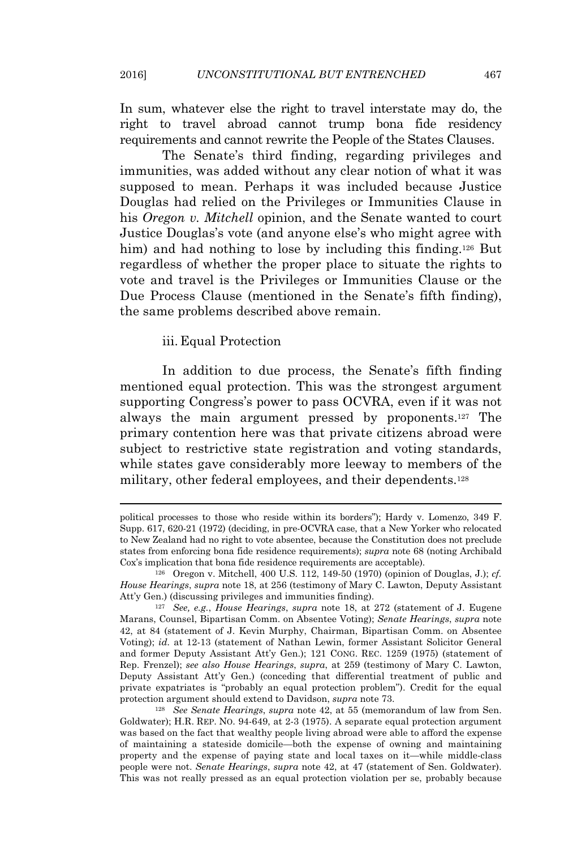In sum, whatever else the right to travel interstate may do, the right to travel abroad cannot trump bona fide residency requirements and cannot rewrite the People of the States Clauses.

The Senate's third finding, regarding privileges and immunities, was added without any clear notion of what it was supposed to mean. Perhaps it was included because Justice Douglas had relied on the Privileges or Immunities Clause in his *Oregon v. Mitchell* opinion, and the Senate wanted to court Justice Douglas's vote (and anyone else's who might agree with him) and had nothing to lose by including this finding.<sup>126</sup> But regardless of whether the proper place to situate the rights to vote and travel is the Privileges or Immunities Clause or the Due Process Clause (mentioned in the Senate's fifth finding), the same problems described above remain.

#### iii. Equal Protection

In addition to due process, the Senate's fifth finding mentioned equal protection. This was the strongest argument supporting Congress's power to pass OCVRA, even if it was not always the main argument pressed by proponents.<sup>127</sup> The primary contention here was that private citizens abroad were subject to restrictive state registration and voting standards, while states gave considerably more leeway to members of the military, other federal employees, and their dependents.<sup>128</sup>

<sup>128</sup> *See Senate Hearings*, *supra* note 42, at 55 (memorandum of law from Sen. Goldwater); H.R. REP. NO. 94-649, at 2-3 (1975). A separate equal protection argument was based on the fact that wealthy people living abroad were able to afford the expense of maintaining a stateside domicile—both the expense of owning and maintaining property and the expense of paying state and local taxes on it—while middle-class people were not. *Senate Hearings*, *supra* note 42, at 47 (statement of Sen. Goldwater). This was not really pressed as an equal protection violation per se, probably because

political processes to those who reside within its borders"); Hardy v. Lomenzo, 349 F. Supp. 617, 620-21 (1972) (deciding, in pre-OCVRA case, that a New Yorker who relocated to New Zealand had no right to vote absentee, because the Constitution does not preclude states from enforcing bona fide residence requirements); *supra* note 68 (noting Archibald Cox's implication that bona fide residence requirements are acceptable).

<sup>126</sup> Oregon v. Mitchell, 400 U.S. 112, 149-50 (1970) (opinion of Douglas, J.); *cf. House Hearings*, *supra* note 18, at 256 (testimony of Mary C. Lawton, Deputy Assistant Att'y Gen.) (discussing privileges and immunities finding).

<sup>127</sup> *See, e.g.*, *House Hearings*, *supra* note 18, at 272 (statement of J. Eugene Marans, Counsel, Bipartisan Comm. on Absentee Voting); *Senate Hearings*, *supra* note 42, at 84 (statement of J. Kevin Murphy, Chairman, Bipartisan Comm. on Absentee Voting); *id.* at 12-13 (statement of Nathan Lewin, former Assistant Solicitor General and former Deputy Assistant Att'y Gen.); 121 CONG. REC. 1259 (1975) (statement of Rep. Frenzel); *see also House Hearings*, *supra*, at 259 (testimony of Mary C. Lawton, Deputy Assistant Att'y Gen.) (conceding that differential treatment of public and private expatriates is "probably an equal protection problem"). Credit for the equal protection argument should extend to Davidson, *supra* note 73.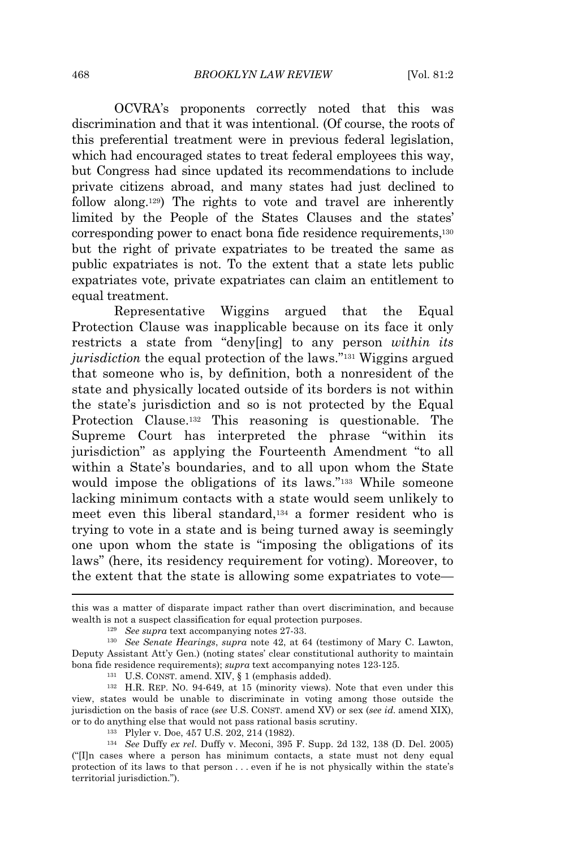OCVRA's proponents correctly noted that this was discrimination and that it was intentional. (Of course, the roots of this preferential treatment were in previous federal legislation, which had encouraged states to treat federal employees this way, but Congress had since updated its recommendations to include private citizens abroad, and many states had just declined to follow along.129) The rights to vote and travel are inherently limited by the People of the States Clauses and the states' corresponding power to enact bona fide residence requirements,<sup>130</sup> but the right of private expatriates to be treated the same as public expatriates is not. To the extent that a state lets public expatriates vote, private expatriates can claim an entitlement to equal treatment.

Representative Wiggins argued that the Equal Protection Clause was inapplicable because on its face it only restricts a state from "deny[ing] to any person *within its jurisdiction* the equal protection of the laws." <sup>131</sup> Wiggins argued that someone who is, by definition, both a nonresident of the state and physically located outside of its borders is not within the state's jurisdiction and so is not protected by the Equal Protection Clause.<sup>132</sup> This reasoning is questionable. The Supreme Court has interpreted the phrase "within its jurisdiction" as applying the Fourteenth Amendment "to all within a State's boundaries, and to all upon whom the State would impose the obligations of its laws." <sup>133</sup> While someone lacking minimum contacts with a state would seem unlikely to meet even this liberal standard,<sup>134</sup> a former resident who is trying to vote in a state and is being turned away is seemingly one upon whom the state is "imposing the obligations of its laws" (here, its residency requirement for voting). Moreover, to the extent that the state is allowing some expatriates to vote—

this was a matter of disparate impact rather than overt discrimination, and because wealth is not a suspect classification for equal protection purposes.

<sup>129</sup> *See supra* text accompanying notes 27-33.

<sup>130</sup> *See Senate Hearings*, *supra* note 42, at 64 (testimony of Mary C. Lawton, Deputy Assistant Att'y Gen.) (noting states' clear constitutional authority to maintain bona fide residence requirements); *supra* text accompanying notes 123-125.

<sup>131</sup> U.S. CONST. amend. XIV, § 1 (emphasis added).

<sup>132</sup> H.R. REP. NO. 94-649, at 15 (minority views). Note that even under this view, states would be unable to discriminate in voting among those outside the jurisdiction on the basis of race (*see* U.S. CONST. amend XV) or sex (*see id.* amend XIX), or to do anything else that would not pass rational basis scrutiny.

<sup>133</sup> Plyler v. Doe, 457 U.S. 202, 214 (1982).

<sup>134</sup> *See* Duffy *ex rel.* Duffy v. Meconi, 395 F. Supp. 2d 132, 138 (D. Del. 2005) ("[I]n cases where a person has minimum contacts, a state must not deny equal protection of its laws to that person . . . even if he is not physically within the state's territorial jurisdiction.").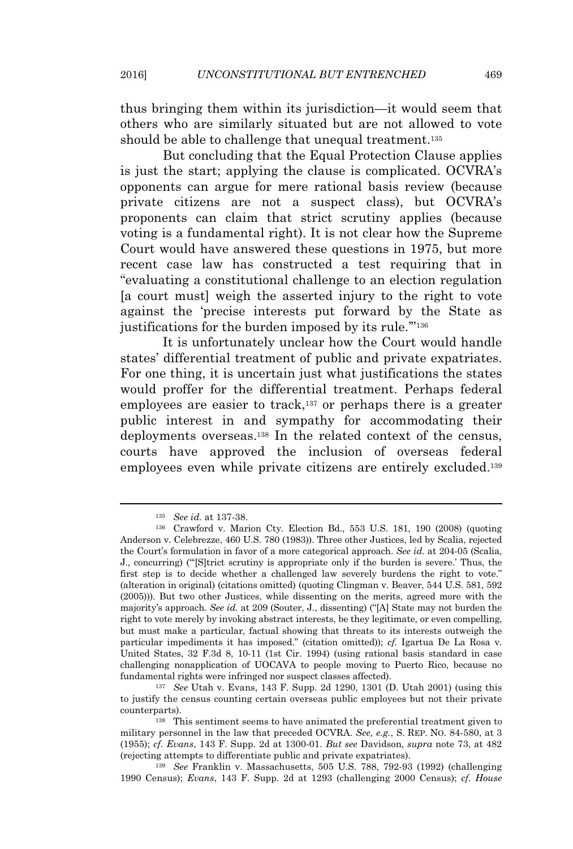thus bringing them within its jurisdiction—it would seem that others who are similarly situated but are not allowed to vote should be able to challenge that unequal treatment.<sup>135</sup>

But concluding that the Equal Protection Clause applies is just the start; applying the clause is complicated. OCVRA's opponents can argue for mere rational basis review (because private citizens are not a suspect class), but OCVRA's proponents can claim that strict scrutiny applies (because voting is a fundamental right). It is not clear how the Supreme Court would have answered these questions in 1975, but more recent case law has constructed a test requiring that in "evaluating a constitutional challenge to an election regulation [a court must] weigh the asserted injury to the right to vote against the 'precise interests put forward by the State as justifications for the burden imposed by its rule."<sup>136</sup>

It is unfortunately unclear how the Court would handle states' differential treatment of public and private expatriates. For one thing, it is uncertain just what justifications the states would proffer for the differential treatment. Perhaps federal employees are easier to track, $137$  or perhaps there is a greater public interest in and sympathy for accommodating their deployments overseas.<sup>138</sup> In the related context of the census, courts have approved the inclusion of overseas federal employees even while private citizens are entirely excluded.<sup>139</sup>

<sup>139</sup> *See* Franklin v. Massachusetts, 505 U.S. 788, 792-93 (1992) (challenging 1990 Census); *Evans*, 143 F. Supp. 2d at 1293 (challenging 2000 Census); *cf. House*

<sup>135</sup> *See id.* at 137-38.

<sup>136</sup> Crawford v. Marion Cty. Election Bd., 553 U.S. 181, 190 (2008) (quoting Anderson v. Celebrezze, 460 U.S. 780 (1983)). Three other Justices, led by Scalia, rejected the Court's formulation in favor of a more categorical approach. *See id.* at 204-05 (Scalia, J., concurring) ("'[S]trict scrutiny is appropriate only if the burden is severe.' Thus, the first step is to decide whether a challenged law severely burdens the right to vote." (alteration in original) (citations omitted) (quoting Clingman v. Beaver, 544 U.S. 581, 592 (2005))). But two other Justices, while dissenting on the merits, agreed more with the majority's approach. *See id.* at 209 (Souter, J., dissenting) ("[A] State may not burden the right to vote merely by invoking abstract interests, be they legitimate, or even compelling, but must make a particular, factual showing that threats to its interests outweigh the particular impediments it has imposed." (citation omitted)); *cf.* Igartua De La Rosa v. United States, 32 F.3d 8, 10-11 (1st Cir. 1994) (using rational basis standard in case challenging nonapplication of UOCAVA to people moving to Puerto Rico, because no fundamental rights were infringed nor suspect classes affected).

<sup>137</sup> *See* Utah v. Evans, 143 F. Supp. 2d 1290, 1301 (D. Utah 2001) (using this to justify the census counting certain overseas public employees but not their private counterparts).

<sup>138</sup> This sentiment seems to have animated the preferential treatment given to military personnel in the law that preceded OCVRA. *See, e.g.*, S. REP. NO. 84-580, at 3 (1955); *cf. Evans*, 143 F. Supp. 2d at 1300-01. *But see* Davidson, *supra* note 73, at 482 (rejecting attempts to differentiate public and private expatriates).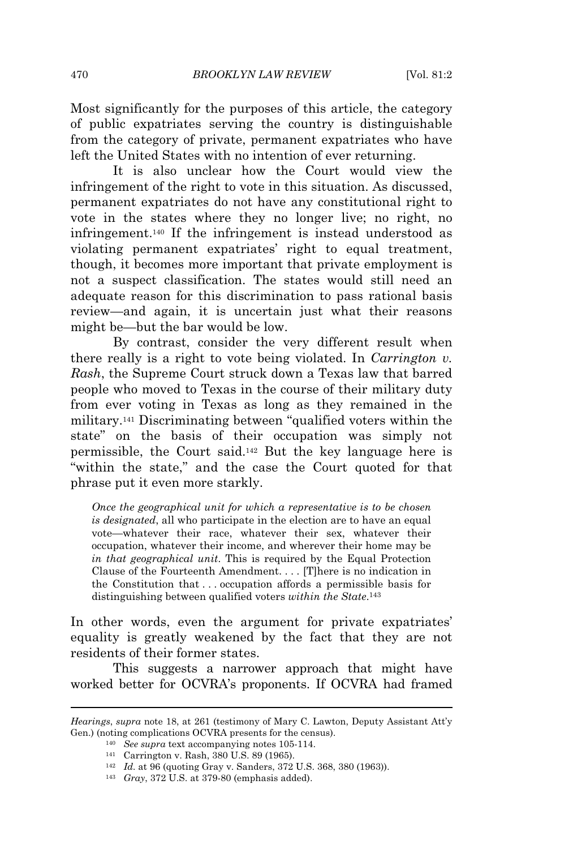Most significantly for the purposes of this article, the category of public expatriates serving the country is distinguishable from the category of private, permanent expatriates who have left the United States with no intention of ever returning.

It is also unclear how the Court would view the infringement of the right to vote in this situation. As discussed, permanent expatriates do not have any constitutional right to vote in the states where they no longer live; no right, no infringement.<sup>140</sup> If the infringement is instead understood as violating permanent expatriates' right to equal treatment, though, it becomes more important that private employment is not a suspect classification. The states would still need an adequate reason for this discrimination to pass rational basis review—and again, it is uncertain just what their reasons might be—but the bar would be low.

By contrast, consider the very different result when there really is a right to vote being violated. In *Carrington v. Rash*, the Supreme Court struck down a Texas law that barred people who moved to Texas in the course of their military duty from ever voting in Texas as long as they remained in the military.<sup>141</sup> Discriminating between "qualified voters within the state" on the basis of their occupation was simply not permissible, the Court said.<sup>142</sup> But the key language here is "within the state," and the case the Court quoted for that phrase put it even more starkly.

*Once the geographical unit for which a representative is to be chosen is designated*, all who participate in the election are to have an equal vote—whatever their race, whatever their sex, whatever their occupation, whatever their income, and wherever their home may be *in that geographical unit*. This is required by the Equal Protection Clause of the Fourteenth Amendment. . . . [T]here is no indication in the Constitution that . . . occupation affords a permissible basis for distinguishing between qualified voters *within the State*. 143

In other words, even the argument for private expatriates' equality is greatly weakened by the fact that they are not residents of their former states.

This suggests a narrower approach that might have worked better for OCVRA's proponents. If OCVRA had framed

<sup>142</sup> *Id.* at 96 (quoting Gray v. Sanders, 372 U.S. 368, 380 (1963)).

*Hearings*, *supra* note 18, at 261 (testimony of Mary C. Lawton, Deputy Assistant Att'y Gen.) (noting complications OCVRA presents for the census).

<sup>140</sup> *See supra* text accompanying notes 105-114.

<sup>141</sup> Carrington v. Rash, 380 U.S. 89 (1965).

<sup>143</sup> *Gray*, 372 U.S. at 379-80 (emphasis added).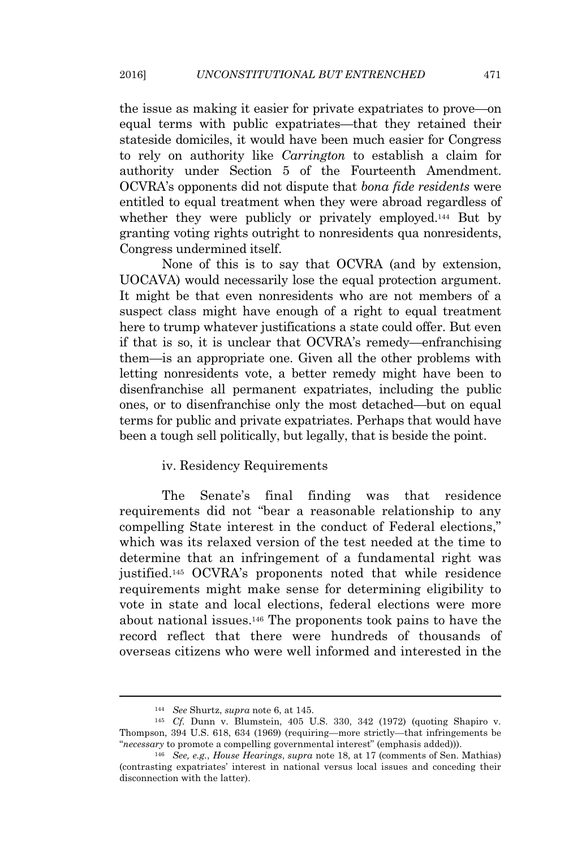the issue as making it easier for private expatriates to prove—on equal terms with public expatriates—that they retained their stateside domiciles, it would have been much easier for Congress to rely on authority like *Carrington* to establish a claim for authority under Section 5 of the Fourteenth Amendment. OCVRA's opponents did not dispute that *bona fide residents* were entitled to equal treatment when they were abroad regardless of whether they were publicly or privately employed.<sup>144</sup> But by granting voting rights outright to nonresidents qua nonresidents, Congress undermined itself.

None of this is to say that OCVRA (and by extension, UOCAVA) would necessarily lose the equal protection argument. It might be that even nonresidents who are not members of a suspect class might have enough of a right to equal treatment here to trump whatever justifications a state could offer. But even if that is so, it is unclear that OCVRA's remedy—enfranchising them—is an appropriate one. Given all the other problems with letting nonresidents vote, a better remedy might have been to disenfranchise all permanent expatriates, including the public ones, or to disenfranchise only the most detached—but on equal terms for public and private expatriates. Perhaps that would have been a tough sell politically, but legally, that is beside the point.

# iv. Residency Requirements

The Senate's final finding was that residence requirements did not "bear a reasonable relationship to any compelling State interest in the conduct of Federal elections," which was its relaxed version of the test needed at the time to determine that an infringement of a fundamental right was justified.<sup>145</sup> OCVRA's proponents noted that while residence requirements might make sense for determining eligibility to vote in state and local elections, federal elections were more about national issues.<sup>146</sup> The proponents took pains to have the record reflect that there were hundreds of thousands of overseas citizens who were well informed and interested in the

<sup>144</sup> *See* Shurtz, *supra* note 6, at 145.

<sup>145</sup> *Cf.* Dunn v. Blumstein, 405 U.S. 330, 342 (1972) (quoting Shapiro v. Thompson, 394 U.S. 618, 634 (1969) (requiring—more strictly—that infringements be "*necessary* to promote a compelling governmental interest" (emphasis added))).

<sup>146</sup> *See, e.g.*, *House Hearings*, *supra* note 18, at 17 (comments of Sen. Mathias) (contrasting expatriates' interest in national versus local issues and conceding their disconnection with the latter).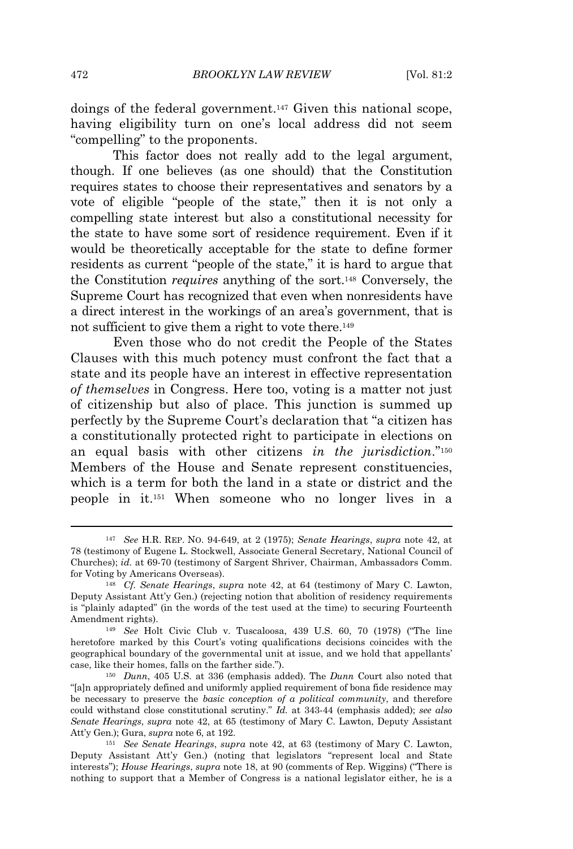doings of the federal government.<sup>147</sup> Given this national scope, having eligibility turn on one's local address did not seem "compelling" to the proponents.

This factor does not really add to the legal argument, though. If one believes (as one should) that the Constitution requires states to choose their representatives and senators by a vote of eligible "people of the state," then it is not only a compelling state interest but also a constitutional necessity for the state to have some sort of residence requirement. Even if it would be theoretically acceptable for the state to define former residents as current "people of the state," it is hard to argue that the Constitution *requires* anything of the sort.<sup>148</sup> Conversely, the Supreme Court has recognized that even when nonresidents have a direct interest in the workings of an area's government, that is not sufficient to give them a right to vote there.<sup>149</sup>

Even those who do not credit the People of the States Clauses with this much potency must confront the fact that a state and its people have an interest in effective representation *of themselves* in Congress. Here too, voting is a matter not just of citizenship but also of place. This junction is summed up perfectly by the Supreme Court's declaration that "a citizen has a constitutionally protected right to participate in elections on an equal basis with other citizens *in the jurisdiction*." 150 Members of the House and Senate represent constituencies, which is a term for both the land in a state or district and the people in it.<sup>151</sup> When someone who no longer lives in a

<sup>147</sup> *See* H.R. REP. NO. 94-649, at 2 (1975); *Senate Hearings*, *supra* note 42, at 78 (testimony of Eugene L. Stockwell, Associate General Secretary, National Council of Churches); *id.* at 69-70 (testimony of Sargent Shriver, Chairman, Ambassadors Comm. for Voting by Americans Overseas).

<sup>148</sup> *Cf. Senate Hearings*, *supra* note 42, at 64 (testimony of Mary C. Lawton, Deputy Assistant Att'y Gen.) (rejecting notion that abolition of residency requirements is "plainly adapted" (in the words of the test used at the time) to securing Fourteenth Amendment rights).

<sup>149</sup> *See* Holt Civic Club v. Tuscaloosa, 439 U.S. 60, 70 (1978) ("The line heretofore marked by this Court's voting qualifications decisions coincides with the geographical boundary of the governmental unit at issue, and we hold that appellants' case, like their homes, falls on the farther side.").

<sup>150</sup> *Dunn*, 405 U.S. at 336 (emphasis added). The *Dunn* Court also noted that "[a]n appropriately defined and uniformly applied requirement of bona fide residence may be necessary to preserve the *basic conception of a political community*, and therefore could withstand close constitutional scrutiny." *Id.* at 343-44 (emphasis added); *see also Senate Hearings*, *supra* note 42, at 65 (testimony of Mary C. Lawton, Deputy Assistant Att'y Gen.); Gura, *supra* note 6, at 192.

<sup>151</sup> *See Senate Hearings*, *supra* note 42, at 63 (testimony of Mary C. Lawton, Deputy Assistant Att'y Gen.) (noting that legislators "represent local and State interests"); *House Hearings*, *supra* note 18, at 90 (comments of Rep. Wiggins) ("There is nothing to support that a Member of Congress is a national legislator either, he is a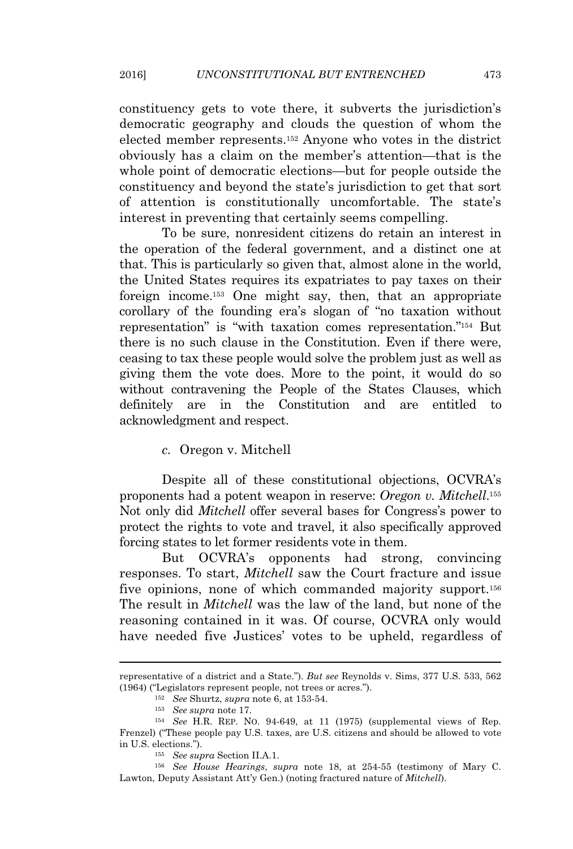constituency gets to vote there, it subverts the jurisdiction's democratic geography and clouds the question of whom the elected member represents.<sup>152</sup> Anyone who votes in the district obviously has a claim on the member's attention—that is the whole point of democratic elections—but for people outside the constituency and beyond the state's jurisdiction to get that sort of attention is constitutionally uncomfortable. The state's interest in preventing that certainly seems compelling.

To be sure, nonresident citizens do retain an interest in the operation of the federal government, and a distinct one at that. This is particularly so given that, almost alone in the world, the United States requires its expatriates to pay taxes on their foreign income.<sup>153</sup> One might say, then, that an appropriate corollary of the founding era's slogan of "no taxation without representation" is "with taxation comes representation." <sup>154</sup> But there is no such clause in the Constitution. Even if there were, ceasing to tax these people would solve the problem just as well as giving them the vote does. More to the point, it would do so without contravening the People of the States Clauses, which definitely are in the Constitution and are entitled to acknowledgment and respect.

*c.* Oregon v. Mitchell

Despite all of these constitutional objections, OCVRA's proponents had a potent weapon in reserve: *Oregon v. Mitchell*. 155 Not only did *Mitchell* offer several bases for Congress's power to protect the rights to vote and travel, it also specifically approved forcing states to let former residents vote in them.

But OCVRA's opponents had strong, convincing responses. To start, *Mitchell* saw the Court fracture and issue five opinions, none of which commanded majority support.<sup>156</sup> The result in *Mitchell* was the law of the land, but none of the reasoning contained in it was. Of course, OCVRA only would have needed five Justices' votes to be upheld, regardless of

representative of a district and a State."). *But see* Reynolds v. Sims, 377 U.S. 533, 562 (1964) ("Legislators represent people, not trees or acres.").

<sup>152</sup> *See* Shurtz, *supra* note 6, at 153-54.

<sup>153</sup> *See supra* note 17.

<sup>154</sup> *See* H.R. REP. NO. 94-649, at 11 (1975) (supplemental views of Rep. Frenzel) ("These people pay U.S. taxes, are U.S. citizens and should be allowed to vote in U.S. elections.").

<sup>155</sup> *See supra* Section II.A.1.

<sup>156</sup> *See House Hearings*, *supra* note 18, at 254-55 (testimony of Mary C. Lawton, Deputy Assistant Att'y Gen.) (noting fractured nature of *Mitchell*).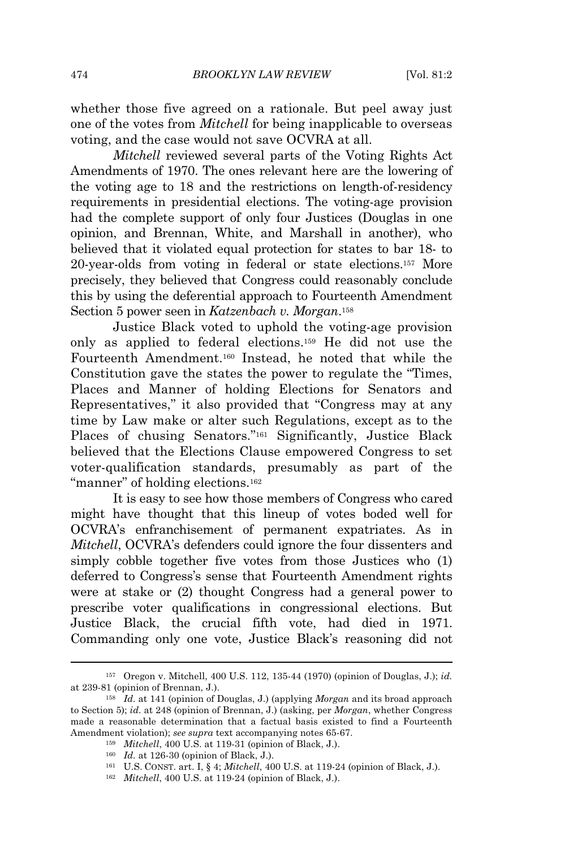whether those five agreed on a rationale. But peel away just one of the votes from *Mitchell* for being inapplicable to overseas voting, and the case would not save OCVRA at all.

*Mitchell* reviewed several parts of the Voting Rights Act Amendments of 1970. The ones relevant here are the lowering of the voting age to 18 and the restrictions on length-of-residency requirements in presidential elections. The voting-age provision had the complete support of only four Justices (Douglas in one opinion, and Brennan, White, and Marshall in another), who believed that it violated equal protection for states to bar 18- to 20-year-olds from voting in federal or state elections.<sup>157</sup> More precisely, they believed that Congress could reasonably conclude this by using the deferential approach to Fourteenth Amendment Section 5 power seen in *Katzenbach v. Morgan*. 158

Justice Black voted to uphold the voting-age provision only as applied to federal elections.<sup>159</sup> He did not use the Fourteenth Amendment.<sup>160</sup> Instead, he noted that while the Constitution gave the states the power to regulate the "Times, Places and Manner of holding Elections for Senators and Representatives," it also provided that "Congress may at any time by Law make or alter such Regulations, except as to the Places of chusing Senators."<sup>161</sup> Significantly, Justice Black believed that the Elections Clause empowered Congress to set voter-qualification standards, presumably as part of the "manner" of holding elections.<sup>162</sup>

It is easy to see how those members of Congress who cared might have thought that this lineup of votes boded well for OCVRA's enfranchisement of permanent expatriates. As in *Mitchell*, OCVRA's defenders could ignore the four dissenters and simply cobble together five votes from those Justices who (1) deferred to Congress's sense that Fourteenth Amendment rights were at stake or (2) thought Congress had a general power to prescribe voter qualifications in congressional elections. But Justice Black, the crucial fifth vote, had died in 1971. Commanding only one vote, Justice Black's reasoning did not

<sup>157</sup> Oregon v. Mitchell, 400 U.S. 112, 135-44 (1970) (opinion of Douglas, J.); *id.* at 239-81 (opinion of Brennan, J.).

<sup>158</sup> *Id.* at 141 (opinion of Douglas, J.) (applying *Morgan* and its broad approach to Section 5); *id.* at 248 (opinion of Brennan, J.) (asking, per *Morgan*, whether Congress made a reasonable determination that a factual basis existed to find a Fourteenth Amendment violation); *see supra* text accompanying notes 65-67.

<sup>159</sup> *Mitchell*, 400 U.S. at 119-31 (opinion of Black, J.).

<sup>160</sup> *Id.* at 126-30 (opinion of Black, J.).

<sup>161</sup> U.S. CONST. art. I, § 4; *Mitchell*, 400 U.S. at 119-24 (opinion of Black, J.).

<sup>162</sup> *Mitchell*, 400 U.S. at 119-24 (opinion of Black, J.).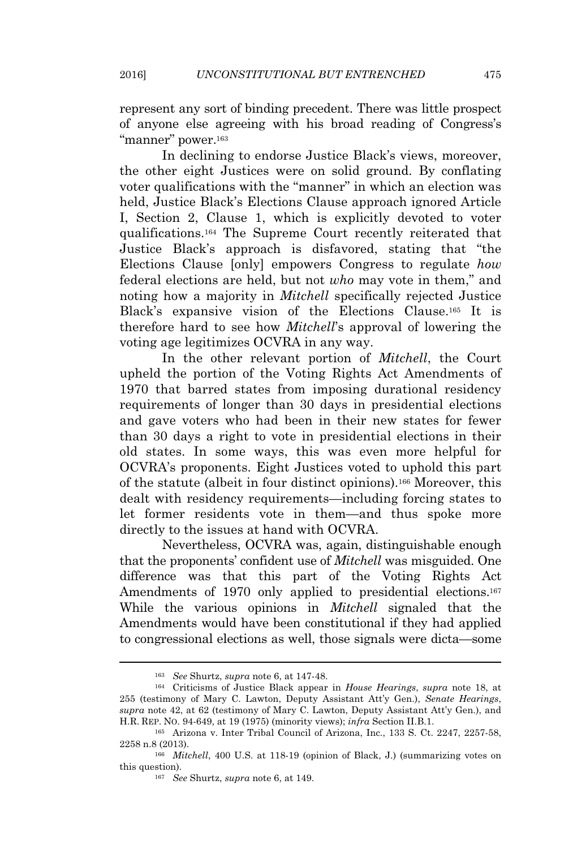represent any sort of binding precedent. There was little prospect of anyone else agreeing with his broad reading of Congress's "manner" power.<sup>163</sup>

In declining to endorse Justice Black's views, moreover, the other eight Justices were on solid ground. By conflating voter qualifications with the "manner" in which an election was held, Justice Black's Elections Clause approach ignored Article I, Section 2, Clause 1, which is explicitly devoted to voter qualifications.<sup>164</sup> The Supreme Court recently reiterated that Justice Black's approach is disfavored, stating that "the Elections Clause [only] empowers Congress to regulate *how* federal elections are held, but not *who* may vote in them," and noting how a majority in *Mitchell* specifically rejected Justice Black's expansive vision of the Elections Clause.<sup>165</sup> It is therefore hard to see how *Mitchell*'s approval of lowering the voting age legitimizes OCVRA in any way.

In the other relevant portion of *Mitchell*, the Court upheld the portion of the Voting Rights Act Amendments of 1970 that barred states from imposing durational residency requirements of longer than 30 days in presidential elections and gave voters who had been in their new states for fewer than 30 days a right to vote in presidential elections in their old states. In some ways, this was even more helpful for OCVRA's proponents. Eight Justices voted to uphold this part of the statute (albeit in four distinct opinions).<sup>166</sup> Moreover, this dealt with residency requirements—including forcing states to let former residents vote in them—and thus spoke more directly to the issues at hand with OCVRA.

Nevertheless, OCVRA was, again, distinguishable enough that the proponents' confident use of *Mitchell* was misguided. One difference was that this part of the Voting Rights Act Amendments of 1970 only applied to presidential elections.<sup>167</sup> While the various opinions in *Mitchell* signaled that the Amendments would have been constitutional if they had applied to congressional elections as well, those signals were dicta—some

<sup>163</sup> *See* Shurtz, *supra* note 6, at 147-48.

<sup>164</sup> Criticisms of Justice Black appear in *House Hearings*, *supra* note 18, at 255 (testimony of Mary C. Lawton, Deputy Assistant Att'y Gen.), *Senate Hearings*, *supra* note 42, at 62 (testimony of Mary C. Lawton, Deputy Assistant Att'y Gen.), and H.R. REP. NO. 94-649, at 19 (1975) (minority views); *infra* Section II.B.1.

<sup>165</sup> Arizona v. Inter Tribal Council of Arizona, Inc., 133 S. Ct. 2247, 2257-58, 2258 n.8 (2013).

<sup>166</sup> *Mitchell*, 400 U.S. at 118-19 (opinion of Black, J.) (summarizing votes on this question).

<sup>167</sup> *See* Shurtz, *supra* note 6, at 149.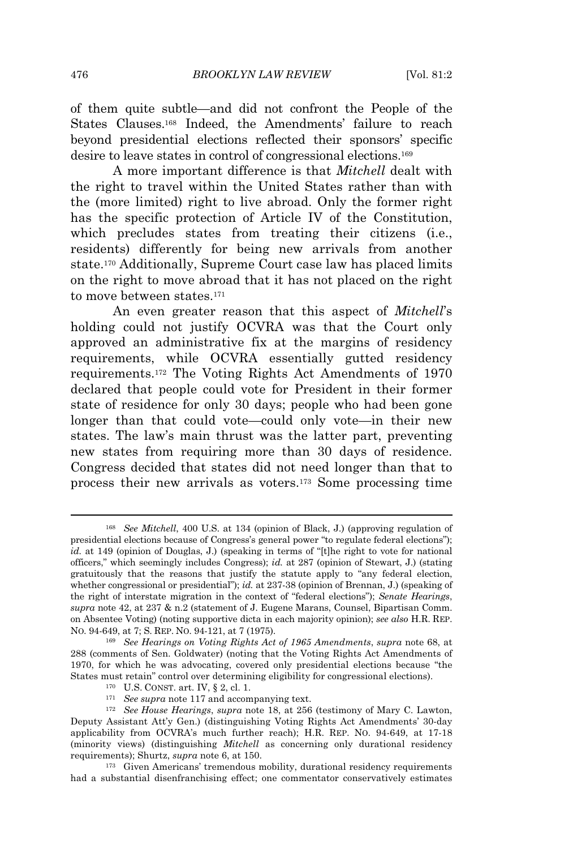of them quite subtle—and did not confront the People of the States Clauses.<sup>168</sup> Indeed, the Amendments' failure to reach beyond presidential elections reflected their sponsors' specific desire to leave states in control of congressional elections.<sup>169</sup>

A more important difference is that *Mitchell* dealt with the right to travel within the United States rather than with the (more limited) right to live abroad. Only the former right has the specific protection of Article IV of the Constitution, which precludes states from treating their citizens (i.e., residents) differently for being new arrivals from another state.<sup>170</sup> Additionally, Supreme Court case law has placed limits on the right to move abroad that it has not placed on the right to move between states.<sup>171</sup>

An even greater reason that this aspect of *Mitchell*'s holding could not justify OCVRA was that the Court only approved an administrative fix at the margins of residency requirements, while OCVRA essentially gutted residency requirements.<sup>172</sup> The Voting Rights Act Amendments of 1970 declared that people could vote for President in their former state of residence for only 30 days; people who had been gone longer than that could vote—could only vote—in their new states. The law's main thrust was the latter part, preventing new states from requiring more than 30 days of residence. Congress decided that states did not need longer than that to process their new arrivals as voters.<sup>173</sup> Some processing time

<sup>168</sup> *See Mitchell*, 400 U.S. at 134 (opinion of Black, J.) (approving regulation of presidential elections because of Congress's general power "to regulate federal elections"); *id.* at 149 (opinion of Douglas, J.) (speaking in terms of "[t]he right to vote for national officers," which seemingly includes Congress); *id.* at 287 (opinion of Stewart, J.) (stating gratuitously that the reasons that justify the statute apply to "any federal election, whether congressional or presidential"); *id.* at 237-38 (opinion of Brennan, J.) (speaking of the right of interstate migration in the context of "federal elections"); *Senate Hearings*, *supra* note 42, at 237 & n.2 (statement of J. Eugene Marans, Counsel, Bipartisan Comm. on Absentee Voting) (noting supportive dicta in each majority opinion); *see also* H.R. REP. NO. 94-649, at 7; S. REP. NO. 94-121, at 7 (1975).

<sup>169</sup> *See Hearings on Voting Rights Act of 1965 Amendments*, *supra* note 68, at 288 (comments of Sen. Goldwater) (noting that the Voting Rights Act Amendments of 1970, for which he was advocating, covered only presidential elections because "the States must retain" control over determining eligibility for congressional elections).

<sup>170</sup> U.S. CONST. art. IV, § 2, cl. 1.

<sup>&</sup>lt;sup>171</sup> *See supra* note 117 and accompanying text.

<sup>172</sup> *See House Hearings*, *supra* note 18, at 256 (testimony of Mary C. Lawton, Deputy Assistant Att'y Gen.) (distinguishing Voting Rights Act Amendments' 30-day applicability from OCVRA's much further reach); H.R. REP. NO. 94-649, at 17-18 (minority views) (distinguishing *Mitchell* as concerning only durational residency requirements); Shurtz, *supra* note 6, at 150.

<sup>173</sup> Given Americans' tremendous mobility, durational residency requirements had a substantial disenfranchising effect; one commentator conservatively estimates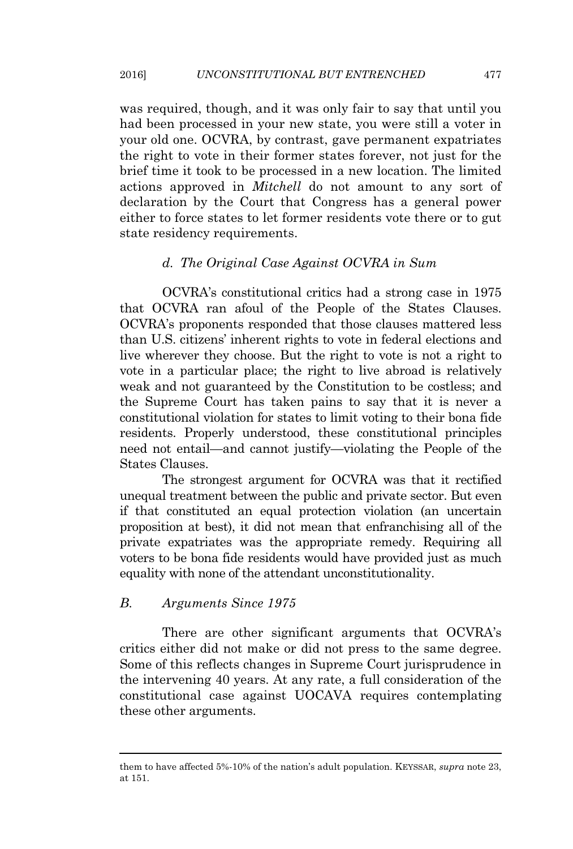was required, though, and it was only fair to say that until you had been processed in your new state, you were still a voter in your old one. OCVRA, by contrast, gave permanent expatriates the right to vote in their former states forever, not just for the brief time it took to be processed in a new location. The limited actions approved in *Mitchell* do not amount to any sort of declaration by the Court that Congress has a general power either to force states to let former residents vote there or to gut state residency requirements.

#### *d. The Original Case Against OCVRA in Sum*

OCVRA's constitutional critics had a strong case in 1975 that OCVRA ran afoul of the People of the States Clauses. OCVRA's proponents responded that those clauses mattered less than U.S. citizens' inherent rights to vote in federal elections and live wherever they choose. But the right to vote is not a right to vote in a particular place; the right to live abroad is relatively weak and not guaranteed by the Constitution to be costless; and the Supreme Court has taken pains to say that it is never a constitutional violation for states to limit voting to their bona fide residents. Properly understood, these constitutional principles need not entail—and cannot justify—violating the People of the States Clauses.

The strongest argument for OCVRA was that it rectified unequal treatment between the public and private sector. But even if that constituted an equal protection violation (an uncertain proposition at best), it did not mean that enfranchising all of the private expatriates was the appropriate remedy. Requiring all voters to be bona fide residents would have provided just as much equality with none of the attendant unconstitutionality.

#### *B. Arguments Since 1975*

There are other significant arguments that OCVRA's critics either did not make or did not press to the same degree. Some of this reflects changes in Supreme Court jurisprudence in the intervening 40 years. At any rate, a full consideration of the constitutional case against UOCAVA requires contemplating these other arguments.

them to have affected 5%-10% of the nation's adult population. KEYSSAR, *supra* note 23, at 151.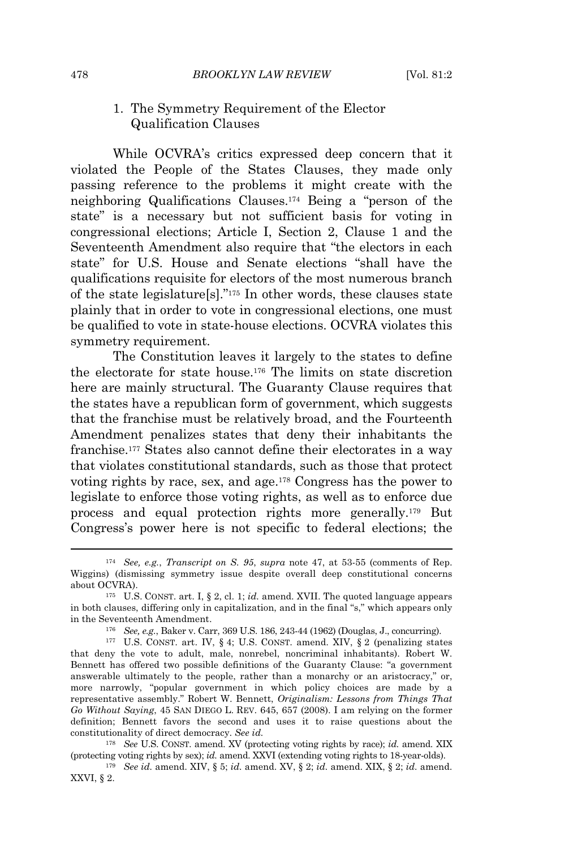# 1. The Symmetry Requirement of the Elector Qualification Clauses

While OCVRA's critics expressed deep concern that it violated the People of the States Clauses, they made only passing reference to the problems it might create with the neighboring Qualifications Clauses.<sup>174</sup> Being a "person of the state" is a necessary but not sufficient basis for voting in congressional elections; Article I, Section 2, Clause 1 and the Seventeenth Amendment also require that "the electors in each state" for U.S. House and Senate elections "shall have the qualifications requisite for electors of the most numerous branch of the state legislature[s]." <sup>175</sup> In other words, these clauses state plainly that in order to vote in congressional elections, one must be qualified to vote in state-house elections. OCVRA violates this symmetry requirement.

The Constitution leaves it largely to the states to define the electorate for state house.<sup>176</sup> The limits on state discretion here are mainly structural. The Guaranty Clause requires that the states have a republican form of government, which suggests that the franchise must be relatively broad, and the Fourteenth Amendment penalizes states that deny their inhabitants the franchise.<sup>177</sup> States also cannot define their electorates in a way that violates constitutional standards, such as those that protect voting rights by race, sex, and age.<sup>178</sup> Congress has the power to legislate to enforce those voting rights, as well as to enforce due process and equal protection rights more generally.<sup>179</sup> But Congress's power here is not specific to federal elections; the

<sup>178</sup> *See* U.S. CONST. amend. XV (protecting voting rights by race); *id.* amend. XIX (protecting voting rights by sex); *id.* amend. XXVI (extending voting rights to 18-year-olds).

<sup>179</sup> *See id.* amend. XIV, § 5; *id.* amend. XV, § 2; *id.* amend. XIX, § 2; *id.* amend. XXVI, § 2.

<sup>174</sup> *See, e.g.*, *Transcript on S. 95*, *supra* note 47, at 53-55 (comments of Rep. Wiggins) (dismissing symmetry issue despite overall deep constitutional concerns about OCVRA).

<sup>175</sup> U.S. CONST. art. I, § 2, cl. 1; *id.* amend. XVII. The quoted language appears in both clauses, differing only in capitalization, and in the final "s," which appears only in the Seventeenth Amendment.

<sup>176</sup> *See, e.g.*, Baker v. Carr, 369 U.S. 186, 243-44 (1962) (Douglas, J., concurring).

<sup>177</sup> U.S. CONST. art. IV, § 4; U.S. CONST. amend. XIV, § 2 (penalizing states that deny the vote to adult, male, nonrebel, noncriminal inhabitants). Robert W. Bennett has offered two possible definitions of the Guaranty Clause: "a government answerable ultimately to the people, rather than a monarchy or an aristocracy," or, more narrowly, "popular government in which policy choices are made by a representative assembly." Robert W. Bennett, *Originalism: Lessons from Things That Go Without Saying*, 45 SAN DIEGO L. REV. 645, 657 (2008). I am relying on the former definition; Bennett favors the second and uses it to raise questions about the constitutionality of direct democracy. *See id.*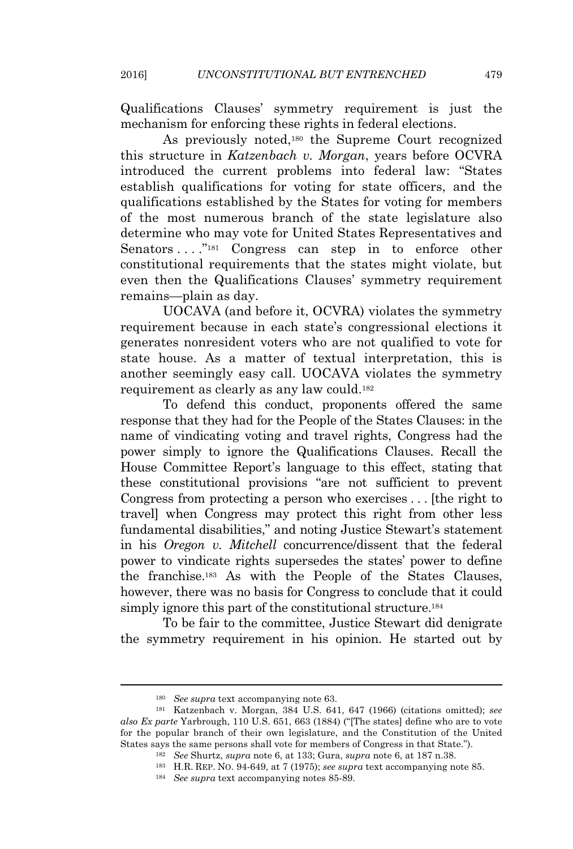Qualifications Clauses' symmetry requirement is just the mechanism for enforcing these rights in federal elections.

As previously noted,<sup>180</sup> the Supreme Court recognized this structure in *Katzenbach v. Morgan*, years before OCVRA introduced the current problems into federal law: "States establish qualifications for voting for state officers, and the qualifications established by the States for voting for members of the most numerous branch of the state legislature also determine who may vote for United States Representatives and Senators . . . . "181 Congress can step in to enforce other constitutional requirements that the states might violate, but even then the Qualifications Clauses' symmetry requirement remains—plain as day.

UOCAVA (and before it, OCVRA) violates the symmetry requirement because in each state's congressional elections it generates nonresident voters who are not qualified to vote for state house. As a matter of textual interpretation, this is another seemingly easy call. UOCAVA violates the symmetry requirement as clearly as any law could.<sup>182</sup>

To defend this conduct, proponents offered the same response that they had for the People of the States Clauses: in the name of vindicating voting and travel rights, Congress had the power simply to ignore the Qualifications Clauses. Recall the House Committee Report's language to this effect, stating that these constitutional provisions "are not sufficient to prevent Congress from protecting a person who exercises . . . [the right to travel] when Congress may protect this right from other less fundamental disabilities," and noting Justice Stewart's statement in his *Oregon v. Mitchell* concurrence/dissent that the federal power to vindicate rights supersedes the states' power to define the franchise.<sup>183</sup> As with the People of the States Clauses, however, there was no basis for Congress to conclude that it could simply ignore this part of the constitutional structure.<sup>184</sup>

To be fair to the committee, Justice Stewart did denigrate the symmetry requirement in his opinion. He started out by

<sup>180</sup> *See supra* text accompanying note 63.

<sup>181</sup> Katzenbach v. Morgan, 384 U.S. 641, 647 (1966) (citations omitted); *see also Ex parte* Yarbrough, 110 U.S. 651, 663 (1884) ("[The states] define who are to vote for the popular branch of their own legislature, and the Constitution of the United States says the same persons shall vote for members of Congress in that State.").

<sup>182</sup> *See* Shurtz, *supra* note 6, at 133; Gura, *supra* note 6, at 187 n.38.

<sup>183</sup> H.R. REP. NO. 94-649, at 7 (1975); *see supra* text accompanying note 85.

<sup>184</sup> *See supra* text accompanying notes 85-89.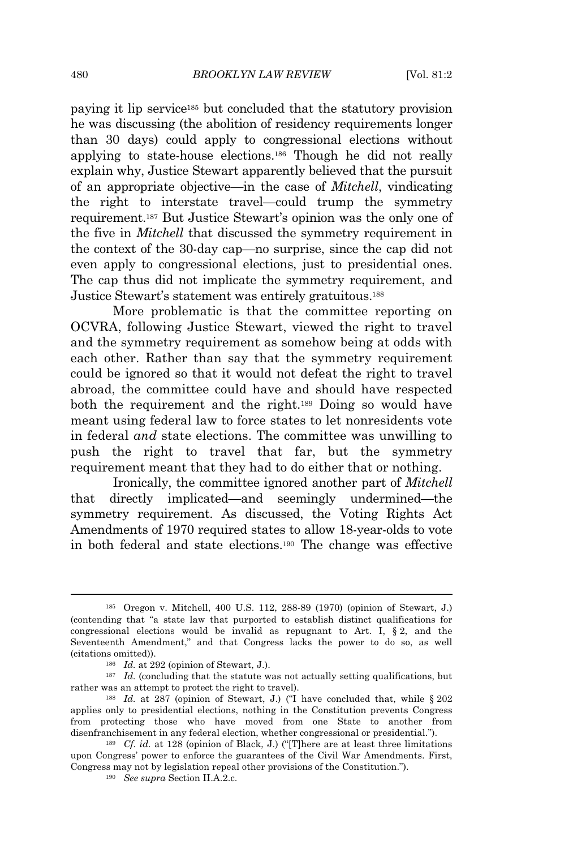paying it lip service<sup>185</sup> but concluded that the statutory provision he was discussing (the abolition of residency requirements longer than 30 days) could apply to congressional elections without applying to state-house elections.<sup>186</sup> Though he did not really explain why, Justice Stewart apparently believed that the pursuit of an appropriate objective—in the case of *Mitchell*, vindicating the right to interstate travel—could trump the symmetry requirement.<sup>187</sup> But Justice Stewart's opinion was the only one of the five in *Mitchell* that discussed the symmetry requirement in the context of the 30-day cap—no surprise, since the cap did not even apply to congressional elections, just to presidential ones. The cap thus did not implicate the symmetry requirement, and Justice Stewart's statement was entirely gratuitous.<sup>188</sup>

More problematic is that the committee reporting on OCVRA, following Justice Stewart, viewed the right to travel and the symmetry requirement as somehow being at odds with each other. Rather than say that the symmetry requirement could be ignored so that it would not defeat the right to travel abroad, the committee could have and should have respected both the requirement and the right.<sup>189</sup> Doing so would have meant using federal law to force states to let nonresidents vote in federal *and* state elections. The committee was unwilling to push the right to travel that far, but the symmetry requirement meant that they had to do either that or nothing.

Ironically, the committee ignored another part of *Mitchell* that directly implicated—and seemingly undermined—the symmetry requirement. As discussed, the Voting Rights Act Amendments of 1970 required states to allow 18-year-olds to vote in both federal and state elections.<sup>190</sup> The change was effective

<sup>185</sup> Oregon v. Mitchell, 400 U.S. 112, 288-89 (1970) (opinion of Stewart, J.) (contending that "a state law that purported to establish distinct qualifications for congressional elections would be invalid as repugnant to Art. I,  $\S 2$ , and the Seventeenth Amendment," and that Congress lacks the power to do so, as well (citations omitted)).

<sup>186</sup> *Id.* at 292 (opinion of Stewart, J.).

<sup>&</sup>lt;sup>187</sup> *Id.* (concluding that the statute was not actually setting qualifications, but rather was an attempt to protect the right to travel).

<sup>&</sup>lt;sup>188</sup> *Id.* at 287 (opinion of Stewart, J.) ("I have concluded that, while § 202 applies only to presidential elections, nothing in the Constitution prevents Congress from protecting those who have moved from one State to another from disenfranchisement in any federal election, whether congressional or presidential.").

<sup>189</sup> *Cf. id.* at 128 (opinion of Black, J.) ("[T]here are at least three limitations upon Congress' power to enforce the guarantees of the Civil War Amendments. First, Congress may not by legislation repeal other provisions of the Constitution.").

<sup>190</sup> *See supra* Section II.A.2.c.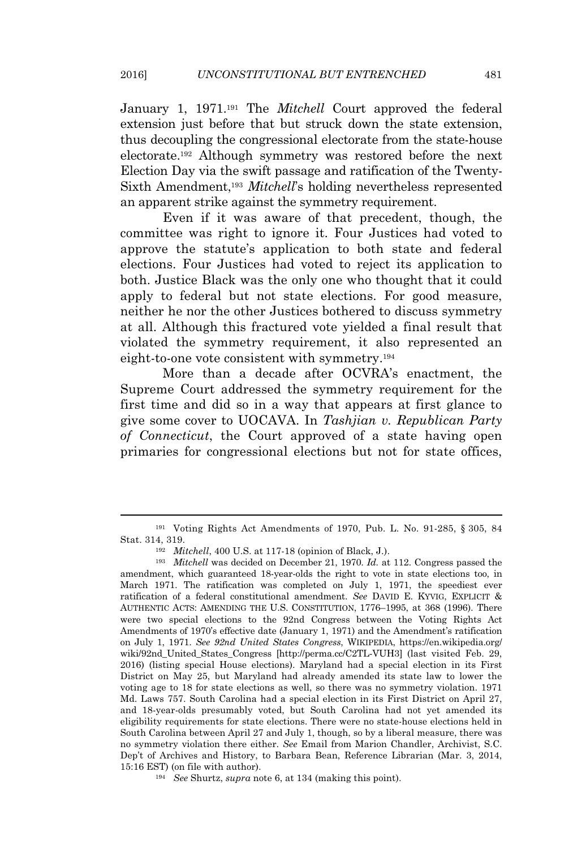January 1, 1971.<sup>191</sup> The *Mitchell* Court approved the federal extension just before that but struck down the state extension, thus decoupling the congressional electorate from the state-house electorate.<sup>192</sup> Although symmetry was restored before the next Election Day via the swift passage and ratification of the Twenty-Sixth Amendment,<sup>193</sup> *Mitchell*'s holding nevertheless represented an apparent strike against the symmetry requirement.

Even if it was aware of that precedent, though, the committee was right to ignore it. Four Justices had voted to approve the statute's application to both state and federal elections. Four Justices had voted to reject its application to both. Justice Black was the only one who thought that it could apply to federal but not state elections. For good measure, neither he nor the other Justices bothered to discuss symmetry at all. Although this fractured vote yielded a final result that violated the symmetry requirement, it also represented an eight-to-one vote consistent with symmetry.<sup>194</sup>

More than a decade after OCVRA's enactment, the Supreme Court addressed the symmetry requirement for the first time and did so in a way that appears at first glance to give some cover to UOCAVA. In *Tashjian v. Republican Party of Connecticut*, the Court approved of a state having open primaries for congressional elections but not for state offices,

<sup>191</sup> Voting Rights Act Amendments of 1970, Pub. L. No. 91-285, § 305, 84 Stat. 314, 319.

<sup>192</sup> *Mitchell*, 400 U.S. at 117-18 (opinion of Black, J.).

<sup>193</sup> *Mitchell* was decided on December 21, 1970. *Id.* at 112. Congress passed the amendment, which guaranteed 18-year-olds the right to vote in state elections too, in March 1971. The ratification was completed on July 1, 1971, the speediest ever ratification of a federal constitutional amendment. *See* DAVID E. KYVIG, EXPLICIT & AUTHENTIC ACTS: AMENDING THE U.S. CONSTITUTION, 1776–1995, at 368 (1996). There were two special elections to the 92nd Congress between the Voting Rights Act Amendments of 1970's effective date (January 1, 1971) and the Amendment's ratification on July 1, 1971. *See 92nd United States Congress*, WIKIPEDIA, https://en.wikipedia.org/ wiki/92nd\_United\_States\_Congress [http://perma.cc/C2TL-VUH3] (last visited Feb. 29, 2016) (listing special House elections). Maryland had a special election in its First District on May 25, but Maryland had already amended its state law to lower the voting age to 18 for state elections as well, so there was no symmetry violation. 1971 Md. Laws 757. South Carolina had a special election in its First District on April 27, and 18-year-olds presumably voted, but South Carolina had not yet amended its eligibility requirements for state elections. There were no state-house elections held in South Carolina between April 27 and July 1, though, so by a liberal measure, there was no symmetry violation there either. *See* Email from Marion Chandler, Archivist, S.C. Dep't of Archives and History, to Barbara Bean, Reference Librarian (Mar. 3, 2014, 15:16 EST) (on file with author).

<sup>194</sup> *See* Shurtz, *supra* note 6, at 134 (making this point).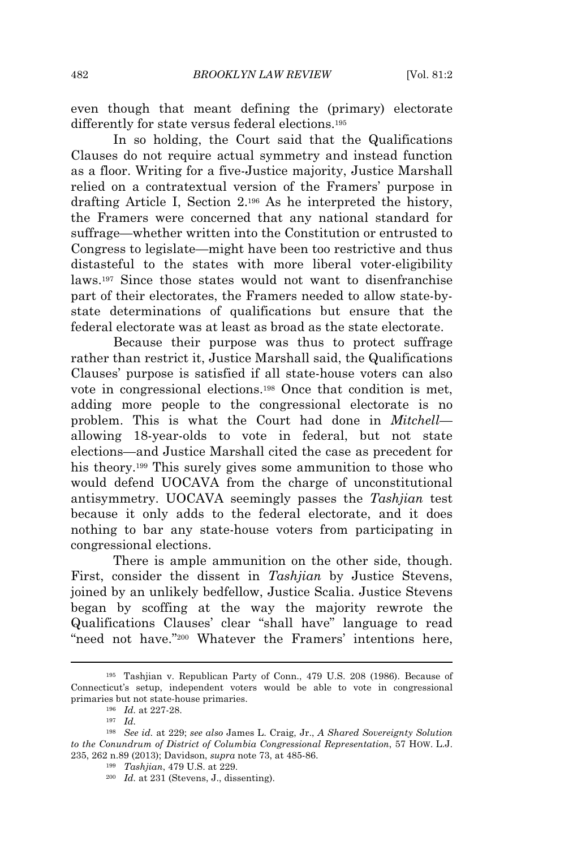even though that meant defining the (primary) electorate differently for state versus federal elections.<sup>195</sup>

In so holding, the Court said that the Qualifications Clauses do not require actual symmetry and instead function as a floor. Writing for a five-Justice majority, Justice Marshall relied on a contratextual version of the Framers' purpose in drafting Article I, Section 2.<sup>196</sup> As he interpreted the history, the Framers were concerned that any national standard for suffrage—whether written into the Constitution or entrusted to Congress to legislate—might have been too restrictive and thus distasteful to the states with more liberal voter-eligibility laws.<sup>197</sup> Since those states would not want to disenfranchise part of their electorates, the Framers needed to allow state-bystate determinations of qualifications but ensure that the federal electorate was at least as broad as the state electorate.

Because their purpose was thus to protect suffrage rather than restrict it, Justice Marshall said, the Qualifications Clauses' purpose is satisfied if all state-house voters can also vote in congressional elections.<sup>198</sup> Once that condition is met, adding more people to the congressional electorate is no problem. This is what the Court had done in *Mitchell* allowing 18-year-olds to vote in federal, but not state elections—and Justice Marshall cited the case as precedent for his theory.<sup>199</sup> This surely gives some ammunition to those who would defend UOCAVA from the charge of unconstitutional antisymmetry. UOCAVA seemingly passes the *Tashjian* test because it only adds to the federal electorate, and it does nothing to bar any state-house voters from participating in congressional elections.

There is ample ammunition on the other side, though. First, consider the dissent in *Tashjian* by Justice Stevens, joined by an unlikely bedfellow, Justice Scalia. Justice Stevens began by scoffing at the way the majority rewrote the Qualifications Clauses' clear "shall have" language to read "need not have."<sup>200</sup> Whatever the Framers' intentions here,

<sup>195</sup> Tashjian v. Republican Party of Conn., 479 U.S. 208 (1986). Because of Connecticut's setup, independent voters would be able to vote in congressional primaries but not state-house primaries.

<sup>196</sup> *Id.* at 227-28.

<sup>197</sup> *Id.*

<sup>198</sup> *See id.* at 229; *see also* James L. Craig, Jr., *A Shared Sovereignty Solution to the Conundrum of District of Columbia Congressional Representation*, 57 HOW. L.J. 235, 262 n.89 (2013); Davidson, *supra* note 73, at 485-86.

<sup>199</sup> *Tashjian*, 479 U.S. at 229.

<sup>200</sup> *Id.* at 231 (Stevens, J., dissenting).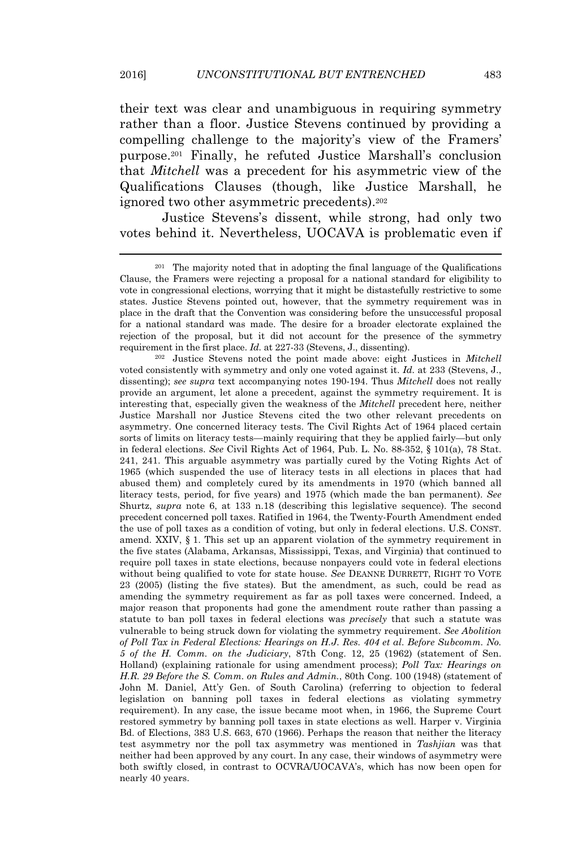their text was clear and unambiguous in requiring symmetry rather than a floor. Justice Stevens continued by providing a compelling challenge to the majority's view of the Framers' purpose.<sup>201</sup> Finally, he refuted Justice Marshall's conclusion that *Mitchell* was a precedent for his asymmetric view of the Qualifications Clauses (though, like Justice Marshall, he ignored two other asymmetric precedents).<sup>202</sup>

Justice Stevens's dissent, while strong, had only two votes behind it. Nevertheless, UOCAVA is problematic even if

<sup>202</sup> Justice Stevens noted the point made above: eight Justices in *Mitchell* voted consistently with symmetry and only one voted against it. *Id.* at 233 (Stevens, J., dissenting); *see supra* text accompanying notes 190-194. Thus *Mitchell* does not really provide an argument, let alone a precedent, against the symmetry requirement. It is interesting that, especially given the weakness of the *Mitchell* precedent here, neither Justice Marshall nor Justice Stevens cited the two other relevant precedents on asymmetry. One concerned literacy tests. The Civil Rights Act of 1964 placed certain sorts of limits on literacy tests—mainly requiring that they be applied fairly—but only in federal elections. *See* Civil Rights Act of 1964, Pub. L. No. 88-352, § 101(a), 78 Stat. 241, 241. This arguable asymmetry was partially cured by the Voting Rights Act of 1965 (which suspended the use of literacy tests in all elections in places that had abused them) and completely cured by its amendments in 1970 (which banned all literacy tests, period, for five years) and 1975 (which made the ban permanent). *See* Shurtz, *supra* note 6, at 133 n.18 (describing this legislative sequence). The second precedent concerned poll taxes. Ratified in 1964, the Twenty-Fourth Amendment ended the use of poll taxes as a condition of voting, but only in federal elections. U.S. CONST. amend. XXIV, § 1. This set up an apparent violation of the symmetry requirement in the five states (Alabama, Arkansas, Mississippi, Texas, and Virginia) that continued to require poll taxes in state elections, because nonpayers could vote in federal elections without being qualified to vote for state house. *See* DEANNE DURRETT, RIGHT TO VOTE 23 (2005) (listing the five states). But the amendment, as such, could be read as amending the symmetry requirement as far as poll taxes were concerned. Indeed, a major reason that proponents had gone the amendment route rather than passing a statute to ban poll taxes in federal elections was *precisely* that such a statute was vulnerable to being struck down for violating the symmetry requirement. *See Abolition of Poll Tax in Federal Elections: Hearings on H.J. Res. 404 et al. Before Subcomm. No. 5 of the H. Comm. on the Judiciary*, 87th Cong. 12, 25 (1962) (statement of Sen. Holland) (explaining rationale for using amendment process); *Poll Tax: Hearings on H.R. 29 Before the S. Comm. on Rules and Admin.*, 80th Cong. 100 (1948) (statement of John M. Daniel, Att'y Gen. of South Carolina) (referring to objection to federal legislation on banning poll taxes in federal elections as violating symmetry requirement). In any case, the issue became moot when, in 1966, the Supreme Court restored symmetry by banning poll taxes in state elections as well. Harper v. Virginia Bd. of Elections, 383 U.S. 663, 670 (1966). Perhaps the reason that neither the literacy test asymmetry nor the poll tax asymmetry was mentioned in *Tashjian* was that neither had been approved by any court. In any case, their windows of asymmetry were both swiftly closed, in contrast to OCVRA/UOCAVA's, which has now been open for nearly 40 years.

<sup>201</sup> The majority noted that in adopting the final language of the Qualifications Clause, the Framers were rejecting a proposal for a national standard for eligibility to vote in congressional elections, worrying that it might be distastefully restrictive to some states. Justice Stevens pointed out, however, that the symmetry requirement was in place in the draft that the Convention was considering before the unsuccessful proposal for a national standard was made. The desire for a broader electorate explained the rejection of the proposal, but it did not account for the presence of the symmetry requirement in the first place. *Id.* at 227-33 (Stevens, J., dissenting).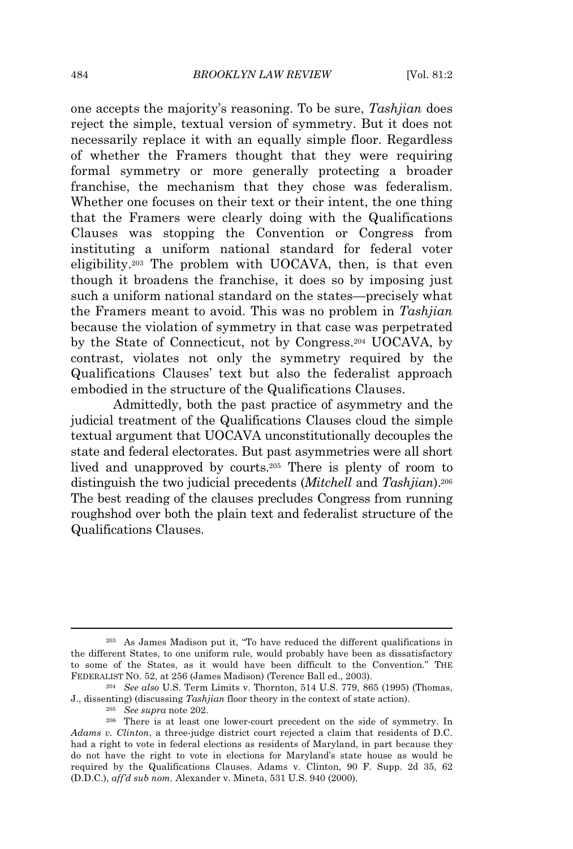one accepts the majority's reasoning. To be sure, *Tashjian* does reject the simple, textual version of symmetry. But it does not necessarily replace it with an equally simple floor. Regardless of whether the Framers thought that they were requiring formal symmetry or more generally protecting a broader franchise, the mechanism that they chose was federalism. Whether one focuses on their text or their intent, the one thing that the Framers were clearly doing with the Qualifications Clauses was stopping the Convention or Congress from instituting a uniform national standard for federal voter eligibility.<sup>203</sup> The problem with UOCAVA, then, is that even though it broadens the franchise, it does so by imposing just such a uniform national standard on the states—precisely what the Framers meant to avoid. This was no problem in *Tashjian* because the violation of symmetry in that case was perpetrated by the State of Connecticut, not by Congress.<sup>204</sup> UOCAVA, by contrast, violates not only the symmetry required by the Qualifications Clauses' text but also the federalist approach embodied in the structure of the Qualifications Clauses.

Admittedly, both the past practice of asymmetry and the judicial treatment of the Qualifications Clauses cloud the simple textual argument that UOCAVA unconstitutionally decouples the state and federal electorates. But past asymmetries were all short lived and unapproved by courts.<sup>205</sup> There is plenty of room to distinguish the two judicial precedents (*Mitchell* and *Tashjian*).<sup>206</sup> The best reading of the clauses precludes Congress from running roughshod over both the plain text and federalist structure of the Qualifications Clauses.

<sup>203</sup> As James Madison put it, "To have reduced the different qualifications in the different States, to one uniform rule, would probably have been as dissatisfactory to some of the States, as it would have been difficult to the Convention." THE FEDERALIST NO. 52, at 256 (James Madison) (Terence Ball ed., 2003).

<sup>204</sup> *See also* U.S. Term Limits v. Thornton, 514 U.S. 779, 865 (1995) (Thomas, J., dissenting) (discussing *Tashjian* floor theory in the context of state action).

<sup>205</sup> *See supra* note 202.

<sup>&</sup>lt;sup>206</sup> There is at least one lower-court precedent on the side of symmetry. In *Adams v. Clinton*, a three-judge district court rejected a claim that residents of D.C. had a right to vote in federal elections as residents of Maryland, in part because they do not have the right to vote in elections for Maryland's state house as would be required by the Qualifications Clauses. Adams v. Clinton, 90 F. Supp. 2d 35, 62 (D.D.C.), *aff'd sub nom.* Alexander v. Mineta, 531 U.S. 940 (2000).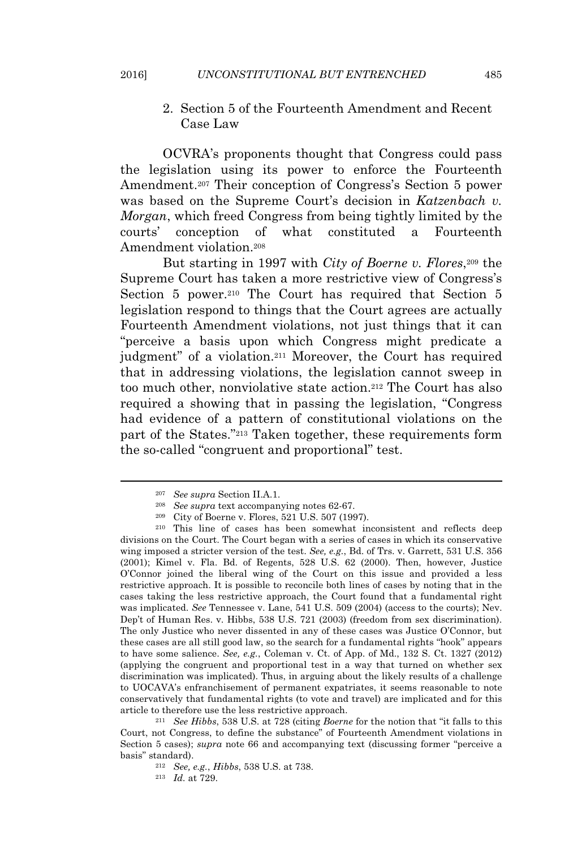2. Section 5 of the Fourteenth Amendment and Recent Case Law

OCVRA's proponents thought that Congress could pass the legislation using its power to enforce the Fourteenth Amendment.<sup>207</sup> Their conception of Congress's Section 5 power was based on the Supreme Court's decision in *Katzenbach v. Morgan*, which freed Congress from being tightly limited by the courts' conception of what constituted a Fourteenth Amendment violation.<sup>208</sup>

But starting in 1997 with *City of Boerne v. Flores*, <sup>209</sup> the Supreme Court has taken a more restrictive view of Congress's Section 5 power.<sup>210</sup> The Court has required that Section 5 legislation respond to things that the Court agrees are actually Fourteenth Amendment violations, not just things that it can "perceive a basis upon which Congress might predicate a judgment" of a violation.<sup>211</sup> Moreover, the Court has required that in addressing violations, the legislation cannot sweep in too much other, nonviolative state action.<sup>212</sup> The Court has also required a showing that in passing the legislation, "Congress had evidence of a pattern of constitutional violations on the part of the States." <sup>213</sup> Taken together, these requirements form the so-called "congruent and proportional" test.

<sup>211</sup> *See Hibbs*, 538 U.S. at 728 (citing *Boerne* for the notion that "it falls to this Court, not Congress, to define the substance" of Fourteenth Amendment violations in Section 5 cases); *supra* note 66 and accompanying text (discussing former "perceive a basis" standard).

<sup>207</sup> *See supra* Section II.A.1.

<sup>208</sup> *See supra* text accompanying notes 62-67.

<sup>209</sup> City of Boerne v. Flores, 521 U.S. 507 (1997).

<sup>210</sup> This line of cases has been somewhat inconsistent and reflects deep divisions on the Court. The Court began with a series of cases in which its conservative wing imposed a stricter version of the test. *See, e.g.*, Bd. of Trs. v. Garrett, 531 U.S. 356 (2001); Kimel v. Fla. Bd. of Regents, 528 U.S. 62 (2000). Then, however, Justice O'Connor joined the liberal wing of the Court on this issue and provided a less restrictive approach. It is possible to reconcile both lines of cases by noting that in the cases taking the less restrictive approach, the Court found that a fundamental right was implicated. *See* Tennessee v. Lane, 541 U.S. 509 (2004) (access to the courts); Nev. Dep't of Human Res. v. Hibbs, 538 U.S. 721 (2003) (freedom from sex discrimination). The only Justice who never dissented in any of these cases was Justice O'Connor, but these cases are all still good law, so the search for a fundamental rights "hook" appears to have some salience. *See, e.g.*, Coleman v. Ct. of App. of Md., 132 S. Ct. 1327 (2012) (applying the congruent and proportional test in a way that turned on whether sex discrimination was implicated). Thus, in arguing about the likely results of a challenge to UOCAVA's enfranchisement of permanent expatriates, it seems reasonable to note conservatively that fundamental rights (to vote and travel) are implicated and for this article to therefore use the less restrictive approach.

<sup>212</sup> *See, e.g.*, *Hibbs*, 538 U.S. at 738.

<sup>213</sup> *Id.* at 729.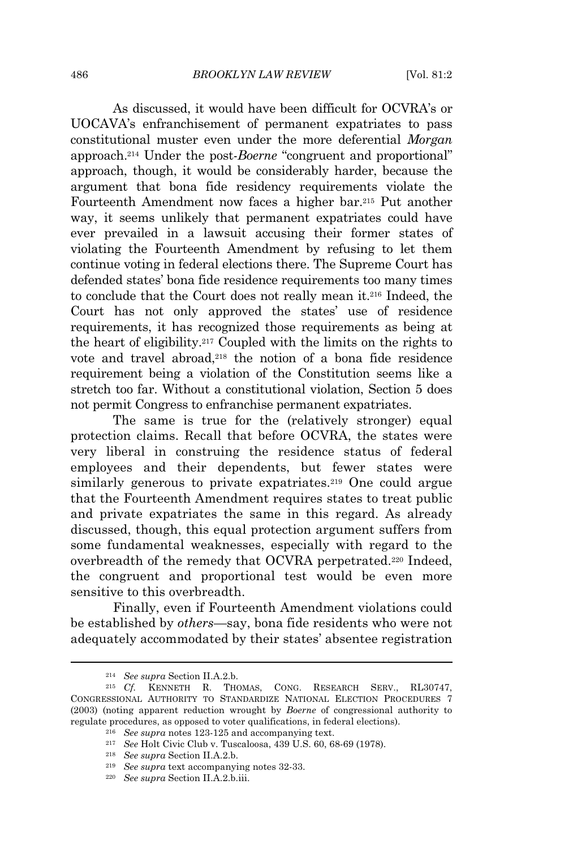As discussed, it would have been difficult for OCVRA's or UOCAVA's enfranchisement of permanent expatriates to pass constitutional muster even under the more deferential *Morgan* approach.<sup>214</sup> Under the post-*Boerne* "congruent and proportional" approach, though, it would be considerably harder, because the argument that bona fide residency requirements violate the Fourteenth Amendment now faces a higher bar.<sup>215</sup> Put another way, it seems unlikely that permanent expatriates could have ever prevailed in a lawsuit accusing their former states of violating the Fourteenth Amendment by refusing to let them continue voting in federal elections there. The Supreme Court has defended states' bona fide residence requirements too many times to conclude that the Court does not really mean it.<sup>216</sup> Indeed, the Court has not only approved the states' use of residence requirements, it has recognized those requirements as being at the heart of eligibility.<sup>217</sup> Coupled with the limits on the rights to vote and travel abroad,<sup>218</sup> the notion of a bona fide residence requirement being a violation of the Constitution seems like a stretch too far. Without a constitutional violation, Section 5 does not permit Congress to enfranchise permanent expatriates.

The same is true for the (relatively stronger) equal protection claims. Recall that before OCVRA, the states were very liberal in construing the residence status of federal employees and their dependents, but fewer states were similarly generous to private expatriates.<sup>219</sup> One could argue that the Fourteenth Amendment requires states to treat public and private expatriates the same in this regard. As already discussed, though, this equal protection argument suffers from some fundamental weaknesses, especially with regard to the overbreadth of the remedy that OCVRA perpetrated.<sup>220</sup> Indeed, the congruent and proportional test would be even more sensitive to this overbreadth.

Finally, even if Fourteenth Amendment violations could be established by *others*—say, bona fide residents who were not adequately accommodated by their states' absentee registration

<sup>214</sup> *See supra* Section II.A.2.b.

<sup>215</sup> *Cf.* KENNETH R. THOMAS, CONG. RESEARCH SERV., RL30747, CONGRESSIONAL AUTHORITY TO STANDARDIZE NATIONAL ELECTION PROCEDURES 7 (2003) (noting apparent reduction wrought by *Boerne* of congressional authority to regulate procedures, as opposed to voter qualifications, in federal elections).

<sup>216</sup> *See supra* notes 123-125 and accompanying text.

<sup>217</sup> *See* Holt Civic Club v. Tuscaloosa, 439 U.S. 60, 68-69 (1978).

<sup>218</sup> *See supra* Section II.A.2.b.

<sup>219</sup> *See supra* text accompanying notes 32-33.

<sup>220</sup> *See supra* Section II.A.2.b.iii.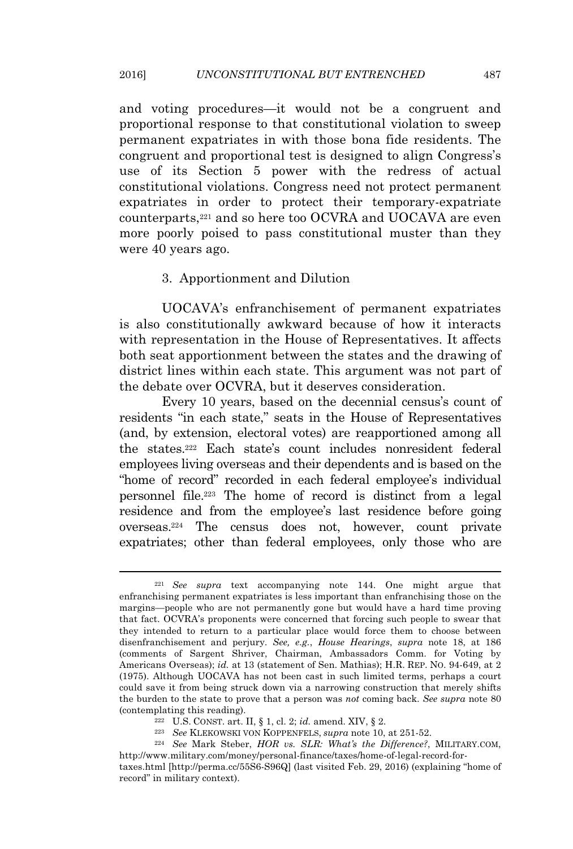and voting procedures—it would not be a congruent and proportional response to that constitutional violation to sweep permanent expatriates in with those bona fide residents. The congruent and proportional test is designed to align Congress's use of its Section 5 power with the redress of actual constitutional violations. Congress need not protect permanent expatriates in order to protect their temporary-expatriate counterparts,<sup>221</sup> and so here too OCVRA and UOCAVA are even more poorly poised to pass constitutional muster than they were 40 years ago.

# 3. Apportionment and Dilution

UOCAVA's enfranchisement of permanent expatriates is also constitutionally awkward because of how it interacts with representation in the House of Representatives. It affects both seat apportionment between the states and the drawing of district lines within each state. This argument was not part of the debate over OCVRA, but it deserves consideration.

Every 10 years, based on the decennial census's count of residents "in each state," seats in the House of Representatives (and, by extension, electoral votes) are reapportioned among all the states.<sup>222</sup> Each state's count includes nonresident federal employees living overseas and their dependents and is based on the "home of record" recorded in each federal employee's individual personnel file.<sup>223</sup> The home of record is distinct from a legal residence and from the employee's last residence before going overseas.<sup>224</sup> The census does not, however, count private expatriates; other than federal employees, only those who are

- <sup>222</sup> U.S. CONST. art. II, § 1, cl. 2; *id.* amend. XIV, § 2.
- <sup>223</sup> *See* KLEKOWSKI VON KOPPENFELS, *supra* note 10, at 251-52.

<sup>221</sup> *See supra* text accompanying note 144. One might argue that enfranchising permanent expatriates is less important than enfranchising those on the margins—people who are not permanently gone but would have a hard time proving that fact. OCVRA's proponents were concerned that forcing such people to swear that they intended to return to a particular place would force them to choose between disenfranchisement and perjury. *See, e.g.*, *House Hearings*, *supra* note 18, at 186 (comments of Sargent Shriver, Chairman, Ambassadors Comm. for Voting by Americans Overseas); *id.* at 13 (statement of Sen. Mathias); H.R. REP. No. 94-649, at 2 (1975). Although UOCAVA has not been cast in such limited terms, perhaps a court could save it from being struck down via a narrowing construction that merely shifts the burden to the state to prove that a person was *not* coming back. *See supra* note 80 (contemplating this reading).

<sup>224</sup> *See* Mark Steber, *HOR vs. SLR: What's the Difference?*, MILITARY.COM, http://www.military.com/money/personal-finance/taxes/home-of-legal-record-for-

taxes.html [http://perma.cc/55S6-S96Q] (last visited Feb. 29, 2016) (explaining "home of record" in military context).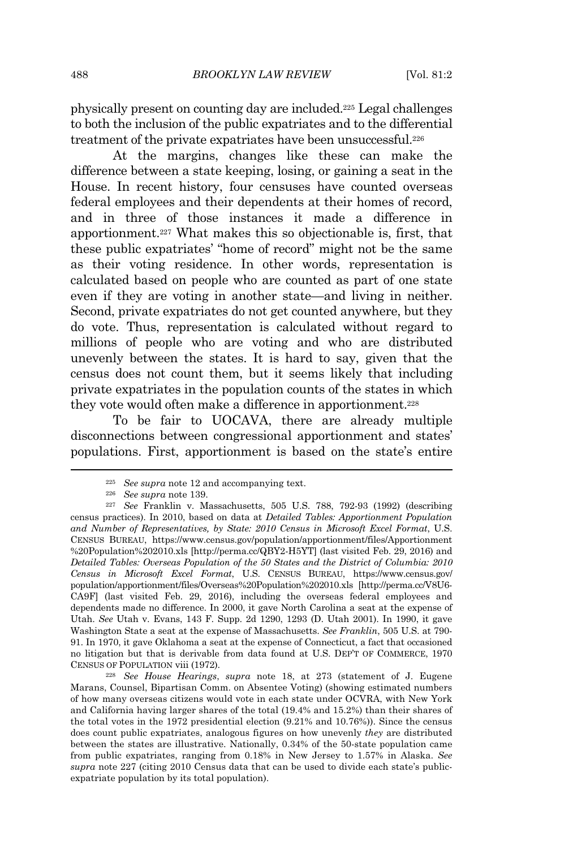physically present on counting day are included.<sup>225</sup> Legal challenges to both the inclusion of the public expatriates and to the differential treatment of the private expatriates have been unsuccessful.<sup>226</sup>

At the margins, changes like these can make the difference between a state keeping, losing, or gaining a seat in the House. In recent history, four censuses have counted overseas federal employees and their dependents at their homes of record, and in three of those instances it made a difference in apportionment.<sup>227</sup> What makes this so objectionable is, first, that these public expatriates' "home of record" might not be the same as their voting residence. In other words, representation is calculated based on people who are counted as part of one state even if they are voting in another state—and living in neither. Second, private expatriates do not get counted anywhere, but they do vote. Thus, representation is calculated without regard to millions of people who are voting and who are distributed unevenly between the states. It is hard to say, given that the census does not count them, but it seems likely that including private expatriates in the population counts of the states in which they vote would often make a difference in apportionment.<sup>228</sup>

To be fair to UOCAVA, there are already multiple disconnections between congressional apportionment and states' populations. First, apportionment is based on the state's entire

<sup>228</sup> *See House Hearings*, *supra* note 18, at 273 (statement of J. Eugene Marans, Counsel, Bipartisan Comm. on Absentee Voting) (showing estimated numbers of how many overseas citizens would vote in each state under OCVRA, with New York and California having larger shares of the total (19.4% and 15.2%) than their shares of the total votes in the 1972 presidential election (9.21% and 10.76%)). Since the census does count public expatriates, analogous figures on how unevenly *they* are distributed between the states are illustrative. Nationally, 0.34% of the 50-state population came from public expatriates, ranging from 0.18% in New Jersey to 1.57% in Alaska. *See supra* note 227 (citing 2010 Census data that can be used to divide each state's publicexpatriate population by its total population).

<sup>&</sup>lt;sup>225</sup> *See supra* note 12 and accompanying text.<br><sup>226</sup> See supra note 139

<sup>&</sup>lt;sup>226</sup> *See supra* note 139.<br><sup>227</sup> *See* Franklin v M

<sup>227</sup> *See* Franklin v. Massachusetts, 505 U.S. 788, 792-93 (1992) (describing census practices). In 2010, based on data at *Detailed Tables: Apportionment Population and Number of Representatives, by State: 2010 Census in Microsoft Excel Format*, U.S. CENSUS BUREAU, https://www.census.gov/population/apportionment/files/Apportionment %20Population%202010.xls [http://perma.cc/QBY2-H5YT] (last visited Feb. 29, 2016) and *Detailed Tables: Overseas Population of the 50 States and the District of Columbia: 2010 Census in Microsoft Excel Format*, U.S. CENSUS BUREAU, https://www.census.gov/ population/apportionment/files/Overseas%20Population%202010.xls [http://perma.cc/V8U6- CA9F] (last visited Feb. 29, 2016), including the overseas federal employees and dependents made no difference. In 2000, it gave North Carolina a seat at the expense of Utah. *See* Utah v. Evans, 143 F. Supp. 2d 1290, 1293 (D. Utah 2001). In 1990, it gave Washington State a seat at the expense of Massachusetts. *See Franklin*, 505 U.S. at 790- 91. In 1970, it gave Oklahoma a seat at the expense of Connecticut, a fact that occasioned no litigation but that is derivable from data found at U.S. DEP'<sup>T</sup> OF COMMERCE, 1970 CENSUS OF POPULATION viii (1972).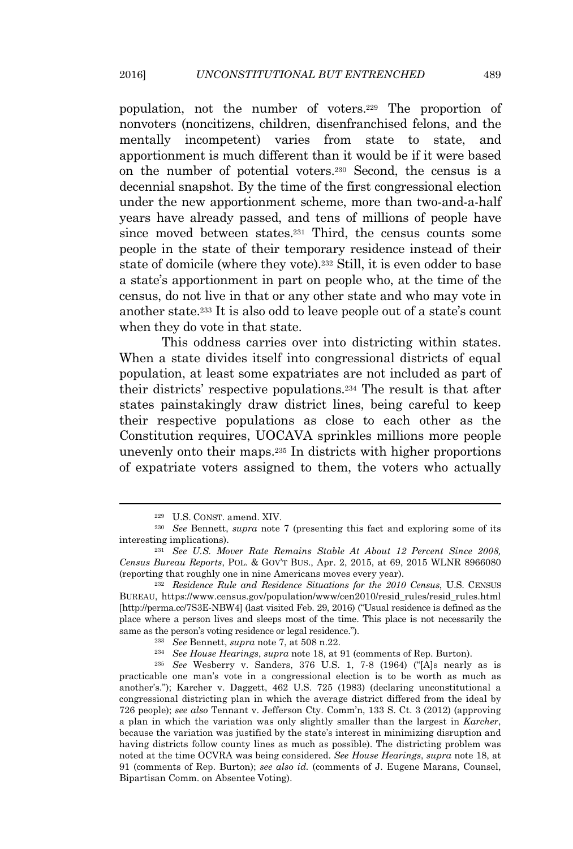population, not the number of voters.<sup>229</sup> The proportion of nonvoters (noncitizens, children, disenfranchised felons, and the mentally incompetent) varies from state to state, and apportionment is much different than it would be if it were based on the number of potential voters.<sup>230</sup> Second, the census is a decennial snapshot. By the time of the first congressional election under the new apportionment scheme, more than two-and-a-half years have already passed, and tens of millions of people have since moved between states.<sup>231</sup> Third, the census counts some people in the state of their temporary residence instead of their state of domicile (where they vote).<sup>232</sup> Still, it is even odder to base a state's apportionment in part on people who, at the time of the census, do not live in that or any other state and who may vote in another state.<sup>233</sup> It is also odd to leave people out of a state's count when they do vote in that state.

This oddness carries over into districting within states. When a state divides itself into congressional districts of equal population, at least some expatriates are not included as part of their districts' respective populations.<sup>234</sup> The result is that after states painstakingly draw district lines, being careful to keep their respective populations as close to each other as the Constitution requires, UOCAVA sprinkles millions more people unevenly onto their maps.<sup>235</sup> In districts with higher proportions of expatriate voters assigned to them, the voters who actually

<sup>229</sup> U.S. CONST. amend. XIV.

<sup>230</sup> *See* Bennett, *supra* note 7 (presenting this fact and exploring some of its interesting implications).

<sup>231</sup> *See U.S. Mover Rate Remains Stable At About 12 Percent Since 2008, Census Bureau Reports*, POL. & GOV'<sup>T</sup> BUS., Apr. 2, 2015, at 69, 2015 WLNR 8966080 (reporting that roughly one in nine Americans moves every year).

<sup>232</sup> *Residence Rule and Residence Situations for the 2010 Census*, U.S. CENSUS BUREAU, https://www.census.gov/population/www/cen2010/resid\_rules/resid\_rules.html [http://perma.cc/7S3E-NBW4] (last visited Feb. 29, 2016) ("Usual residence is defined as the place where a person lives and sleeps most of the time. This place is not necessarily the same as the person's voting residence or legal residence.").

<sup>233</sup> *See* Bennett, *supra* note 7, at 508 n.22.

<sup>234</sup> *See House Hearings*, *supra* note 18, at 91 (comments of Rep. Burton).

<sup>235</sup> *See* Wesberry v. Sanders, 376 U.S. 1, 7-8 (1964) ("[A]s nearly as is practicable one man's vote in a congressional election is to be worth as much as another's."); Karcher v. Daggett, 462 U.S. 725 (1983) (declaring unconstitutional a congressional districting plan in which the average district differed from the ideal by 726 people); *see also* Tennant v. Jefferson Cty. Comm'n, 133 S. Ct. 3 (2012) (approving a plan in which the variation was only slightly smaller than the largest in *Karcher*, because the variation was justified by the state's interest in minimizing disruption and having districts follow county lines as much as possible). The districting problem was noted at the time OCVRA was being considered. *See House Hearings*, *supra* note 18, at 91 (comments of Rep. Burton); *see also id.* (comments of J. Eugene Marans, Counsel, Bipartisan Comm. on Absentee Voting).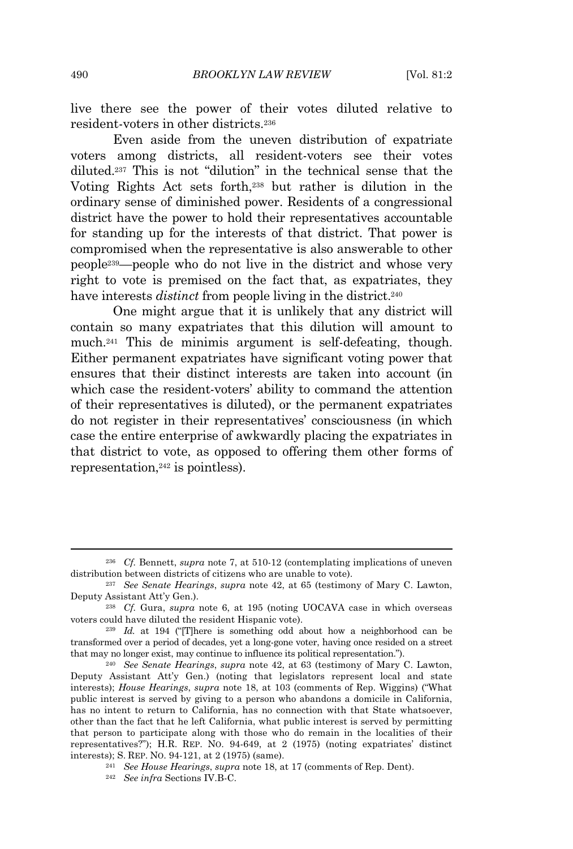live there see the power of their votes diluted relative to resident-voters in other districts.<sup>236</sup>

Even aside from the uneven distribution of expatriate voters among districts, all resident-voters see their votes diluted.<sup>237</sup> This is not "dilution" in the technical sense that the Voting Rights Act sets forth,<sup>238</sup> but rather is dilution in the ordinary sense of diminished power. Residents of a congressional district have the power to hold their representatives accountable for standing up for the interests of that district. That power is compromised when the representative is also answerable to other people239—people who do not live in the district and whose very right to vote is premised on the fact that, as expatriates, they have interests *distinct* from people living in the district.<sup>240</sup>

One might argue that it is unlikely that any district will contain so many expatriates that this dilution will amount to much.<sup>241</sup> This de minimis argument is self-defeating, though. Either permanent expatriates have significant voting power that ensures that their distinct interests are taken into account (in which case the resident-voters' ability to command the attention of their representatives is diluted), or the permanent expatriates do not register in their representatives' consciousness (in which case the entire enterprise of awkwardly placing the expatriates in that district to vote, as opposed to offering them other forms of representation,<sup>242</sup> is pointless).

<sup>236</sup> *Cf.* Bennett, *supra* note 7, at 510-12 (contemplating implications of uneven distribution between districts of citizens who are unable to vote).

<sup>237</sup> *See Senate Hearings*, *supra* note 42, at 65 (testimony of Mary C. Lawton, Deputy Assistant Att'y Gen.).

<sup>238</sup> *Cf.* Gura, *supra* note 6, at 195 (noting UOCAVA case in which overseas voters could have diluted the resident Hispanic vote).

<sup>&</sup>lt;sup>239</sup> *Id.* at 194 ("There is something odd about how a neighborhood can be transformed over a period of decades, yet a long-gone voter, having once resided on a street that may no longer exist, may continue to influence its political representation.").

<sup>240</sup> *See Senate Hearings*, *supra* note 42, at 63 (testimony of Mary C. Lawton, Deputy Assistant Att'y Gen.) (noting that legislators represent local and state interests); *House Hearings*, *supra* note 18, at 103 (comments of Rep. Wiggins) ("What public interest is served by giving to a person who abandons a domicile in California, has no intent to return to California, has no connection with that State whatsoever, other than the fact that he left California, what public interest is served by permitting that person to participate along with those who do remain in the localities of their representatives?"); H.R. REP. NO. 94-649, at 2 (1975) (noting expatriates' distinct interests); S. REP. NO. 94-121, at 2 (1975) (same).

<sup>241</sup> *See House Hearings*, *supra* note 18, at 17 (comments of Rep. Dent).

<sup>242</sup> *See infra* Sections IV.B-C.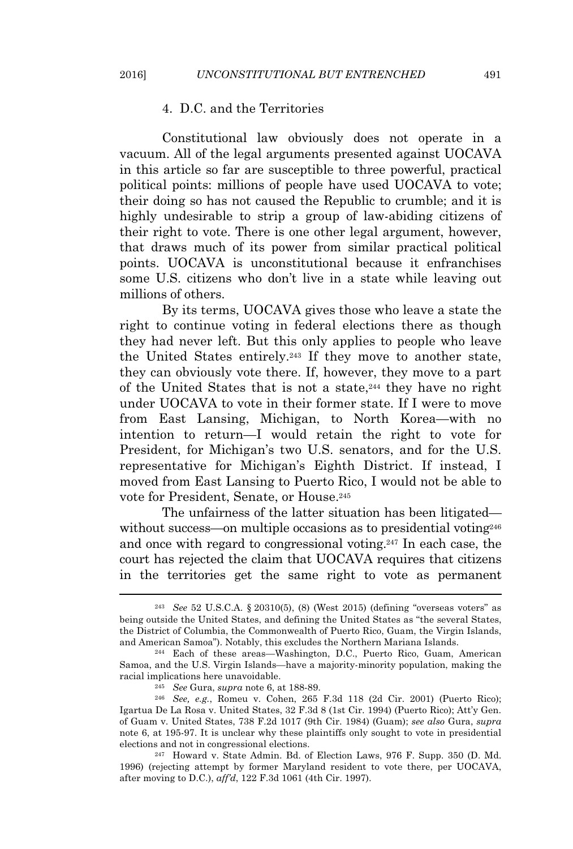## 4. D.C. and the Territories

Constitutional law obviously does not operate in a vacuum. All of the legal arguments presented against UOCAVA in this article so far are susceptible to three powerful, practical political points: millions of people have used UOCAVA to vote; their doing so has not caused the Republic to crumble; and it is highly undesirable to strip a group of law-abiding citizens of their right to vote. There is one other legal argument, however, that draws much of its power from similar practical political points. UOCAVA is unconstitutional because it enfranchises some U.S. citizens who don't live in a state while leaving out millions of others.

By its terms, UOCAVA gives those who leave a state the right to continue voting in federal elections there as though they had never left. But this only applies to people who leave the United States entirely.<sup>243</sup> If they move to another state, they can obviously vote there. If, however, they move to a part of the United States that is not a state,<sup>244</sup> they have no right under UOCAVA to vote in their former state. If I were to move from East Lansing, Michigan, to North Korea—with no intention to return—I would retain the right to vote for President, for Michigan's two U.S. senators, and for the U.S. representative for Michigan's Eighth District. If instead, I moved from East Lansing to Puerto Rico, I would not be able to vote for President, Senate, or House.<sup>245</sup>

The unfairness of the latter situation has been litigated without success—on multiple occasions as to presidential voting<sup>246</sup> and once with regard to congressional voting.<sup>247</sup> In each case, the court has rejected the claim that UOCAVA requires that citizens in the territories get the same right to vote as permanent

<sup>247</sup> Howard v. State Admin. Bd. of Election Laws, 976 F. Supp. 350 (D. Md. 1996) (rejecting attempt by former Maryland resident to vote there, per UOCAVA, after moving to D.C.), *aff'd*, 122 F.3d 1061 (4th Cir. 1997).

<sup>243</sup> *See* 52 U.S.C.A. § 20310(5), (8) (West 2015) (defining "overseas voters" as being outside the United States, and defining the United States as "the several States, the District of Columbia, the Commonwealth of Puerto Rico, Guam, the Virgin Islands, and American Samoa"). Notably, this excludes the Northern Mariana Islands.

<sup>244</sup> Each of these areas—Washington, D.C., Puerto Rico, Guam, American Samoa, and the U.S. Virgin Islands—have a majority-minority population, making the racial implications here unavoidable.

<sup>245</sup> *See* Gura, *supra* note 6, at 188-89.

<sup>246</sup> *See, e.g.*, Romeu v. Cohen, 265 F.3d 118 (2d Cir. 2001) (Puerto Rico); Igartua De La Rosa v. United States, 32 F.3d 8 (1st Cir. 1994) (Puerto Rico); Att'y Gen. of Guam v. United States, 738 F.2d 1017 (9th Cir. 1984) (Guam); *see also* Gura, *supra* note 6, at 195-97. It is unclear why these plaintiffs only sought to vote in presidential elections and not in congressional elections.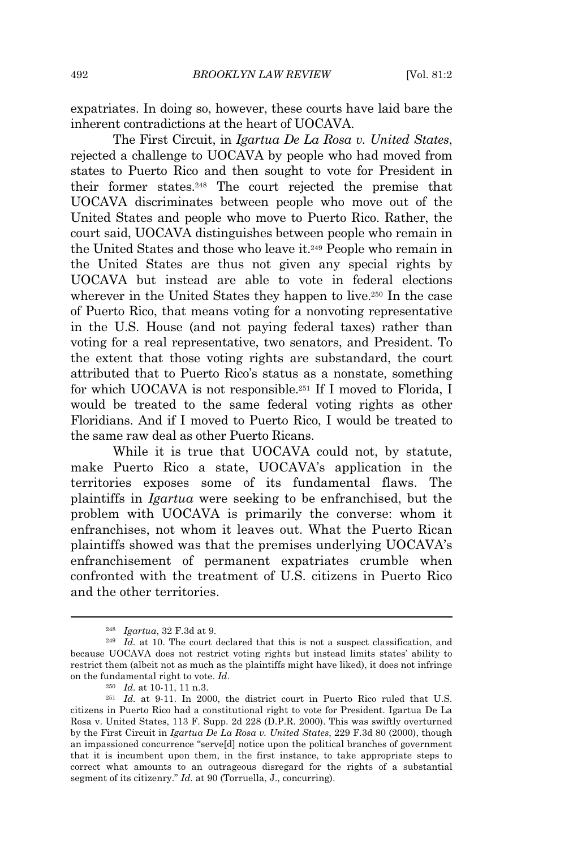expatriates. In doing so, however, these courts have laid bare the inherent contradictions at the heart of UOCAVA.

The First Circuit, in *Igartua De La Rosa v. United States*, rejected a challenge to UOCAVA by people who had moved from states to Puerto Rico and then sought to vote for President in their former states.<sup>248</sup> The court rejected the premise that UOCAVA discriminates between people who move out of the United States and people who move to Puerto Rico. Rather, the court said, UOCAVA distinguishes between people who remain in the United States and those who leave it.<sup>249</sup> People who remain in the United States are thus not given any special rights by UOCAVA but instead are able to vote in federal elections wherever in the United States they happen to live.<sup>250</sup> In the case of Puerto Rico, that means voting for a nonvoting representative in the U.S. House (and not paying federal taxes) rather than voting for a real representative, two senators, and President. To the extent that those voting rights are substandard, the court attributed that to Puerto Rico's status as a nonstate, something for which UOCAVA is not responsible.<sup>251</sup> If I moved to Florida, I would be treated to the same federal voting rights as other Floridians. And if I moved to Puerto Rico, I would be treated to the same raw deal as other Puerto Ricans.

While it is true that UOCAVA could not, by statute, make Puerto Rico a state, UOCAVA's application in the territories exposes some of its fundamental flaws. The plaintiffs in *Igartua* were seeking to be enfranchised, but the problem with UOCAVA is primarily the converse: whom it enfranchises, not whom it leaves out. What the Puerto Rican plaintiffs showed was that the premises underlying UOCAVA's enfranchisement of permanent expatriates crumble when confronted with the treatment of U.S. citizens in Puerto Rico and the other territories.

<sup>248</sup> *Igartua*, 32 F.3d at 9.

<sup>249</sup> *Id.* at 10. The court declared that this is not a suspect classification, and because UOCAVA does not restrict voting rights but instead limits states' ability to restrict them (albeit not as much as the plaintiffs might have liked), it does not infringe on the fundamental right to vote. *Id*.

<sup>250</sup> *Id.* at 10-11, 11 n.3.

<sup>&</sup>lt;sup>251</sup> *Id.* at 9-11. In 2000, the district court in Puerto Rico ruled that U.S. citizens in Puerto Rico had a constitutional right to vote for President. Igartua De La Rosa v. United States, 113 F. Supp. 2d 228 (D.P.R. 2000). This was swiftly overturned by the First Circuit in *Igartua De La Rosa v. United States*, 229 F.3d 80 (2000), though an impassioned concurrence "serve[d] notice upon the political branches of government that it is incumbent upon them, in the first instance, to take appropriate steps to correct what amounts to an outrageous disregard for the rights of a substantial segment of its citizenry." *Id.* at 90 (Torruella, J., concurring).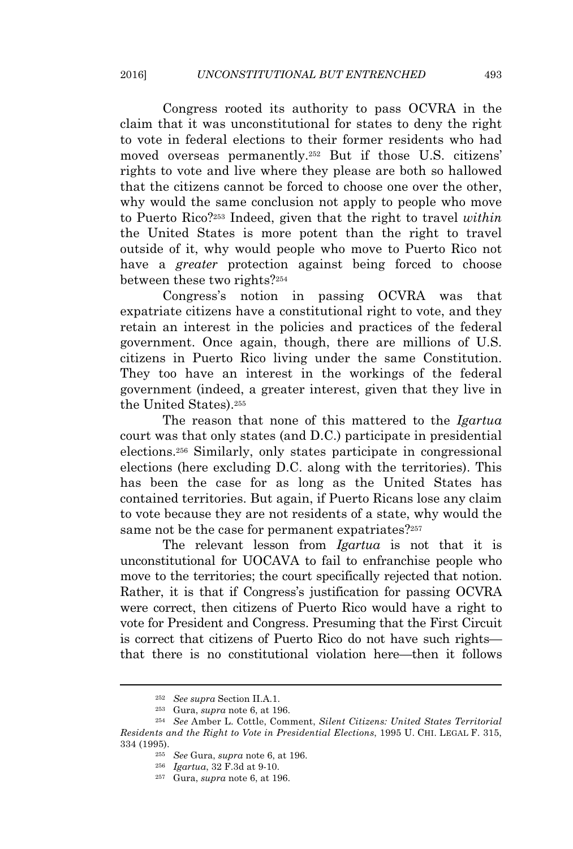Congress rooted its authority to pass OCVRA in the claim that it was unconstitutional for states to deny the right to vote in federal elections to their former residents who had moved overseas permanently.<sup>252</sup> But if those U.S. citizens' rights to vote and live where they please are both so hallowed that the citizens cannot be forced to choose one over the other, why would the same conclusion not apply to people who move to Puerto Rico?<sup>253</sup> Indeed, given that the right to travel *within* the United States is more potent than the right to travel outside of it, why would people who move to Puerto Rico not have a *greater* protection against being forced to choose between these two rights?<sup>254</sup>

Congress's notion in passing OCVRA was that expatriate citizens have a constitutional right to vote, and they retain an interest in the policies and practices of the federal government. Once again, though, there are millions of U.S. citizens in Puerto Rico living under the same Constitution. They too have an interest in the workings of the federal government (indeed, a greater interest, given that they live in the United States).<sup>255</sup>

The reason that none of this mattered to the *Igartua* court was that only states (and D.C.) participate in presidential elections.<sup>256</sup> Similarly, only states participate in congressional elections (here excluding D.C. along with the territories). This has been the case for as long as the United States has contained territories. But again, if Puerto Ricans lose any claim to vote because they are not residents of a state, why would the same not be the case for permanent expatriates?<sup>257</sup>

The relevant lesson from *Igartua* is not that it is unconstitutional for UOCAVA to fail to enfranchise people who move to the territories; the court specifically rejected that notion. Rather, it is that if Congress's justification for passing OCVRA were correct, then citizens of Puerto Rico would have a right to vote for President and Congress. Presuming that the First Circuit is correct that citizens of Puerto Rico do not have such rights that there is no constitutional violation here—then it follows

<sup>252</sup> *See supra* Section II.A.1.

<sup>253</sup> Gura, *supra* note 6, at 196.

<sup>254</sup> *See* Amber L. Cottle, Comment, *Silent Citizens: United States Territorial Residents and the Right to Vote in Presidential Elections*, 1995 U. CHI. LEGAL F. 315, 334 (1995).

<sup>255</sup> *See* Gura, *supra* note 6, at 196.

<sup>256</sup> *Igartua*, 32 F.3d at 9-10.

<sup>257</sup> Gura, *supra* note 6, at 196.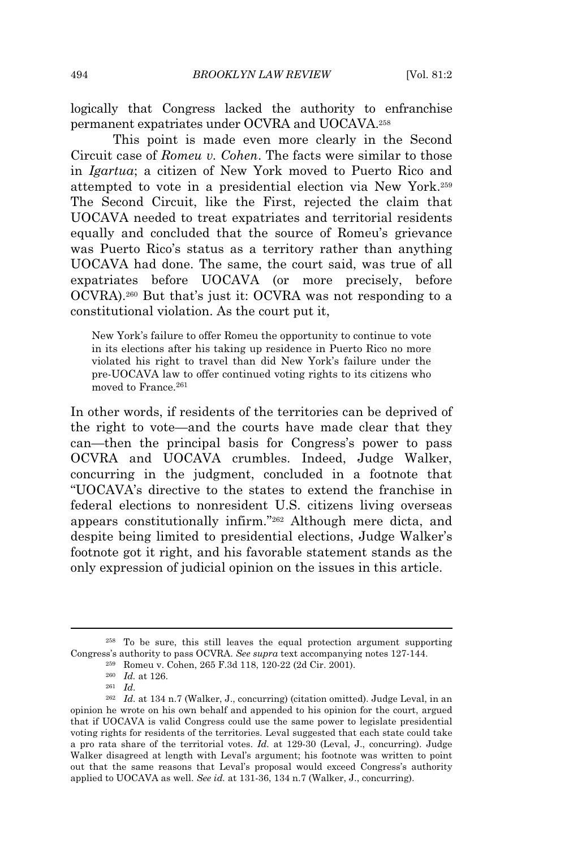logically that Congress lacked the authority to enfranchise permanent expatriates under OCVRA and UOCAVA.<sup>258</sup>

This point is made even more clearly in the Second Circuit case of *Romeu v. Cohen*. The facts were similar to those in *Igartua*; a citizen of New York moved to Puerto Rico and attempted to vote in a presidential election via New York.<sup>259</sup> The Second Circuit, like the First, rejected the claim that UOCAVA needed to treat expatriates and territorial residents equally and concluded that the source of Romeu's grievance was Puerto Rico's status as a territory rather than anything UOCAVA had done. The same, the court said, was true of all expatriates before UOCAVA (or more precisely, before OCVRA).<sup>260</sup> But that's just it: OCVRA was not responding to a constitutional violation. As the court put it,

New York's failure to offer Romeu the opportunity to continue to vote in its elections after his taking up residence in Puerto Rico no more violated his right to travel than did New York's failure under the pre-UOCAVA law to offer continued voting rights to its citizens who moved to France.<sup>261</sup>

In other words, if residents of the territories can be deprived of the right to vote—and the courts have made clear that they can—then the principal basis for Congress's power to pass OCVRA and UOCAVA crumbles. Indeed, Judge Walker, concurring in the judgment, concluded in a footnote that "UOCAVA's directive to the states to extend the franchise in federal elections to nonresident U.S. citizens living overseas appears constitutionally infirm." <sup>262</sup> Although mere dicta, and despite being limited to presidential elections, Judge Walker's footnote got it right, and his favorable statement stands as the only expression of judicial opinion on the issues in this article.

<sup>258</sup> To be sure, this still leaves the equal protection argument supporting Congress's authority to pass OCVRA. *See supra* text accompanying notes 127-144.

<sup>259</sup> Romeu v. Cohen, 265 F.3d 118, 120-22 (2d Cir. 2001).

<sup>260</sup> *Id.* at 126.

<sup>261</sup> *Id.*

<sup>262</sup> *Id.* at 134 n.7 (Walker, J., concurring) (citation omitted). Judge Leval, in an opinion he wrote on his own behalf and appended to his opinion for the court, argued that if UOCAVA is valid Congress could use the same power to legislate presidential voting rights for residents of the territories. Leval suggested that each state could take a pro rata share of the territorial votes. *Id.* at 129-30 (Leval, J., concurring). Judge Walker disagreed at length with Leval's argument; his footnote was written to point out that the same reasons that Leval's proposal would exceed Congress's authority applied to UOCAVA as well. *See id.* at 131-36, 134 n.7 (Walker, J., concurring).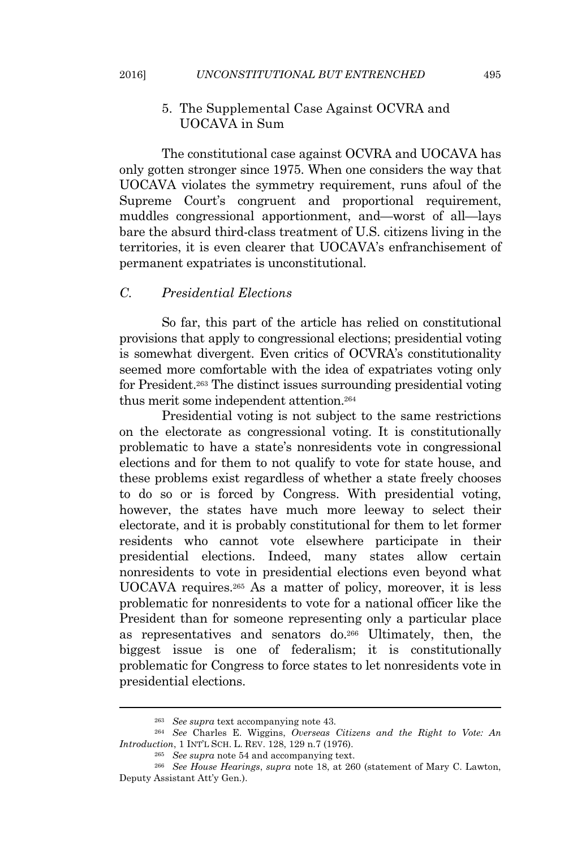# 5. The Supplemental Case Against OCVRA and UOCAVA in Sum

The constitutional case against OCVRA and UOCAVA has only gotten stronger since 1975. When one considers the way that UOCAVA violates the symmetry requirement, runs afoul of the Supreme Court's congruent and proportional requirement, muddles congressional apportionment, and—worst of all—lays bare the absurd third-class treatment of U.S. citizens living in the territories, it is even clearer that UOCAVA's enfranchisement of permanent expatriates is unconstitutional.

# *C. Presidential Elections*

So far, this part of the article has relied on constitutional provisions that apply to congressional elections; presidential voting is somewhat divergent. Even critics of OCVRA's constitutionality seemed more comfortable with the idea of expatriates voting only for President.<sup>263</sup> The distinct issues surrounding presidential voting thus merit some independent attention.<sup>264</sup>

Presidential voting is not subject to the same restrictions on the electorate as congressional voting. It is constitutionally problematic to have a state's nonresidents vote in congressional elections and for them to not qualify to vote for state house, and these problems exist regardless of whether a state freely chooses to do so or is forced by Congress. With presidential voting, however, the states have much more leeway to select their electorate, and it is probably constitutional for them to let former residents who cannot vote elsewhere participate in their presidential elections. Indeed, many states allow certain nonresidents to vote in presidential elections even beyond what UOCAVA requires.<sup>265</sup> As a matter of policy, moreover, it is less problematic for nonresidents to vote for a national officer like the President than for someone representing only a particular place as representatives and senators do.<sup>266</sup> Ultimately, then, the biggest issue is one of federalism; it is constitutionally problematic for Congress to force states to let nonresidents vote in presidential elections.

<sup>263</sup> *See supra* text accompanying note 43.

<sup>264</sup> *See* Charles E. Wiggins, *Overseas Citizens and the Right to Vote: An Introduction*, 1 INT'<sup>L</sup> SCH. L. REV. 128, 129 n.7 (1976).

<sup>265</sup> *See supra* note 54 and accompanying text.

<sup>266</sup> *See House Hearings*, *supra* note 18, at 260 (statement of Mary C. Lawton, Deputy Assistant Att'y Gen.).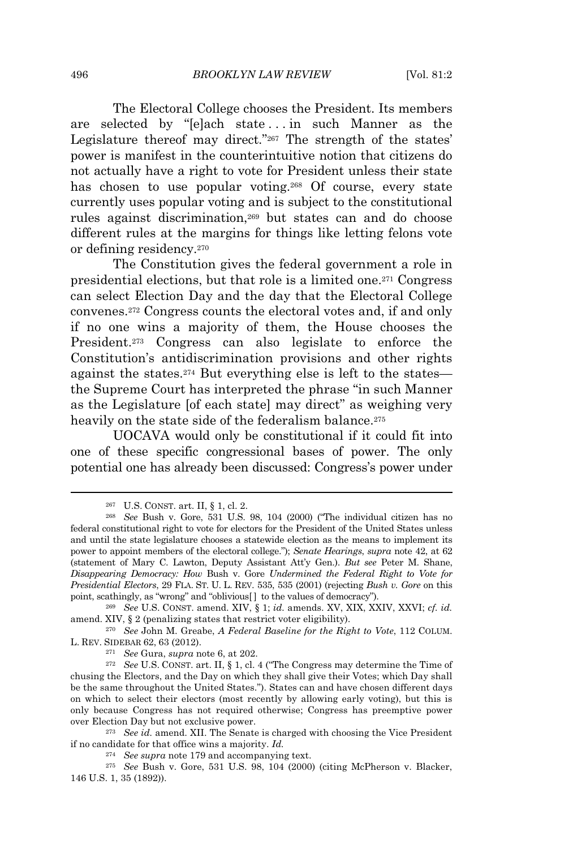The Electoral College chooses the President. Its members are selected by "[e]ach state . . . in such Manner as the Legislature thereof may direct."<sup>267</sup> The strength of the states' power is manifest in the counterintuitive notion that citizens do not actually have a right to vote for President unless their state has chosen to use popular voting.<sup>268</sup> Of course, every state currently uses popular voting and is subject to the constitutional rules against discrimination,<sup>269</sup> but states can and do choose different rules at the margins for things like letting felons vote or defining residency.<sup>270</sup>

The Constitution gives the federal government a role in presidential elections, but that role is a limited one.<sup>271</sup> Congress can select Election Day and the day that the Electoral College convenes.<sup>272</sup> Congress counts the electoral votes and, if and only if no one wins a majority of them, the House chooses the President.<sup>273</sup> Congress can also legislate to enforce the Constitution's antidiscrimination provisions and other rights against the states.<sup>274</sup> But everything else is left to the states the Supreme Court has interpreted the phrase "in such Manner as the Legislature [of each state] may direct" as weighing very heavily on the state side of the federalism balance.<sup>275</sup>

UOCAVA would only be constitutional if it could fit into one of these specific congressional bases of power. The only potential one has already been discussed: Congress's power under

<sup>271</sup> *See* Gura, *supra* note 6, at 202.

<sup>273</sup> *See id.* amend. XII. The Senate is charged with choosing the Vice President if no candidate for that office wins a majority. *Id.*

<sup>274</sup> *See supra* note 179 and accompanying text.

<sup>267</sup> U.S. CONST. art. II, § 1, cl. 2.

<sup>268</sup> *See* Bush v. Gore, 531 U.S. 98, 104 (2000) ("The individual citizen has no federal constitutional right to vote for electors for the President of the United States unless and until the state legislature chooses a statewide election as the means to implement its power to appoint members of the electoral college."); *Senate Hearings*, *supra* note 42, at 62 (statement of Mary C. Lawton, Deputy Assistant Att'y Gen.). *But see* Peter M. Shane, *Disappearing Democracy: How* Bush v. Gore *Undermined the Federal Right to Vote for Presidential Electors*, 29 FLA. ST. U. L. REV. 535, 535 (2001) (rejecting *Bush v. Gore* on this point, scathingly, as "wrong" and "oblivious[ ] to the values of democracy").

<sup>269</sup> *See* U.S. CONST. amend. XIV, § 1; *id.* amends. XV, XIX, XXIV, XXVI; *cf. id.* amend. XIV, § 2 (penalizing states that restrict voter eligibility).

<sup>270</sup> *See* John M. Greabe, *A Federal Baseline for the Right to Vote*, 112 COLUM. L. REV. SIDEBAR 62, 63 (2012).

<sup>272</sup> *See* U.S. CONST. art. II, § 1, cl. 4 ("The Congress may determine the Time of chusing the Electors, and the Day on which they shall give their Votes; which Day shall be the same throughout the United States."). States can and have chosen different days on which to select their electors (most recently by allowing early voting), but this is only because Congress has not required otherwise; Congress has preemptive power over Election Day but not exclusive power.

<sup>275</sup> *See* Bush v. Gore, 531 U.S. 98, 104 (2000) (citing McPherson v. Blacker, 146 U.S. 1, 35 (1892)).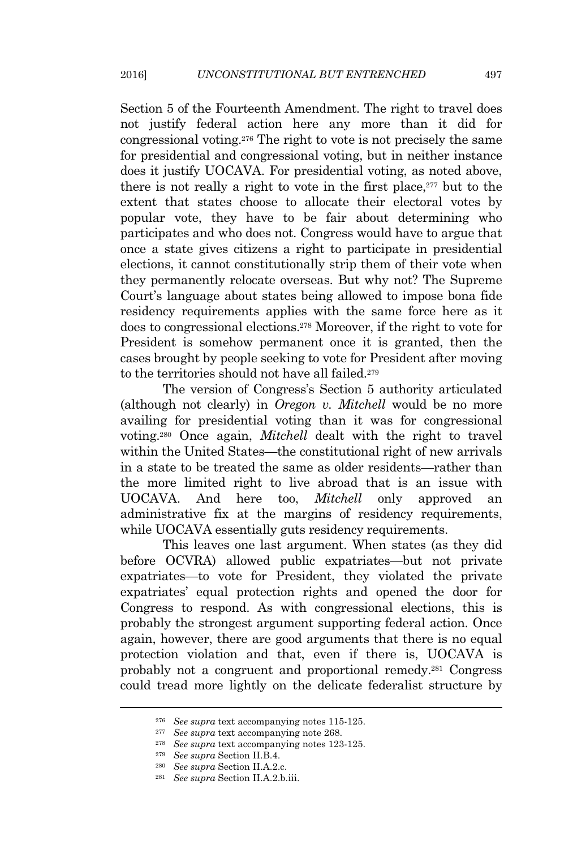Section 5 of the Fourteenth Amendment. The right to travel does not justify federal action here any more than it did for congressional voting.<sup>276</sup> The right to vote is not precisely the same for presidential and congressional voting, but in neither instance does it justify UOCAVA. For presidential voting, as noted above, there is not really a right to vote in the first place, $277$  but to the extent that states choose to allocate their electoral votes by popular vote, they have to be fair about determining who participates and who does not. Congress would have to argue that once a state gives citizens a right to participate in presidential elections, it cannot constitutionally strip them of their vote when they permanently relocate overseas. But why not? The Supreme Court's language about states being allowed to impose bona fide residency requirements applies with the same force here as it does to congressional elections.<sup>278</sup> Moreover, if the right to vote for President is somehow permanent once it is granted, then the cases brought by people seeking to vote for President after moving to the territories should not have all failed.<sup>279</sup>

The version of Congress's Section 5 authority articulated (although not clearly) in *Oregon v. Mitchell* would be no more availing for presidential voting than it was for congressional voting.<sup>280</sup> Once again, *Mitchell* dealt with the right to travel within the United States—the constitutional right of new arrivals in a state to be treated the same as older residents—rather than the more limited right to live abroad that is an issue with UOCAVA. And here too, *Mitchell* only approved an administrative fix at the margins of residency requirements, while UOCAVA essentially guts residency requirements.

This leaves one last argument. When states (as they did before OCVRA) allowed public expatriates—but not private expatriates—to vote for President, they violated the private expatriates' equal protection rights and opened the door for Congress to respond. As with congressional elections, this is probably the strongest argument supporting federal action. Once again, however, there are good arguments that there is no equal protection violation and that, even if there is, UOCAVA is probably not a congruent and proportional remedy.<sup>281</sup> Congress could tread more lightly on the delicate federalist structure by

<sup>276</sup> *See supra* text accompanying notes 115-125.

<sup>277</sup> *See supra* text accompanying note 268.

<sup>278</sup> *See supra* text accompanying notes 123-125.

<sup>279</sup> *See supra* Section II.B.4.

<sup>280</sup> *See supra* Section II.A.2.c.

<sup>281</sup> *See supra* Section II.A.2.b.iii.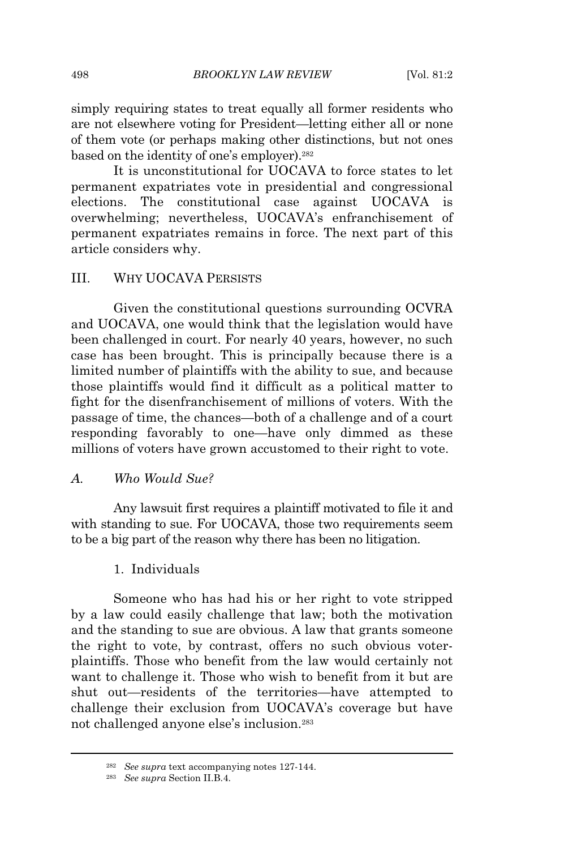simply requiring states to treat equally all former residents who are not elsewhere voting for President—letting either all or none of them vote (or perhaps making other distinctions, but not ones based on the identity of one's employer).<sup>282</sup>

It is unconstitutional for UOCAVA to force states to let permanent expatriates vote in presidential and congressional elections. The constitutional case against UOCAVA is overwhelming; nevertheless, UOCAVA's enfranchisement of permanent expatriates remains in force. The next part of this article considers why.

## III. WHY UOCAVA PERSISTS

Given the constitutional questions surrounding OCVRA and UOCAVA, one would think that the legislation would have been challenged in court. For nearly 40 years, however, no such case has been brought. This is principally because there is a limited number of plaintiffs with the ability to sue, and because those plaintiffs would find it difficult as a political matter to fight for the disenfranchisement of millions of voters. With the passage of time, the chances—both of a challenge and of a court responding favorably to one—have only dimmed as these millions of voters have grown accustomed to their right to vote.

#### *A. Who Would Sue?*

Any lawsuit first requires a plaintiff motivated to file it and with standing to sue. For UOCAVA, those two requirements seem to be a big part of the reason why there has been no litigation.

# 1. Individuals

Someone who has had his or her right to vote stripped by a law could easily challenge that law; both the motivation and the standing to sue are obvious. A law that grants someone the right to vote, by contrast, offers no such obvious voterplaintiffs. Those who benefit from the law would certainly not want to challenge it. Those who wish to benefit from it but are shut out—residents of the territories—have attempted to challenge their exclusion from UOCAVA's coverage but have not challenged anyone else's inclusion.<sup>283</sup>

<sup>282</sup> *See supra* text accompanying notes 127-144.

<sup>283</sup> *See supra* Section II.B.4.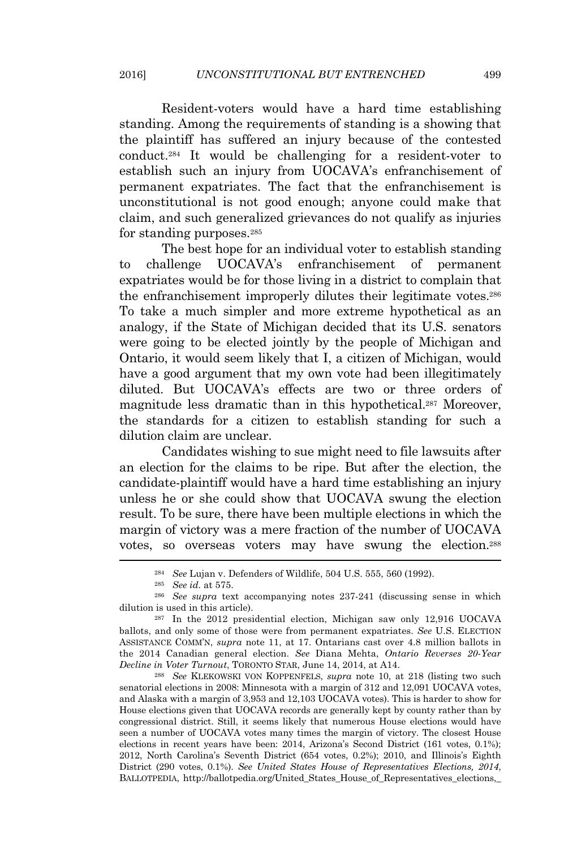Resident-voters would have a hard time establishing standing. Among the requirements of standing is a showing that the plaintiff has suffered an injury because of the contested conduct.<sup>284</sup> It would be challenging for a resident-voter to establish such an injury from UOCAVA's enfranchisement of permanent expatriates. The fact that the enfranchisement is unconstitutional is not good enough; anyone could make that claim, and such generalized grievances do not qualify as injuries for standing purposes.<sup>285</sup>

The best hope for an individual voter to establish standing to challenge UOCAVA's enfranchisement of permanent expatriates would be for those living in a district to complain that the enfranchisement improperly dilutes their legitimate votes.<sup>286</sup> To take a much simpler and more extreme hypothetical as an analogy, if the State of Michigan decided that its U.S. senators were going to be elected jointly by the people of Michigan and Ontario, it would seem likely that I, a citizen of Michigan, would have a good argument that my own vote had been illegitimately diluted. But UOCAVA's effects are two or three orders of magnitude less dramatic than in this hypothetical.<sup>287</sup> Moreover, the standards for a citizen to establish standing for such a dilution claim are unclear.

Candidates wishing to sue might need to file lawsuits after an election for the claims to be ripe. But after the election, the candidate-plaintiff would have a hard time establishing an injury unless he or she could show that UOCAVA swung the election result. To be sure, there have been multiple elections in which the margin of victory was a mere fraction of the number of UOCAVA votes, so overseas voters may have swung the election.<sup>288</sup>

<sup>288</sup> *See* KLEKOWSKI VON KOPPENFELS, *supra* note 10, at 218 (listing two such senatorial elections in 2008: Minnesota with a margin of 312 and 12,091 UOCAVA votes, and Alaska with a margin of 3,953 and 12,103 UOCAVA votes). This is harder to show for House elections given that UOCAVA records are generally kept by county rather than by congressional district. Still, it seems likely that numerous House elections would have seen a number of UOCAVA votes many times the margin of victory. The closest House elections in recent years have been: 2014, Arizona's Second District (161 votes, 0.1%); 2012, North Carolina's Seventh District (654 votes, 0.2%); 2010, and Illinois's Eighth District (290 votes, 0.1%). *See United States House of Representatives Elections, 2014*, BALLOTPEDIA, http://ballotpedia.org/United\_States\_House\_of\_Representatives\_elections,\_

<sup>284</sup> *See* Lujan v. Defenders of Wildlife, 504 U.S. 555, 560 (1992).

<sup>285</sup> *See id.* at 575.

<sup>286</sup> *See supra* text accompanying notes 237-241 (discussing sense in which dilution is used in this article).

<sup>287</sup> In the 2012 presidential election, Michigan saw only 12,916 UOCAVA ballots, and only some of those were from permanent expatriates. *See* U.S. ELECTION ASSISTANCE COMM'N, *supra* note 11, at 17. Ontarians cast over 4.8 million ballots in the 2014 Canadian general election. *See* Diana Mehta, *Ontario Reverses 20-Year Decline in Voter Turnout*, TORONTO STAR, June 14, 2014, at A14.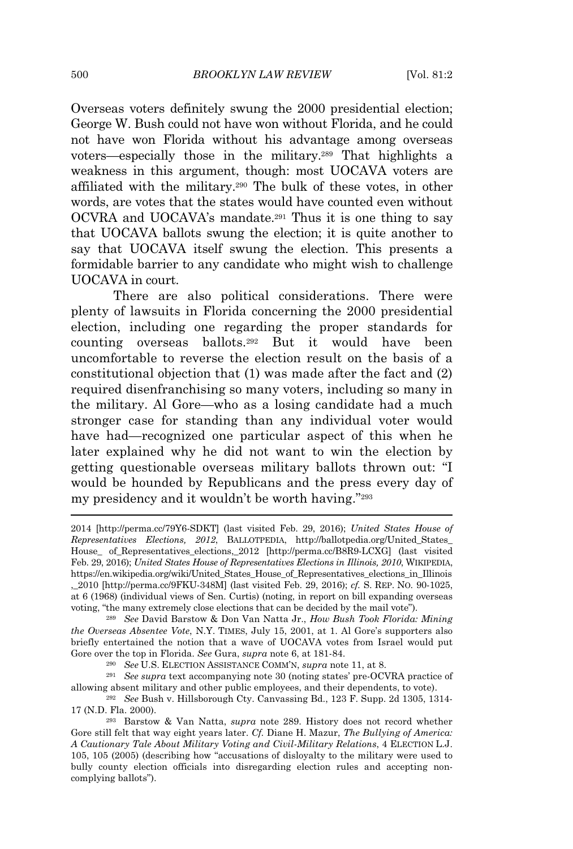Overseas voters definitely swung the 2000 presidential election; George W. Bush could not have won without Florida, and he could not have won Florida without his advantage among overseas voters—especially those in the military.<sup>289</sup> That highlights a weakness in this argument, though: most UOCAVA voters are affiliated with the military.<sup>290</sup> The bulk of these votes, in other words, are votes that the states would have counted even without OCVRA and UOCAVA's mandate.<sup>291</sup> Thus it is one thing to say that UOCAVA ballots swung the election; it is quite another to say that UOCAVA itself swung the election. This presents a formidable barrier to any candidate who might wish to challenge UOCAVA in court.

There are also political considerations. There were plenty of lawsuits in Florida concerning the 2000 presidential election, including one regarding the proper standards for counting overseas ballots.<sup>292</sup> But it would have been uncomfortable to reverse the election result on the basis of a constitutional objection that (1) was made after the fact and (2) required disenfranchising so many voters, including so many in the military. Al Gore—who as a losing candidate had a much stronger case for standing than any individual voter would have had—recognized one particular aspect of this when he later explained why he did not want to win the election by getting questionable overseas military ballots thrown out: "I would be hounded by Republicans and the press every day of my presidency and it wouldn't be worth having."<sup>293</sup>

<sup>289</sup> *See* David Barstow & Don Van Natta Jr., *How Bush Took Florida: Mining the Overseas Absentee Vote*, N.Y. TIMES, July 15, 2001, at 1. Al Gore's supporters also briefly entertained the notion that a wave of UOCAVA votes from Israel would put Gore over the top in Florida. *See* Gura, *supra* note 6, at 181-84.

<sup>290</sup> *See* U.S. ELECTION ASSISTANCE COMM'N, *supra* note 11, at 8.

<sup>291</sup> *See supra* text accompanying note 30 (noting states' pre-OCVRA practice of allowing absent military and other public employees, and their dependents, to vote).

<sup>292</sup> *See* Bush v. Hillsborough Cty. Canvassing Bd., 123 F. Supp. 2d 1305, 1314- 17 (N.D. Fla. 2000).

<sup>2014</sup> [http://perma.cc/79Y6-SDKT] (last visited Feb. 29, 2016); *United States House of Representatives Elections, 2012*, BALLOTPEDIA, http://ballotpedia.org/United\_States\_ House\_ of\_Representatives\_elections,\_2012 [http://perma.cc/B8R9-LCXG] (last visited Feb. 29, 2016); *United States House of Representatives Elections in Illinois, 2010*, WIKIPEDIA, https://en.wikipedia.org/wiki/United\_States\_House\_of\_Representatives\_elections\_in\_Illinois ,\_2010 [http://perma.cc/9FKU-348M] (last visited Feb. 29, 2016); *cf.* S. REP. NO. 90-1025, at 6 (1968) (individual views of Sen. Curtis) (noting, in report on bill expanding overseas voting, "the many extremely close elections that can be decided by the mail vote").

<sup>293</sup> Barstow & Van Natta, *supra* note 289. History does not record whether Gore still felt that way eight years later. *Cf.* Diane H. Mazur, *The Bullying of America: A Cautionary Tale About Military Voting and Civil-Military Relations*, 4 ELECTION L.J. 105, 105 (2005) (describing how "accusations of disloyalty to the military were used to bully county election officials into disregarding election rules and accepting noncomplying ballots").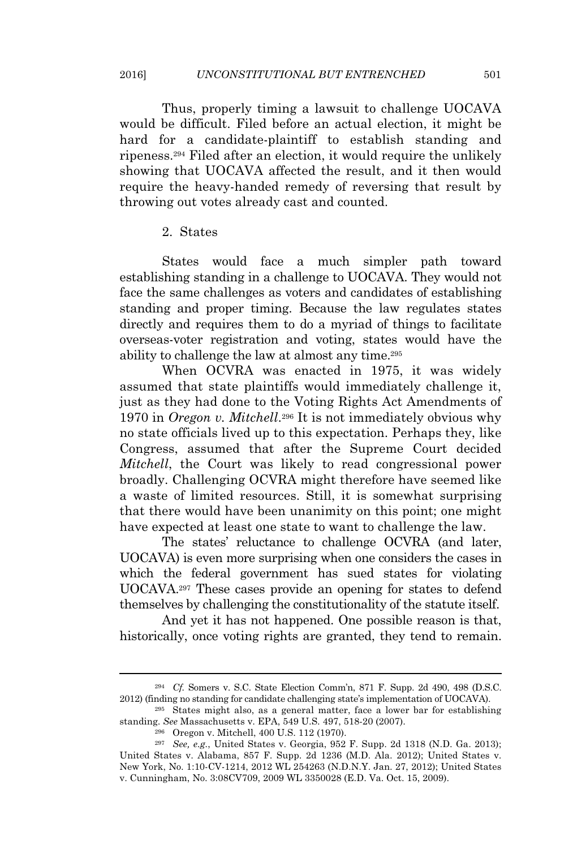Thus, properly timing a lawsuit to challenge UOCAVA would be difficult. Filed before an actual election, it might be hard for a candidate-plaintiff to establish standing and ripeness.<sup>294</sup> Filed after an election, it would require the unlikely showing that UOCAVA affected the result, and it then would require the heavy-handed remedy of reversing that result by throwing out votes already cast and counted.

2. States

States would face a much simpler path toward establishing standing in a challenge to UOCAVA. They would not face the same challenges as voters and candidates of establishing standing and proper timing. Because the law regulates states directly and requires them to do a myriad of things to facilitate overseas-voter registration and voting, states would have the ability to challenge the law at almost any time.<sup>295</sup>

When OCVRA was enacted in 1975, it was widely assumed that state plaintiffs would immediately challenge it, just as they had done to the Voting Rights Act Amendments of 1970 in *Oregon v. Mitchell*. <sup>296</sup> It is not immediately obvious why no state officials lived up to this expectation. Perhaps they, like Congress, assumed that after the Supreme Court decided *Mitchell*, the Court was likely to read congressional power broadly. Challenging OCVRA might therefore have seemed like a waste of limited resources. Still, it is somewhat surprising that there would have been unanimity on this point; one might have expected at least one state to want to challenge the law.

The states' reluctance to challenge OCVRA (and later, UOCAVA) is even more surprising when one considers the cases in which the federal government has sued states for violating UOCAVA.<sup>297</sup> These cases provide an opening for states to defend themselves by challenging the constitutionality of the statute itself.

And yet it has not happened. One possible reason is that, historically, once voting rights are granted, they tend to remain.

<sup>294</sup> *Cf.* Somers v. S.C. State Election Comm'n, 871 F. Supp. 2d 490, 498 (D.S.C. 2012) (finding no standing for candidate challenging state's implementation of UOCAVA).

<sup>295</sup> States might also, as a general matter, face a lower bar for establishing standing. *See* Massachusetts v. EPA, 549 U.S. 497, 518-20 (2007).

<sup>296</sup> Oregon v. Mitchell, 400 U.S. 112 (1970).

<sup>297</sup> *See, e.g.*, United States v. Georgia, 952 F. Supp. 2d 1318 (N.D. Ga. 2013); United States v. Alabama, 857 F. Supp. 2d 1236 (M.D. Ala. 2012); United States v. New York, No. 1:10-CV-1214, 2012 WL 254263 (N.D.N.Y. Jan. 27, 2012); United States v. Cunningham, No. 3:08CV709, 2009 WL 3350028 (E.D. Va. Oct. 15, 2009).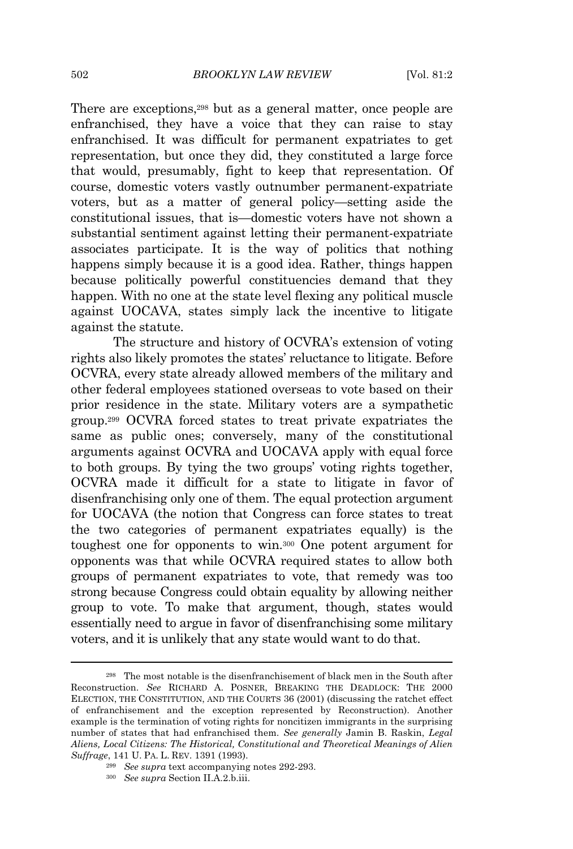There are exceptions,<sup>298</sup> but as a general matter, once people are enfranchised, they have a voice that they can raise to stay enfranchised. It was difficult for permanent expatriates to get representation, but once they did, they constituted a large force that would, presumably, fight to keep that representation. Of course, domestic voters vastly outnumber permanent-expatriate voters, but as a matter of general policy—setting aside the constitutional issues, that is—domestic voters have not shown a substantial sentiment against letting their permanent-expatriate associates participate. It is the way of politics that nothing happens simply because it is a good idea. Rather, things happen because politically powerful constituencies demand that they happen. With no one at the state level flexing any political muscle against UOCAVA, states simply lack the incentive to litigate against the statute.

The structure and history of OCVRA's extension of voting rights also likely promotes the states' reluctance to litigate. Before OCVRA, every state already allowed members of the military and other federal employees stationed overseas to vote based on their prior residence in the state. Military voters are a sympathetic group.<sup>299</sup> OCVRA forced states to treat private expatriates the same as public ones; conversely, many of the constitutional arguments against OCVRA and UOCAVA apply with equal force to both groups. By tying the two groups' voting rights together, OCVRA made it difficult for a state to litigate in favor of disenfranchising only one of them. The equal protection argument for UOCAVA (the notion that Congress can force states to treat the two categories of permanent expatriates equally) is the toughest one for opponents to win.<sup>300</sup> One potent argument for opponents was that while OCVRA required states to allow both groups of permanent expatriates to vote, that remedy was too strong because Congress could obtain equality by allowing neither group to vote. To make that argument, though, states would essentially need to argue in favor of disenfranchising some military voters, and it is unlikely that any state would want to do that.

<sup>298</sup> The most notable is the disenfranchisement of black men in the South after Reconstruction. *See* RICHARD A. POSNER, BREAKING THE DEADLOCK: THE 2000 ELECTION, THE CONSTITUTION, AND THE COURTS 36 (2001) (discussing the ratchet effect of enfranchisement and the exception represented by Reconstruction). Another example is the termination of voting rights for noncitizen immigrants in the surprising number of states that had enfranchised them. *See generally* Jamin B. Raskin, *Legal Aliens, Local Citizens: The Historical, Constitutional and Theoretical Meanings of Alien Suffrage*, 141 U. PA. L. REV. 1391 (1993).

<sup>299</sup> *See supra* text accompanying notes 292-293.

<sup>300</sup> *See supra* Section II.A.2.b.iii.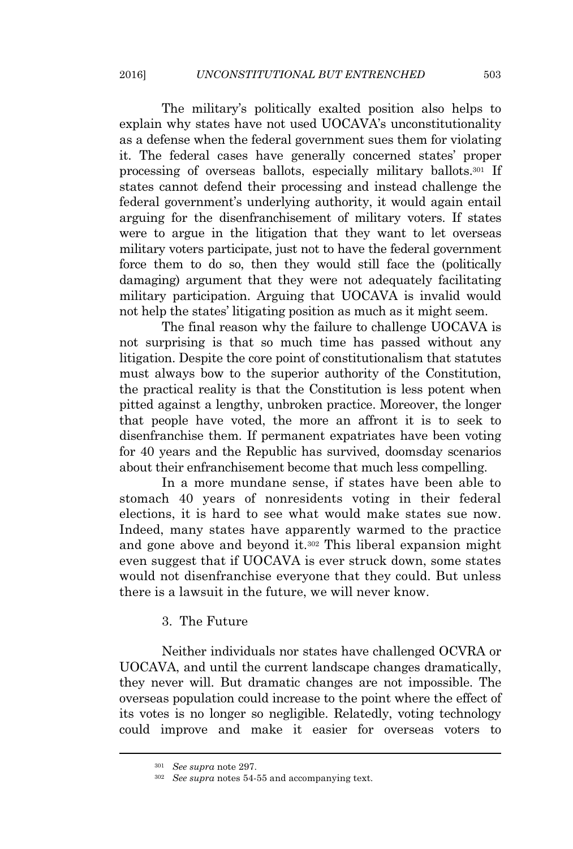The military's politically exalted position also helps to explain why states have not used UOCAVA's unconstitutionality as a defense when the federal government sues them for violating it. The federal cases have generally concerned states' proper processing of overseas ballots, especially military ballots.<sup>301</sup> If states cannot defend their processing and instead challenge the federal government's underlying authority, it would again entail arguing for the disenfranchisement of military voters. If states were to argue in the litigation that they want to let overseas military voters participate, just not to have the federal government force them to do so, then they would still face the (politically damaging) argument that they were not adequately facilitating military participation. Arguing that UOCAVA is invalid would not help the states' litigating position as much as it might seem.

The final reason why the failure to challenge UOCAVA is not surprising is that so much time has passed without any litigation. Despite the core point of constitutionalism that statutes must always bow to the superior authority of the Constitution, the practical reality is that the Constitution is less potent when pitted against a lengthy, unbroken practice. Moreover, the longer that people have voted, the more an affront it is to seek to disenfranchise them. If permanent expatriates have been voting for 40 years and the Republic has survived, doomsday scenarios about their enfranchisement become that much less compelling.

In a more mundane sense, if states have been able to stomach 40 years of nonresidents voting in their federal elections, it is hard to see what would make states sue now. Indeed, many states have apparently warmed to the practice and gone above and beyond it.<sup>302</sup> This liberal expansion might even suggest that if UOCAVA is ever struck down, some states would not disenfranchise everyone that they could. But unless there is a lawsuit in the future, we will never know.

## 3. The Future

Neither individuals nor states have challenged OCVRA or UOCAVA, and until the current landscape changes dramatically, they never will. But dramatic changes are not impossible. The overseas population could increase to the point where the effect of its votes is no longer so negligible. Relatedly, voting technology could improve and make it easier for overseas voters to

<sup>301</sup> *See supra* note 297.

<sup>302</sup> *See supra* notes 54-55 and accompanying text.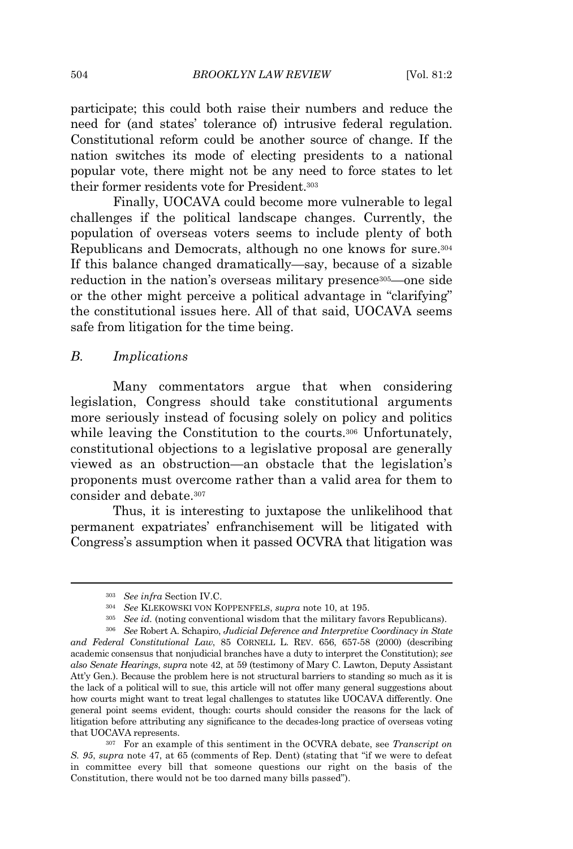504 *BROOKLYN LAW REVIEW* [Vol. 81:2

participate; this could both raise their numbers and reduce the need for (and states' tolerance of) intrusive federal regulation. Constitutional reform could be another source of change. If the nation switches its mode of electing presidents to a national popular vote, there might not be any need to force states to let their former residents vote for President.<sup>303</sup>

Finally, UOCAVA could become more vulnerable to legal challenges if the political landscape changes. Currently, the population of overseas voters seems to include plenty of both Republicans and Democrats, although no one knows for sure.<sup>304</sup> If this balance changed dramatically—say, because of a sizable reduction in the nation's overseas military presence<sup>305</sup> one side or the other might perceive a political advantage in "clarifying" the constitutional issues here. All of that said, UOCAVA seems safe from litigation for the time being.

## *B. Implications*

Many commentators argue that when considering legislation, Congress should take constitutional arguments more seriously instead of focusing solely on policy and politics while leaving the Constitution to the courts.<sup>306</sup> Unfortunately, constitutional objections to a legislative proposal are generally viewed as an obstruction—an obstacle that the legislation's proponents must overcome rather than a valid area for them to consider and debate.<sup>307</sup>

Thus, it is interesting to juxtapose the unlikelihood that permanent expatriates' enfranchisement will be litigated with Congress's assumption when it passed OCVRA that litigation was

<sup>303</sup> *See infra* Section IV.C.

<sup>304</sup> *See* KLEKOWSKI VON KOPPENFELS, *supra* note 10, at 195.

<sup>&</sup>lt;sup>305</sup> *See id.* (noting conventional wisdom that the military favors Republicans).

<sup>306</sup> *See* Robert A. Schapiro, *Judicial Deference and Interpretive Coordinacy in State and Federal Constitutional Law*, 85 CORNELL L. REV. 656, 657-58 (2000) (describing academic consensus that nonjudicial branches have a duty to interpret the Constitution); *see also Senate Hearings*, *supra* note 42, at 59 (testimony of Mary C. Lawton, Deputy Assistant Att'y Gen.). Because the problem here is not structural barriers to standing so much as it is the lack of a political will to sue, this article will not offer many general suggestions about how courts might want to treat legal challenges to statutes like UOCAVA differently. One general point seems evident, though: courts should consider the reasons for the lack of litigation before attributing any significance to the decades-long practice of overseas voting that UOCAVA represents.

<sup>307</sup> For an example of this sentiment in the OCVRA debate, see *Transcript on S. 95*, *supra* note 47, at 65 (comments of Rep. Dent) (stating that "if we were to defeat in committee every bill that someone questions our right on the basis of the Constitution, there would not be too darned many bills passed").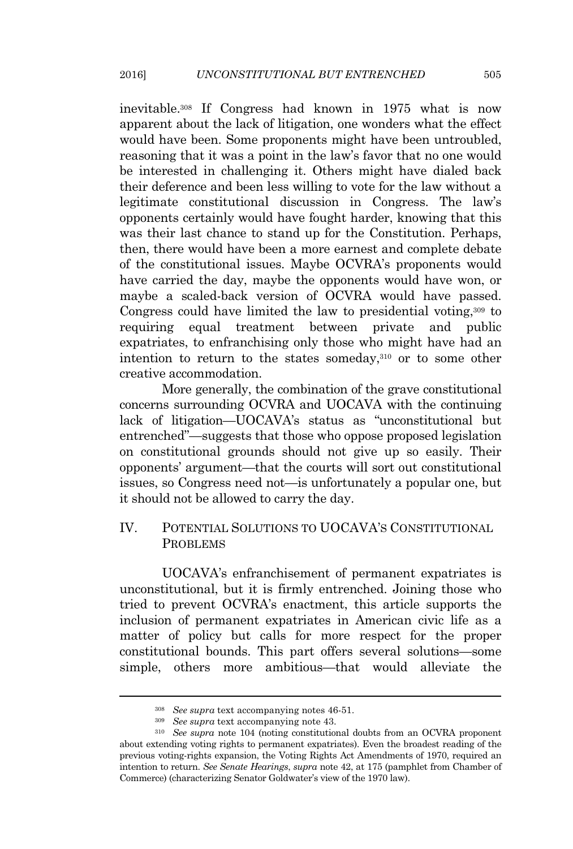inevitable.<sup>308</sup> If Congress had known in 1975 what is now apparent about the lack of litigation, one wonders what the effect would have been. Some proponents might have been untroubled, reasoning that it was a point in the law's favor that no one would be interested in challenging it. Others might have dialed back their deference and been less willing to vote for the law without a legitimate constitutional discussion in Congress. The law's opponents certainly would have fought harder, knowing that this was their last chance to stand up for the Constitution. Perhaps, then, there would have been a more earnest and complete debate of the constitutional issues. Maybe OCVRA's proponents would have carried the day, maybe the opponents would have won, or maybe a scaled-back version of OCVRA would have passed. Congress could have limited the law to presidential voting,<sup>309</sup> to requiring equal treatment between private and public expatriates, to enfranchising only those who might have had an intention to return to the states someday,<sup>310</sup> or to some other creative accommodation.

More generally, the combination of the grave constitutional concerns surrounding OCVRA and UOCAVA with the continuing lack of litigation—UOCAVA's status as "unconstitutional but entrenched"—suggests that those who oppose proposed legislation on constitutional grounds should not give up so easily. Their opponents' argument—that the courts will sort out constitutional issues, so Congress need not—is unfortunately a popular one, but it should not be allowed to carry the day.

# IV. POTENTIAL SOLUTIONS TO UOCAVA'<sup>S</sup> CONSTITUTIONAL PROBLEMS

UOCAVA's enfranchisement of permanent expatriates is unconstitutional, but it is firmly entrenched. Joining those who tried to prevent OCVRA's enactment, this article supports the inclusion of permanent expatriates in American civic life as a matter of policy but calls for more respect for the proper constitutional bounds. This part offers several solutions—some simple, others more ambitious—that would alleviate the

<sup>308</sup> *See supra* text accompanying notes 46-51.

<sup>309</sup> *See supra* text accompanying note 43.

<sup>310</sup> *See supra* note 104 (noting constitutional doubts from an OCVRA proponent about extending voting rights to permanent expatriates). Even the broadest reading of the previous voting-rights expansion, the Voting Rights Act Amendments of 1970, required an intention to return. *See Senate Hearings*, *supra* note 42, at 175 (pamphlet from Chamber of Commerce) (characterizing Senator Goldwater's view of the 1970 law).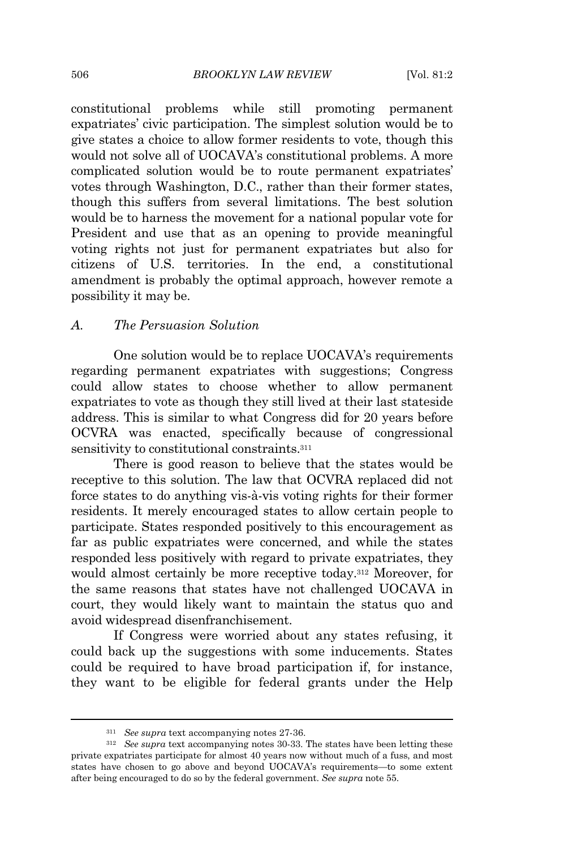constitutional problems while still promoting permanent expatriates' civic participation. The simplest solution would be to give states a choice to allow former residents to vote, though this would not solve all of UOCAVA's constitutional problems. A more complicated solution would be to route permanent expatriates' votes through Washington, D.C., rather than their former states, though this suffers from several limitations. The best solution would be to harness the movement for a national popular vote for President and use that as an opening to provide meaningful voting rights not just for permanent expatriates but also for citizens of U.S. territories. In the end, a constitutional amendment is probably the optimal approach, however remote a possibility it may be.

## *A. The Persuasion Solution*

One solution would be to replace UOCAVA's requirements regarding permanent expatriates with suggestions; Congress could allow states to choose whether to allow permanent expatriates to vote as though they still lived at their last stateside address. This is similar to what Congress did for 20 years before OCVRA was enacted, specifically because of congressional sensitivity to constitutional constraints.<sup>311</sup>

There is good reason to believe that the states would be receptive to this solution. The law that OCVRA replaced did not force states to do anything vis-à-vis voting rights for their former residents. It merely encouraged states to allow certain people to participate. States responded positively to this encouragement as far as public expatriates were concerned, and while the states responded less positively with regard to private expatriates, they would almost certainly be more receptive today.<sup>312</sup> Moreover, for the same reasons that states have not challenged UOCAVA in court, they would likely want to maintain the status quo and avoid widespread disenfranchisement.

If Congress were worried about any states refusing, it could back up the suggestions with some inducements. States could be required to have broad participation if, for instance, they want to be eligible for federal grants under the Help

<sup>311</sup> *See supra* text accompanying notes 27-36.

<sup>312</sup> *See supra* text accompanying notes 30-33. The states have been letting these private expatriates participate for almost 40 years now without much of a fuss, and most states have chosen to go above and beyond UOCAVA's requirements—to some extent after being encouraged to do so by the federal government. *See supra* note 55.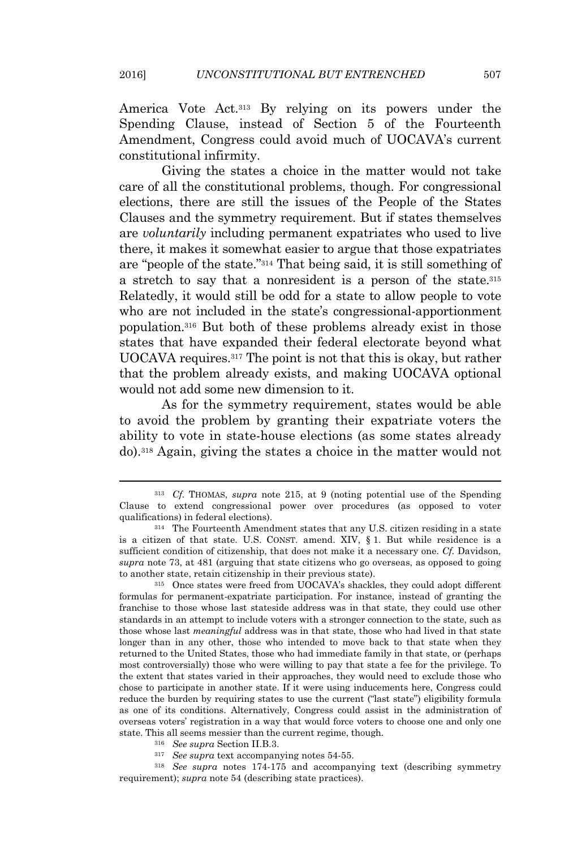America Vote Act.<sup>313</sup> By relying on its powers under the Spending Clause, instead of Section 5 of the Fourteenth Amendment, Congress could avoid much of UOCAVA's current constitutional infirmity.

Giving the states a choice in the matter would not take care of all the constitutional problems, though. For congressional elections, there are still the issues of the People of the States Clauses and the symmetry requirement. But if states themselves are *voluntarily* including permanent expatriates who used to live there, it makes it somewhat easier to argue that those expatriates are "people of the state." <sup>314</sup> That being said, it is still something of a stretch to say that a nonresident is a person of the state.<sup>315</sup> Relatedly, it would still be odd for a state to allow people to vote who are not included in the state's congressional-apportionment population.<sup>316</sup> But both of these problems already exist in those states that have expanded their federal electorate beyond what UOCAVA requires.<sup>317</sup> The point is not that this is okay, but rather that the problem already exists, and making UOCAVA optional would not add some new dimension to it.

As for the symmetry requirement, states would be able to avoid the problem by granting their expatriate voters the ability to vote in state-house elections (as some states already do).<sup>318</sup> Again, giving the states a choice in the matter would not

<sup>315</sup> Once states were freed from UOCAVA's shackles, they could adopt different formulas for permanent-expatriate participation. For instance, instead of granting the franchise to those whose last stateside address was in that state, they could use other standards in an attempt to include voters with a stronger connection to the state, such as those whose last *meaningful* address was in that state, those who had lived in that state longer than in any other, those who intended to move back to that state when they returned to the United States, those who had immediate family in that state, or (perhaps most controversially) those who were willing to pay that state a fee for the privilege. To the extent that states varied in their approaches, they would need to exclude those who chose to participate in another state. If it were using inducements here, Congress could reduce the burden by requiring states to use the current ("last state") eligibility formula as one of its conditions. Alternatively, Congress could assist in the administration of overseas voters' registration in a way that would force voters to choose one and only one state. This all seems messier than the current regime, though.

<sup>318</sup> *See supra* notes 174-175 and accompanying text (describing symmetry requirement); *supra* note 54 (describing state practices).

<sup>313</sup> *Cf.* THOMAS, *supra* note 215, at 9 (noting potential use of the Spending Clause to extend congressional power over procedures (as opposed to voter qualifications) in federal elections).

<sup>314</sup> The Fourteenth Amendment states that any U.S. citizen residing in a state is a citizen of that state. U.S. CONST. amend. XIV, § 1. But while residence is a sufficient condition of citizenship, that does not make it a necessary one. *Cf.* Davidson, *supra* note 73, at 481 (arguing that state citizens who go overseas, as opposed to going to another state, retain citizenship in their previous state).

<sup>316</sup> *See supra* Section II.B.3.

<sup>317</sup> *See supra* text accompanying notes 54-55.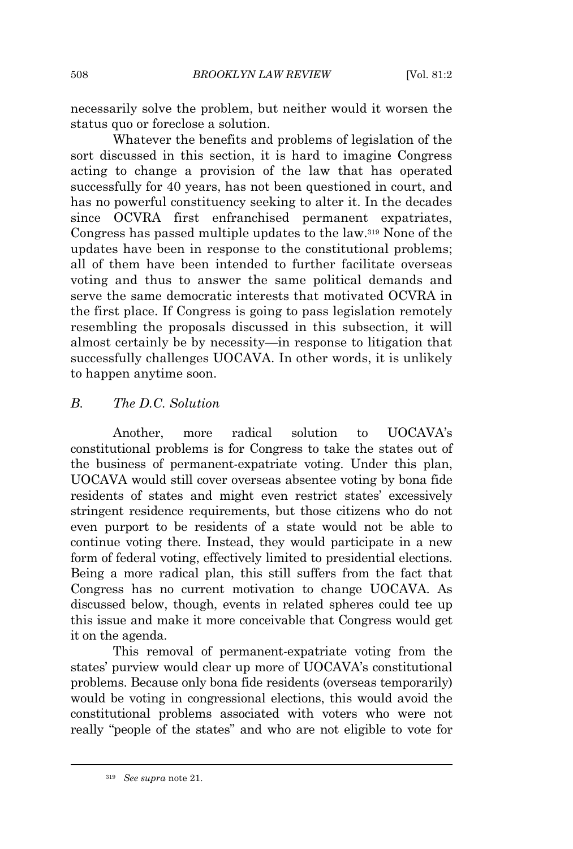necessarily solve the problem, but neither would it worsen the status quo or foreclose a solution.

Whatever the benefits and problems of legislation of the sort discussed in this section, it is hard to imagine Congress acting to change a provision of the law that has operated successfully for 40 years, has not been questioned in court, and has no powerful constituency seeking to alter it. In the decades since OCVRA first enfranchised permanent expatriates, Congress has passed multiple updates to the law.<sup>319</sup> None of the updates have been in response to the constitutional problems; all of them have been intended to further facilitate overseas voting and thus to answer the same political demands and serve the same democratic interests that motivated OCVRA in the first place. If Congress is going to pass legislation remotely resembling the proposals discussed in this subsection, it will almost certainly be by necessity—in response to litigation that successfully challenges UOCAVA. In other words, it is unlikely to happen anytime soon.

# *B. The D.C. Solution*

Another, more radical solution to UOCAVA's constitutional problems is for Congress to take the states out of the business of permanent-expatriate voting. Under this plan, UOCAVA would still cover overseas absentee voting by bona fide residents of states and might even restrict states' excessively stringent residence requirements, but those citizens who do not even purport to be residents of a state would not be able to continue voting there. Instead, they would participate in a new form of federal voting, effectively limited to presidential elections. Being a more radical plan, this still suffers from the fact that Congress has no current motivation to change UOCAVA. As discussed below, though, events in related spheres could tee up this issue and make it more conceivable that Congress would get it on the agenda.

This removal of permanent-expatriate voting from the states' purview would clear up more of UOCAVA's constitutional problems. Because only bona fide residents (overseas temporarily) would be voting in congressional elections, this would avoid the constitutional problems associated with voters who were not really "people of the states" and who are not eligible to vote for

<sup>319</sup> *See supra* note 21.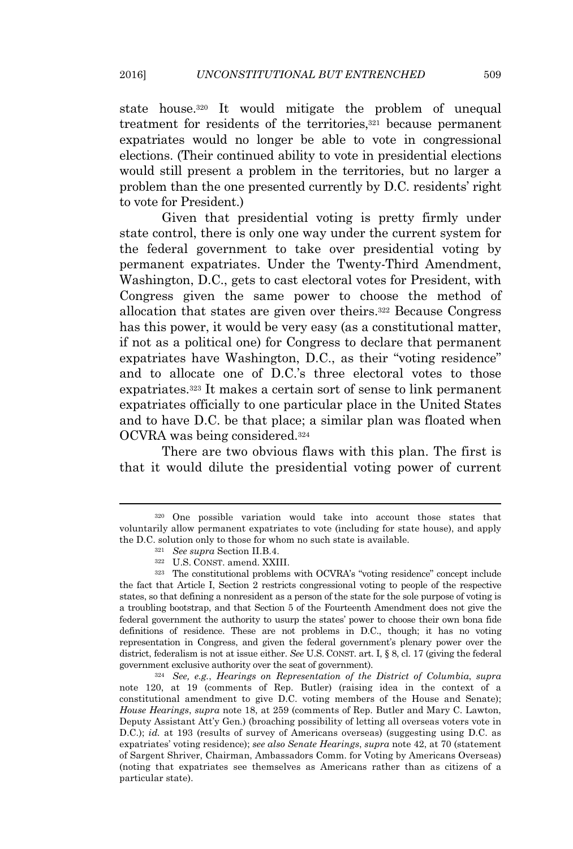state house.<sup>320</sup> It would mitigate the problem of unequal treatment for residents of the territories,<sup>321</sup> because permanent expatriates would no longer be able to vote in congressional elections. (Their continued ability to vote in presidential elections would still present a problem in the territories, but no larger a problem than the one presented currently by D.C. residents' right to vote for President.)

Given that presidential voting is pretty firmly under state control, there is only one way under the current system for the federal government to take over presidential voting by permanent expatriates. Under the Twenty-Third Amendment, Washington, D.C., gets to cast electoral votes for President, with Congress given the same power to choose the method of allocation that states are given over theirs.<sup>322</sup> Because Congress has this power, it would be very easy (as a constitutional matter, if not as a political one) for Congress to declare that permanent expatriates have Washington, D.C., as their "voting residence" and to allocate one of D.C.'s three electoral votes to those expatriates.<sup>323</sup> It makes a certain sort of sense to link permanent expatriates officially to one particular place in the United States and to have D.C. be that place; a similar plan was floated when OCVRA was being considered.<sup>324</sup>

There are two obvious flaws with this plan. The first is that it would dilute the presidential voting power of current

<sup>320</sup> One possible variation would take into account those states that voluntarily allow permanent expatriates to vote (including for state house), and apply the D.C. solution only to those for whom no such state is available.

<sup>321</sup> *See supra* Section II.B.4.

<sup>322</sup> U.S. CONST. amend. XXIII.

<sup>323</sup> The constitutional problems with OCVRA's "voting residence" concept include the fact that Article I, Section 2 restricts congressional voting to people of the respective states, so that defining a nonresident as a person of the state for the sole purpose of voting is a troubling bootstrap, and that Section 5 of the Fourteenth Amendment does not give the federal government the authority to usurp the states' power to choose their own bona fide definitions of residence. These are not problems in D.C., though; it has no voting representation in Congress, and given the federal government's plenary power over the district, federalism is not at issue either. *See* U.S. CONST. art. I, § 8, cl. 17 (giving the federal government exclusive authority over the seat of government).

<sup>324</sup> *See, e.g.*, *Hearings on Representation of the District of Columbia*, *supra* note 120, at 19 (comments of Rep. Butler) (raising idea in the context of a constitutional amendment to give D.C. voting members of the House and Senate); *House Hearings*, *supra* note 18, at 259 (comments of Rep. Butler and Mary C. Lawton, Deputy Assistant Att'y Gen.) (broaching possibility of letting all overseas voters vote in D.C.); *id.* at 193 (results of survey of Americans overseas) (suggesting using D.C. as expatriates' voting residence); *see also Senate Hearings*, *supra* note 42, at 70 (statement of Sargent Shriver, Chairman, Ambassadors Comm. for Voting by Americans Overseas) (noting that expatriates see themselves as Americans rather than as citizens of a particular state).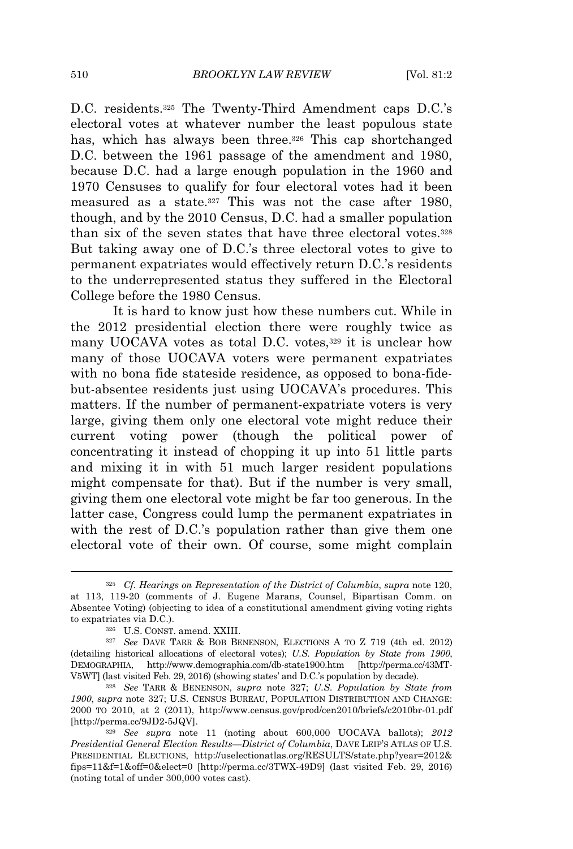D.C. residents.<sup>325</sup> The Twenty-Third Amendment caps D.C.'s electoral votes at whatever number the least populous state has, which has always been three.<sup>326</sup> This cap shortchanged D.C. between the 1961 passage of the amendment and 1980, because D.C. had a large enough population in the 1960 and 1970 Censuses to qualify for four electoral votes had it been measured as a state.<sup>327</sup> This was not the case after 1980, though, and by the 2010 Census, D.C. had a smaller population than six of the seven states that have three electoral votes.<sup>328</sup> But taking away one of D.C.'s three electoral votes to give to permanent expatriates would effectively return D.C.'s residents to the underrepresented status they suffered in the Electoral College before the 1980 Census.

It is hard to know just how these numbers cut. While in the 2012 presidential election there were roughly twice as many UOCAVA votes as total D.C. votes,<sup>329</sup> it is unclear how many of those UOCAVA voters were permanent expatriates with no bona fide stateside residence, as opposed to bona-fidebut-absentee residents just using UOCAVA's procedures. This matters. If the number of permanent-expatriate voters is very large, giving them only one electoral vote might reduce their current voting power (though the political power of concentrating it instead of chopping it up into 51 little parts and mixing it in with 51 much larger resident populations might compensate for that). But if the number is very small, giving them one electoral vote might be far too generous. In the latter case, Congress could lump the permanent expatriates in with the rest of D.C.'s population rather than give them one electoral vote of their own. Of course, some might complain

<sup>325</sup> *Cf. Hearings on Representation of the District of Columbia*, *supra* note 120, at 113, 119-20 (comments of J. Eugene Marans, Counsel, Bipartisan Comm. on Absentee Voting) (objecting to idea of a constitutional amendment giving voting rights to expatriates via D.C.).

<sup>326</sup> U.S. CONST. amend. XXIII.

<sup>327</sup> *See* DAVE TARR & BOB BENENSON, ELECTIONS A TO Z 719 (4th ed. 2012) (detailing historical allocations of electoral votes); *U.S. Population by State from 1900*, DEMOGRAPHIA, http://www.demographia.com/db-state1900.htm [http://perma.cc/43MT-V5WT] (last visited Feb. 29, 2016) (showing states' and D.C.'s population by decade).

<sup>328</sup> *See* TARR & BENENSON, *supra* note 327; *U.S. Population by State from 1900*, *supra* note 327; U.S. CENSUS BUREAU, POPULATION DISTRIBUTION AND CHANGE: 2000 TO 2010, at 2 (2011), http://www.census.gov/prod/cen2010/briefs/c2010br-01.pdf [http://perma.cc/9JD2-5JQV].

<sup>329</sup> *See supra* note 11 (noting about 600,000 UOCAVA ballots); *2012 Presidential General Election Results—District of Columbia*, DAVE LEIP'<sup>S</sup> ATLAS OF U.S. PRESIDENTIAL ELECTIONS, http://uselectionatlas.org/RESULTS/state.php?year=2012& fips=11&f=1&off=0&elect=0 [http://perma.cc/3TWX-49D9] (last visited Feb. 29, 2016) (noting total of under 300,000 votes cast).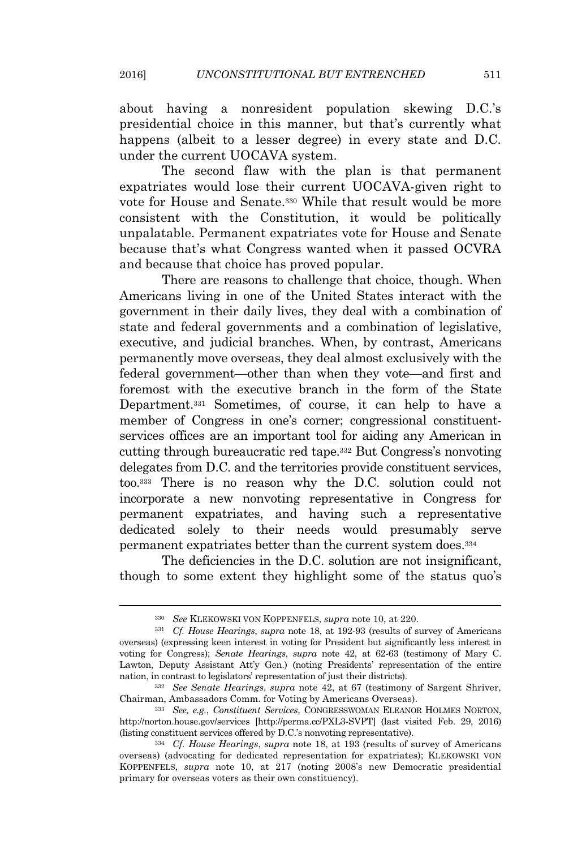about having a nonresident population skewing D.C.'s presidential choice in this manner, but that's currently what happens (albeit to a lesser degree) in every state and D.C. under the current UOCAVA system.

The second flaw with the plan is that permanent expatriates would lose their current UOCAVA-given right to vote for House and Senate.<sup>330</sup> While that result would be more consistent with the Constitution, it would be politically unpalatable. Permanent expatriates vote for House and Senate because that's what Congress wanted when it passed OCVRA and because that choice has proved popular.

There are reasons to challenge that choice, though. When Americans living in one of the United States interact with the government in their daily lives, they deal with a combination of state and federal governments and a combination of legislative, executive, and judicial branches. When, by contrast, Americans permanently move overseas, they deal almost exclusively with the federal government—other than when they vote—and first and foremost with the executive branch in the form of the State Department.<sup>331</sup> Sometimes, of course, it can help to have a member of Congress in one's corner; congressional constituentservices offices are an important tool for aiding any American in cutting through bureaucratic red tape.<sup>332</sup> But Congress's nonvoting delegates from D.C. and the territories provide constituent services, too.<sup>333</sup> There is no reason why the D.C. solution could not incorporate a new nonvoting representative in Congress for permanent expatriates, and having such a representative dedicated solely to their needs would presumably serve permanent expatriates better than the current system does.<sup>334</sup>

The deficiencies in the D.C. solution are not insignificant, though to some extent they highlight some of the status quo's

<sup>330</sup> *See* KLEKOWSKI VON KOPPENFELS, *supra* note 10, at 220.

<sup>331</sup> *Cf. House Hearings*, *supra* note 18, at 192-93 (results of survey of Americans overseas) (expressing keen interest in voting for President but significantly less interest in voting for Congress); *Senate Hearings*, *supra* note 42, at 62-63 (testimony of Mary C. Lawton, Deputy Assistant Att'y Gen.) (noting Presidents' representation of the entire nation, in contrast to legislators' representation of just their districts).

<sup>332</sup> *See Senate Hearings*, *supra* note 42, at 67 (testimony of Sargent Shriver, Chairman, Ambassadors Comm. for Voting by Americans Overseas).

<sup>333</sup> *See, e.g.*, *Constituent Services*, CONGRESSWOMAN ELEANOR HOLMES NORTON, http://norton.house.gov/services [http://perma.cc/PXL3-SVPT] (last visited Feb. 29, 2016) (listing constituent services offered by D.C.'s nonvoting representative).

<sup>334</sup> *Cf. House Hearings*, *supra* note 18, at 193 (results of survey of Americans overseas) (advocating for dedicated representation for expatriates); KLEKOWSKI VON KOPPENFELS, *supra* note 10, at 217 (noting 2008's new Democratic presidential primary for overseas voters as their own constituency).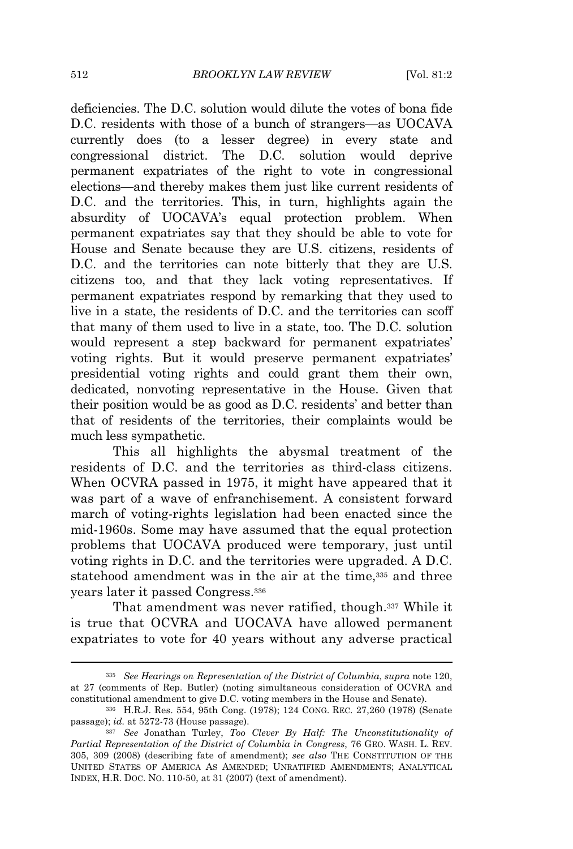deficiencies. The D.C. solution would dilute the votes of bona fide D.C. residents with those of a bunch of strangers—as UOCAVA currently does (to a lesser degree) in every state and congressional district. The D.C. solution would deprive permanent expatriates of the right to vote in congressional elections—and thereby makes them just like current residents of D.C. and the territories. This, in turn, highlights again the absurdity of UOCAVA's equal protection problem. When permanent expatriates say that they should be able to vote for House and Senate because they are U.S. citizens, residents of D.C. and the territories can note bitterly that they are U.S. citizens too, and that they lack voting representatives. If permanent expatriates respond by remarking that they used to live in a state, the residents of D.C. and the territories can scoff that many of them used to live in a state, too. The D.C. solution would represent a step backward for permanent expatriates' voting rights. But it would preserve permanent expatriates' presidential voting rights and could grant them their own, dedicated, nonvoting representative in the House. Given that their position would be as good as D.C. residents' and better than that of residents of the territories, their complaints would be much less sympathetic.

This all highlights the abysmal treatment of the residents of D.C. and the territories as third-class citizens. When OCVRA passed in 1975, it might have appeared that it was part of a wave of enfranchisement. A consistent forward march of voting-rights legislation had been enacted since the mid-1960s. Some may have assumed that the equal protection problems that UOCAVA produced were temporary, just until voting rights in D.C. and the territories were upgraded. A D.C. statehood amendment was in the air at the time,<sup>335</sup> and three years later it passed Congress.<sup>336</sup>

That amendment was never ratified, though.<sup>337</sup> While it is true that OCVRA and UOCAVA have allowed permanent expatriates to vote for 40 years without any adverse practical

<sup>335</sup> *See Hearings on Representation of the District of Columbia*, *supra* note 120, at 27 (comments of Rep. Butler) (noting simultaneous consideration of OCVRA and constitutional amendment to give D.C. voting members in the House and Senate).

<sup>336</sup> H.R.J. Res. 554, 95th Cong. (1978); 124 CONG. REC. 27,260 (1978) (Senate passage); *id.* at 5272-73 (House passage).

<sup>337</sup> *See* Jonathan Turley, *Too Clever By Half: The Unconstitutionality of Partial Representation of the District of Columbia in Congress*, 76 GEO. WASH. L. REV. 305, 309 (2008) (describing fate of amendment); *see also* THE CONSTITUTION OF THE UNITED STATES OF AMERICA AS AMENDED; UNRATIFIED AMENDMENTS; ANALYTICAL INDEX, H.R. DOC. NO. 110-50, at 31 (2007) (text of amendment).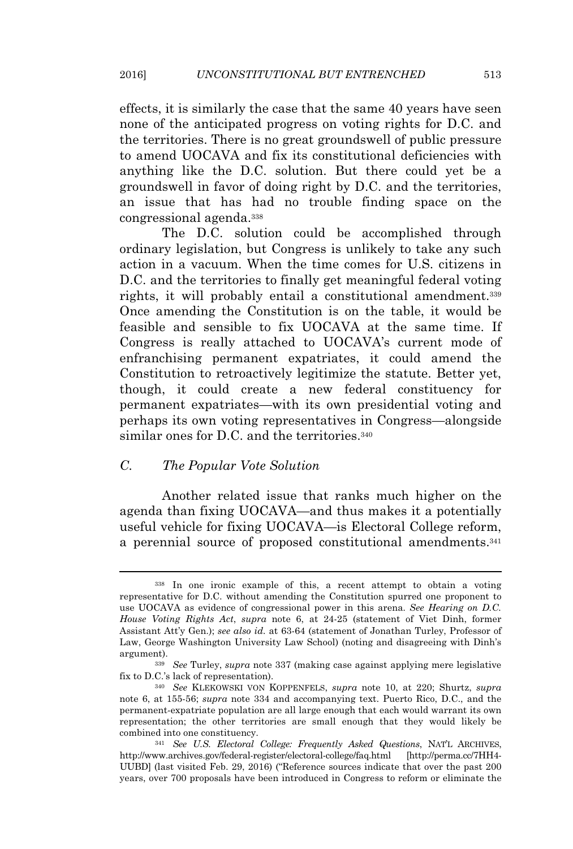effects, it is similarly the case that the same 40 years have seen none of the anticipated progress on voting rights for D.C. and the territories. There is no great groundswell of public pressure to amend UOCAVA and fix its constitutional deficiencies with anything like the D.C. solution. But there could yet be a groundswell in favor of doing right by D.C. and the territories, an issue that has had no trouble finding space on the congressional agenda.<sup>338</sup>

The D.C. solution could be accomplished through ordinary legislation, but Congress is unlikely to take any such action in a vacuum. When the time comes for U.S. citizens in D.C. and the territories to finally get meaningful federal voting rights, it will probably entail a constitutional amendment.<sup>339</sup> Once amending the Constitution is on the table, it would be feasible and sensible to fix UOCAVA at the same time. If Congress is really attached to UOCAVA's current mode of enfranchising permanent expatriates, it could amend the Constitution to retroactively legitimize the statute. Better yet, though, it could create a new federal constituency for permanent expatriates—with its own presidential voting and perhaps its own voting representatives in Congress—alongside similar ones for D.C. and the territories.<sup>340</sup>

## *C. The Popular Vote Solution*

Another related issue that ranks much higher on the agenda than fixing UOCAVA—and thus makes it a potentially useful vehicle for fixing UOCAVA—is Electoral College reform, a perennial source of proposed constitutional amendments.<sup>341</sup>

<sup>338</sup> In one ironic example of this, a recent attempt to obtain a voting representative for D.C. without amending the Constitution spurred one proponent to use UOCAVA as evidence of congressional power in this arena. *See Hearing on D.C. House Voting Rights Act*, *supra* note 6, at 24-25 (statement of Viet Dinh, former Assistant Att'y Gen.); *see also id.* at 63-64 (statement of Jonathan Turley, Professor of Law, George Washington University Law School) (noting and disagreeing with Dinh's argument).

<sup>339</sup> *See* Turley, *supra* note 337 (making case against applying mere legislative fix to D.C.'s lack of representation).

<sup>340</sup> *See* KLEKOWSKI VON KOPPENFELS, *supra* note 10, at 220; Shurtz, *supra* note 6, at 155-56; *supra* note 334 and accompanying text. Puerto Rico, D.C., and the permanent-expatriate population are all large enough that each would warrant its own representation; the other territories are small enough that they would likely be combined into one constituency.

<sup>341</sup> *See U.S. Electoral College: Frequently Asked Questions*, NAT'<sup>L</sup> ARCHIVES, http://www.archives.gov/federal-register/electoral-college/faq.html UUBD] (last visited Feb. 29, 2016) ("Reference sources indicate that over the past 200 years, over 700 proposals have been introduced in Congress to reform or eliminate the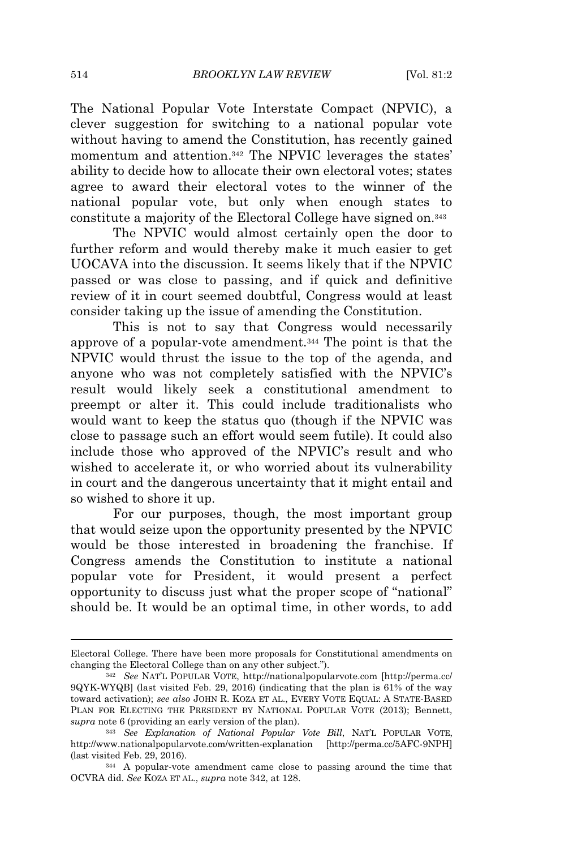The National Popular Vote Interstate Compact (NPVIC), a clever suggestion for switching to a national popular vote without having to amend the Constitution, has recently gained momentum and attention.<sup>342</sup> The NPVIC leverages the states' ability to decide how to allocate their own electoral votes; states agree to award their electoral votes to the winner of the national popular vote, but only when enough states to constitute a majority of the Electoral College have signed on.<sup>343</sup>

The NPVIC would almost certainly open the door to further reform and would thereby make it much easier to get UOCAVA into the discussion. It seems likely that if the NPVIC passed or was close to passing, and if quick and definitive review of it in court seemed doubtful, Congress would at least consider taking up the issue of amending the Constitution.

This is not to say that Congress would necessarily approve of a popular-vote amendment.<sup>344</sup> The point is that the NPVIC would thrust the issue to the top of the agenda, and anyone who was not completely satisfied with the NPVIC's result would likely seek a constitutional amendment to preempt or alter it. This could include traditionalists who would want to keep the status quo (though if the NPVIC was close to passage such an effort would seem futile). It could also include those who approved of the NPVIC's result and who wished to accelerate it, or who worried about its vulnerability in court and the dangerous uncertainty that it might entail and so wished to shore it up.

For our purposes, though, the most important group that would seize upon the opportunity presented by the NPVIC would be those interested in broadening the franchise. If Congress amends the Constitution to institute a national popular vote for President, it would present a perfect opportunity to discuss just what the proper scope of "national" should be. It would be an optimal time, in other words, to add

Electoral College. There have been more proposals for Constitutional amendments on changing the Electoral College than on any other subject.").

<sup>342</sup> *See* NAT'<sup>L</sup> POPULAR VOTE, http://nationalpopularvote.com [http://perma.cc/ 9QYK-WYQB] (last visited Feb. 29, 2016) (indicating that the plan is 61% of the way toward activation); *see also* JOHN R. KOZA ET AL., EVERY VOTE EQUAL: A STATE-BASED PLAN FOR ELECTING THE PRESIDENT BY NATIONAL POPULAR VOTE (2013); Bennett, *supra* note 6 (providing an early version of the plan).

<sup>343</sup> *See Explanation of National Popular Vote Bill*, NAT'<sup>L</sup> POPULAR VOTE, http://www.nationalpopularvote.com/written-explanation [http://perma.cc/5AFC-9NPH] (last visited Feb. 29, 2016).

<sup>344</sup> A popular-vote amendment came close to passing around the time that OCVRA did. *See* KOZA ET AL., *supra* note 342, at 128.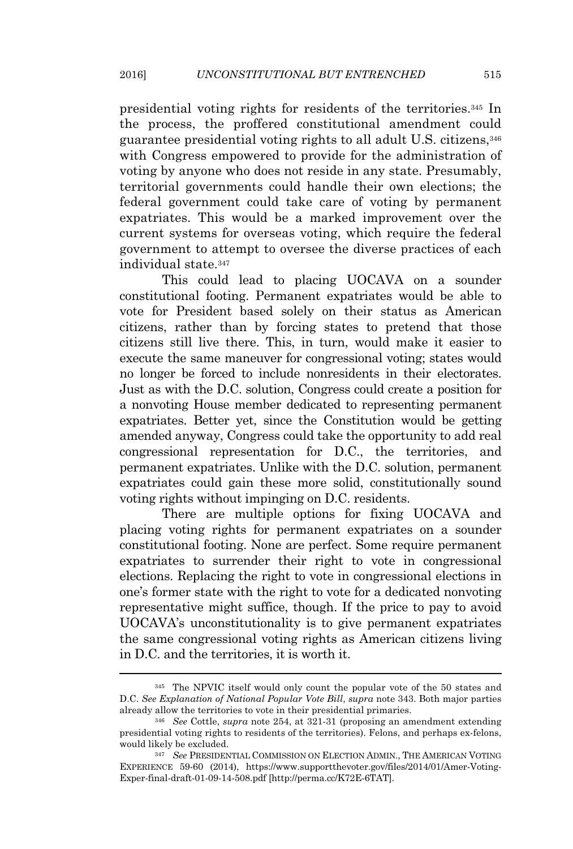presidential voting rights for residents of the territories.<sup>345</sup> In the process, the proffered constitutional amendment could guarantee presidential voting rights to all adult U.S. citizens,<sup>346</sup> with Congress empowered to provide for the administration of voting by anyone who does not reside in any state. Presumably, territorial governments could handle their own elections; the federal government could take care of voting by permanent expatriates. This would be a marked improvement over the current systems for overseas voting, which require the federal government to attempt to oversee the diverse practices of each individual state.<sup>347</sup>

This could lead to placing UOCAVA on a sounder constitutional footing. Permanent expatriates would be able to vote for President based solely on their status as American citizens, rather than by forcing states to pretend that those citizens still live there. This, in turn, would make it easier to execute the same maneuver for congressional voting; states would no longer be forced to include nonresidents in their electorates. Just as with the D.C. solution, Congress could create a position for a nonvoting House member dedicated to representing permanent expatriates. Better yet, since the Constitution would be getting amended anyway, Congress could take the opportunity to add real congressional representation for D.C., the territories, and permanent expatriates. Unlike with the D.C. solution, permanent expatriates could gain these more solid, constitutionally sound voting rights without impinging on D.C. residents.

There are multiple options for fixing UOCAVA and placing voting rights for permanent expatriates on a sounder constitutional footing. None are perfect. Some require permanent expatriates to surrender their right to vote in congressional elections. Replacing the right to vote in congressional elections in one's former state with the right to vote for a dedicated nonvoting representative might suffice, though. If the price to pay to avoid UOCAVA's unconstitutionality is to give permanent expatriates the same congressional voting rights as American citizens living in D.C. and the territories, it is worth it.

<sup>345</sup> The NPVIC itself would only count the popular vote of the 50 states and D.C. *See Explanation of National Popular Vote Bill*, *supra* note 343. Both major parties already allow the territories to vote in their presidential primaries.

<sup>346</sup> *See* Cottle, *supra* note 254, at 321-31 (proposing an amendment extending presidential voting rights to residents of the territories). Felons, and perhaps ex-felons, would likely be excluded.

<sup>347</sup> *See* PRESIDENTIAL COMMISSION ON ELECTION ADMIN., THE AMERICAN VOTING EXPERIENCE 59-60 (2014), https://www.supportthevoter.gov/files/2014/01/Amer-Voting-Exper-final-draft-01-09-14-508.pdf [http://perma.cc/K72E-6TAT].